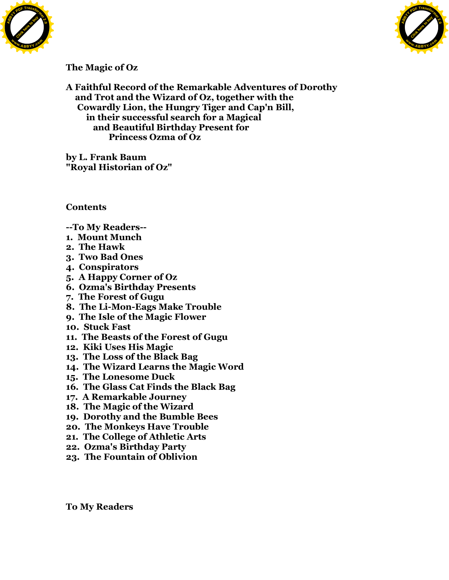



## **The Magic of Oz**

**A Faithful Record of the Remarkable Adventures of Dorothy and Trot and the Wizard of Oz, together with the Cowardly Lion, the Hungry Tiger and Cap'n Bill, in their successful search for a Magical and Beautiful Birthday Present for Princess Ozma of Oz**

**by L. Frank Baum "Royal Historian of Oz"**

**Contents**

- **--To My Readers--**
- **1. Mount Munch**
- **2. The Hawk**
- **3. Two Bad Ones**
- **4. Conspirators**
- **5. A Happy Corner of Oz**
- **6. Ozma's Birthday Presents**
- **7. The Forest of Gugu**
- **8. The Li-Mon-Eags Make Trouble**
- **9. The Isle of the Magic Flower**
- **10. Stuck Fast**
- **11. The Beasts of the Forest of Gugu**
- **12. Kiki Uses His Magic**
- **13. The Loss of the Black Bag**
- **14. The Wizard Learns the Magic Word**
- **15. The Lonesome Duck**
- **16. The Glass Cat Finds the Black Bag**
- **17. A Remarkable Journey**
- **18. The Magic of the Wizard**
- **19. Dorothy and the Bumble Bees**
- **20. The Monkeys Have Trouble**
- **21. The College of Athletic Arts**
- **22. Ozma's Birthday Party**
- **23. The Fountain of Oblivion**

**To My Readers**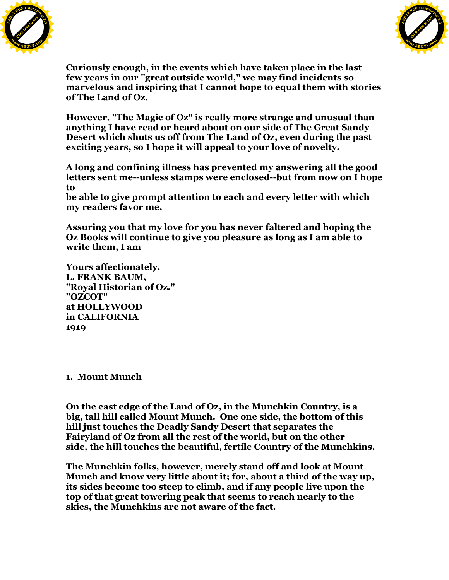



**Curiously enough, in the events which have taken place in the last few years in our "great outside world," we may find incidents so marvelous and inspiring that I cannot hope to equal them with stories of The Land of Oz.**

**However, "The Magic of Oz" is really more strange and unusual than anything I have read or heard about on our side of The Great Sandy Desert which shuts us off from The Land of Oz, even during the past exciting years, so I hope it will appeal to your love of novelty.**

**A long and confining illness has prevented my answering all the good letters sent me--unless stamps were enclosed--but from now on I hope to**

**be able to give prompt attention to each and every letter with which my readers favor me.**

**Assuring you that my love for you has never faltered and hoping the Oz Books will continue to give you pleasure as long as I am able to write them, I am**

**Yours affectionately, L. FRANK BAUM, "Royal Historian of Oz." "OZCOT" at HOLLYWOOD in CALIFORNIA 1919**

**1. Mount Munch**

**On the east edge of the Land of Oz, in the Munchkin Country, is a big, tall hill called Mount Munch. One one side, the bottom of this hill just touches the Deadly Sandy Desert that separates the Fairyland of Oz from all the rest of the world, but on the other side, the hill touches the beautiful, fertile Country of the Munchkins.**

**The Munchkin folks, however, merely stand off and look at Mount Munch and know very little about it; for, about a third of the way up, its sides become too steep to climb, and if any people live upon the top of that great towering peak that seems to reach nearly to the skies, the Munchkins are not aware of the fact.**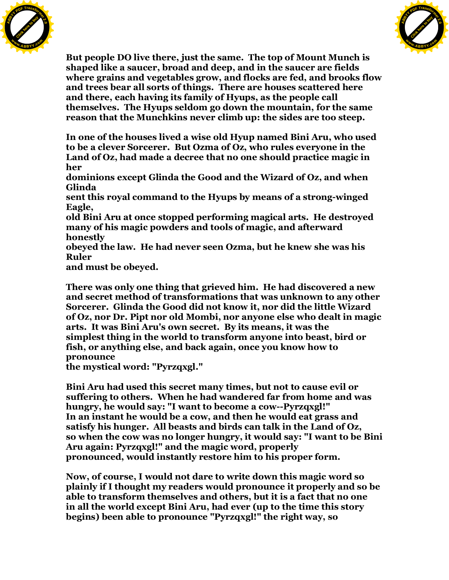



**But people DO live there, just the same. The top of Mount Munch is shaped like a saucer, broad and deep, and in the saucer are fields where grains and vegetables grow, and flocks are fed, and brooks flow and trees bear all sorts of things. There are houses scattered here and there, each having its family of Hyups, as the people call themselves. The Hyups seldom go down the mountain, for the same reason that the Munchkins never climb up: the sides are too steep.**

**In one of the houses lived a wise old Hyup named Bini Aru, who used to be a clever Sorcerer. But Ozma of Oz, who rules everyone in the Land of Oz, had made a decree that no one should practice magic in her**

**dominions except Glinda the Good and the Wizard of Oz, and when Glinda**

**sent this royal command to the Hyups by means of a strong-winged Eagle,**

**old Bini Aru at once stopped performing magical arts. He destroyed many of his magic powders and tools of magic, and afterward honestly**

**obeyed the law. He had never seen Ozma, but he knew she was his Ruler**

**and must be obeyed.**

**There was only one thing that grieved him. He had discovered a new and secret method of transformations that was unknown to any other Sorcerer. Glinda the Good did not know it, nor did the little Wizard of Oz, nor Dr. Pipt nor old Mombi, nor anyone else who dealt in magic arts. It was Bini Aru's own secret. By its means, it was the simplest thing in the world to transform anyone into beast, bird or fish, or anything else, and back again, once you know how to pronounce**

**the mystical word: "Pyrzqxgl."**

**Bini Aru had used this secret many times, but not to cause evil or suffering to others. When he had wandered far from home and was hungry, he would say: "I want to become a cow--Pyrzqxgl!" In an instant he would be a cow, and then he would eat grass and satisfy his hunger. All beasts and birds can talk in the Land of Oz, so when the cow was no longer hungry, it would say: "I want to be Bini Aru again: Pyrzqxgl!" and the magic word, properly pronounced, would instantly restore him to his proper form.**

**Now, of course, I would not dare to write down this magic word so plainly if I thought my readers would pronounce it properly and so be able to transform themselves and others, but it is a fact that no one in all the world except Bini Aru, had ever (up to the time this story begins) been able to pronounce "Pyrzqxgl!" the right way, so**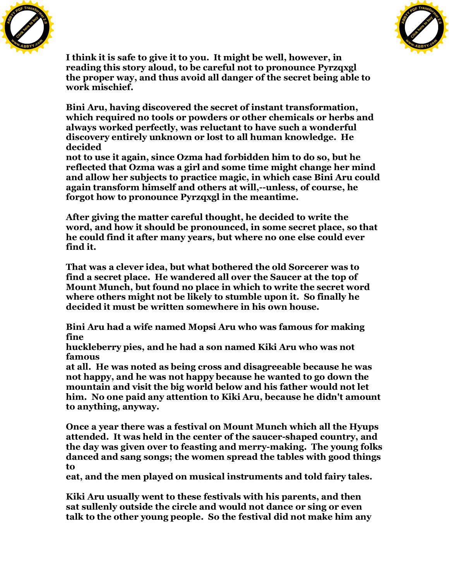



**I think it is safe to give it to you. It might be well, however, in reading this story aloud, to be careful not to pronounce Pyrzqxgl the proper way, and thus avoid all danger of the secret being able to work mischief.**

**Bini Aru, having discovered the secret of instant transformation, which required no tools or powders or other chemicals or herbs and always worked perfectly, was reluctant to have such a wonderful discovery entirely unknown or lost to all human knowledge. He decided**

**not to use it again, since Ozma had forbidden him to do so, but he reflected that Ozma was a girl and some time might change her mind and allow her subjects to practice magic, in which case Bini Aru could again transform himself and others at will,--unless, of course, he forgot how to pronounce Pyrzqxgl in the meantime.**

**After giving the matter careful thought, he decided to write the word, and how it should be pronounced, in some secret place, so that he could find it after many years, but where no one else could ever find it.**

**That was a clever idea, but what bothered the old Sorcerer was to find a secret place. He wandered all over the Saucer at the top of Mount Munch, but found no place in which to write the secret word where others might not be likely to stumble upon it. So finally he decided it must be written somewhere in his own house.**

**Bini Aru had a wife named Mopsi Aru who was famous for making fine**

**huckleberry pies, and he had a son named Kiki Aru who was not famous**

**at all. He was noted as being cross and disagreeable because he was not happy, and he was not happy because he wanted to go down the mountain and visit the big world below and his father would not let him. No one paid any attention to Kiki Aru, because he didn't amount to anything, anyway.**

**Once a year there was a festival on Mount Munch which all the Hyups attended. It was held in the center of the saucer-shaped country, and the day was given over to feasting and merry-making. The young folks danced and sang songs; the women spread the tables with good things to**

**eat, and the men played on musical instruments and told fairy tales.**

**Kiki Aru usually went to these festivals with his parents, and then sat sullenly outside the circle and would not dance or sing or even talk to the other young people. So the festival did not make him any**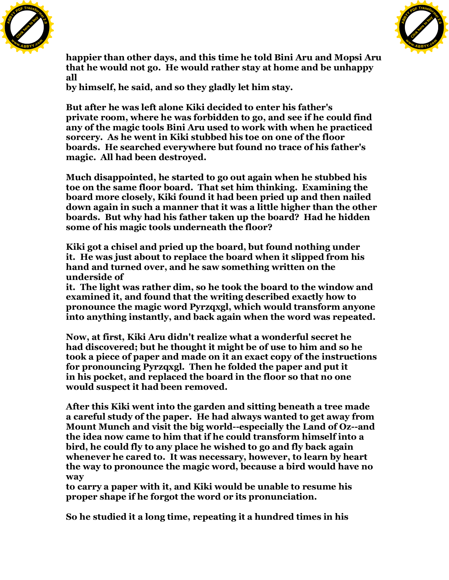



**happier than other days, and this time he told Bini Aru and Mopsi Aru that he would not go. He would rather stay at home and be unhappy all**

**by himself, he said, and so they gladly let him stay.**

**But after he was left alone Kiki decided to enter his father's private room, where he was forbidden to go, and see if he could find any of the magic tools Bini Aru used to work with when he practiced sorcery. As he went in Kiki stubbed his toe on one of the floor boards. He searched everywhere but found no trace of his father's magic. All had been destroyed.**

**Much disappointed, he started to go out again when he stubbed his toe on the same floor board. That set him thinking. Examining the board more closely, Kiki found it had been pried up and then nailed down again in such a manner that it was a little higher than the other boards. But why had his father taken up the board? Had he hidden some of his magic tools underneath the floor?**

**Kiki got a chisel and pried up the board, but found nothing under it. He was just about to replace the board when it slipped from his hand and turned over, and he saw something written on the underside of**

**it. The light was rather dim, so he took the board to the window and examined it, and found that the writing described exactly how to pronounce the magic word Pyrzqxgl, which would transform anyone into anything instantly, and back again when the word was repeated.**

**Now, at first, Kiki Aru didn't realize what a wonderful secret he had discovered; but he thought it might be of use to him and so he took a piece of paper and made on it an exact copy of the instructions for pronouncing Pyrzqxgl. Then he folded the paper and put it in his pocket, and replaced the board in the floor so that no one would suspect it had been removed.**

**After this Kiki went into the garden and sitting beneath a tree made a careful study of the paper. He had always wanted to get away from Mount Munch and visit the big world--especially the Land of Oz--and the idea now came to him that if he could transform himself into a bird, he could fly to any place he wished to go and fly back again whenever he cared to. It was necessary, however, to learn by heart the way to pronounce the magic word, because a bird would have no way**

**to carry a paper with it, and Kiki would be unable to resume his proper shape if he forgot the word or its pronunciation.**

**So he studied it a long time, repeating it a hundred times in his**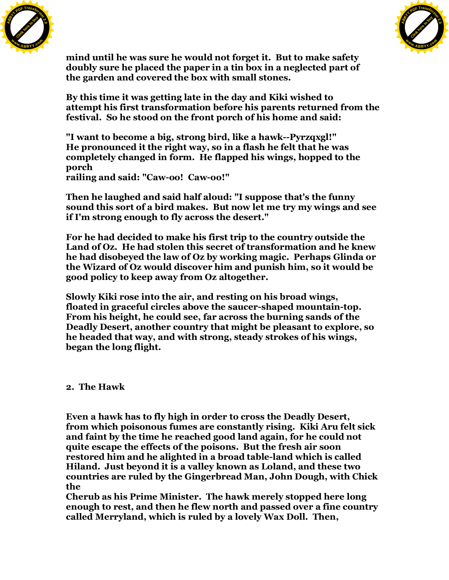



**mind until he was sure he would not forget it. But to make safety doubly sure he placed the paper in a tin box in a neglected part of the garden and covered the box with small stones.**

**By this time it was getting late in the day and Kiki wished to attempt his first transformation before his parents returned from the festival. So he stood on the front porch of his home and said:**

**"I want to become a big, strong bird, like a hawk--Pyrzqxgl!" He pronounced it the right way, so in a flash he felt that he was completely changed in form. He flapped his wings, hopped to the porch**

**railing and said: "Caw-oo! Caw-oo!"**

**Then he laughed and said half aloud: "I suppose that's the funny sound this sort of a bird makes. But now let me try my wings and see if I'm strong enough to fly across the desert."**

**For he had decided to make his first trip to the country outside the Land of Oz. He had stolen this secret of transformation and he knew he had disobeyed the law of Oz by working magic. Perhaps Glinda or the Wizard of Oz would discover him and punish him, so it would be good policy to keep away from Oz altogether.**

**Slowly Kiki rose into the air, and resting on his broad wings, floated in graceful circles above the saucer-shaped mountain-top. From his height, he could see, far across the burning sands of the Deadly Desert, another country that might be pleasant to explore, so he headed that way, and with strong, steady strokes of his wings, began the long flight.**

## **2. The Hawk**

**Even a hawk has to fly high in order to cross the Deadly Desert, from which poisonous fumes are constantly rising. Kiki Aru felt sick and faint by the time he reached good land again, for he could not quite escape the effects of the poisons. But the fresh air soon restored him and he alighted in a broad table-land which is called Hiland. Just beyond it is a valley known as Loland, and these two countries are ruled by the Gingerbread Man, John Dough, with Chick the**

**Cherub as his Prime Minister. The hawk merely stopped here long enough to rest, and then he flew north and passed over a fine country called Merryland, which is ruled by a lovely Wax Doll. Then,**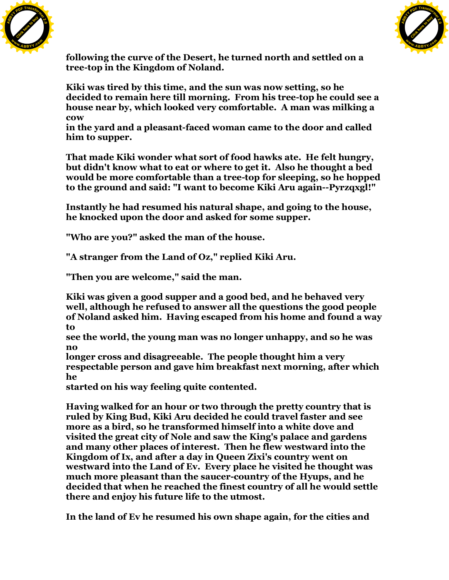



**following the curve of the Desert, he turned north and settled on a tree-top in the Kingdom of Noland.**

**Kiki was tired by this time, and the sun was now setting, so he decided to remain here till morning. From his tree-top he could see a house near by, which looked very comfortable. A man was milking a cow**

**in the yard and a pleasant-faced woman came to the door and called him to supper.**

**That made Kiki wonder what sort of food hawks ate. He felt hungry, but didn't know what to eat or where to get it. Also he thought a bed would be more comfortable than a tree-top for sleeping, so he hopped to the ground and said: "I want to become Kiki Aru again--Pyrzqxgl!"**

**Instantly he had resumed his natural shape, and going to the house, he knocked upon the door and asked for some supper.**

**"Who are you?" asked the man of the house.**

**"A stranger from the Land of Oz," replied Kiki Aru.**

**"Then you are welcome," said the man.**

**Kiki was given a good supper and a good bed, and he behaved very well, although he refused to answer all the questions the good people of Noland asked him. Having escaped from his home and found a way to**

**see the world, the young man was no longer unhappy, and so he was no**

**longer cross and disagreeable. The people thought him a very respectable person and gave him breakfast next morning, after which he**

**started on his way feeling quite contented.**

**Having walked for an hour or two through the pretty country that is ruled by King Bud, Kiki Aru decided he could travel faster and see more as a bird, so he transformed himself into a white dove and visited the great city of Nole and saw the King's palace and gardens and many other places of interest. Then he flew westward into the Kingdom of Ix, and after a day in Queen Zixi's country went on westward into the Land of Ev. Every place he visited he thought was much more pleasant than the saucer-country of the Hyups, and he decided that when he reached the finest country of all he would settle there and enjoy his future life to the utmost.**

**In the land of Ev he resumed his own shape again, for the cities and**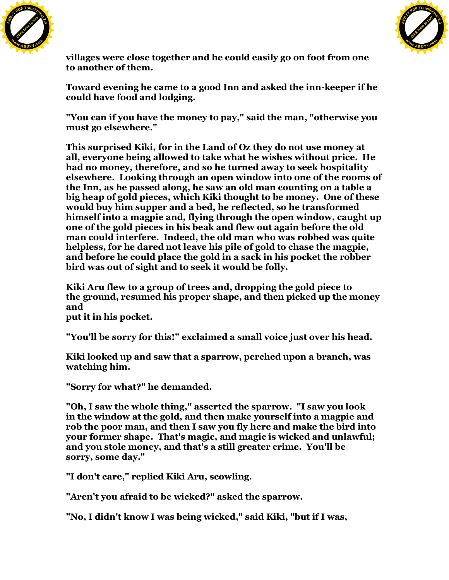



**villages were close together and he could easily go on foot from one to another of them.**

**Toward evening he came to a good Inn and asked the inn-keeper if he could have food and lodging.**

**"You can if you have the money to pay," said the man, "otherwise you must go elsewhere."**

**This surprised Kiki, for in the Land of Oz they do not use money at all, everyone being allowed to take what he wishes without price. He had no money, therefore, and so he turned away to seek hospitality elsewhere. Looking through an open window into one of the rooms of the Inn, as he passed along, he saw an old man counting on a table a big heap of gold pieces, which Kiki thought to be money. One of these would buy him supper and a bed, he reflected, so he transformed himself into a magpie and, flying through the open window, caught up one of the gold pieces in his beak and flew out again before the old man could interfere. Indeed, the old man who was robbed was quite helpless, for he dared not leave his pile of gold to chase the magpie, and before he could place the gold in a sack in his pocket the robber bird was out of sight and to seek it would be folly.**

**Kiki Aru flew to a group of trees and, dropping the gold piece to the ground, resumed his proper shape, and then picked up the money and**

**put it in his pocket.**

**"You'll be sorry for this!" exclaimed a small voice just over his head.**

**Kiki looked up and saw that a sparrow, perched upon a branch, was watching him.**

**"Sorry for what?" he demanded.**

**"Oh, I saw the whole thing," asserted the sparrow. "I saw you look in the window at the gold, and then make yourself into a magpie and rob the poor man, and then I saw you fly here and make the bird into your former shape. That's magic, and magic is wicked and unlawful; and you stole money, and that's a still greater crime. You'll be sorry, some day."**

**"I don't care," replied Kiki Aru, scowling.**

**"Aren't you afraid to be wicked?" asked the sparrow.**

**"No, I didn't know I was being wicked," said Kiki, "but if I was,**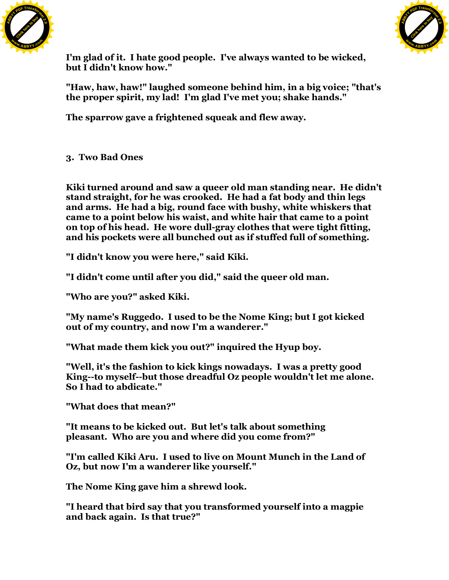



**I'm glad of it. I hate good people. I've always wanted to be wicked, but I didn't know how."**

**"Haw, haw, haw!" laughed someone behind him, in a big voice; "that's the proper spirit, my lad! I'm glad I've met you; shake hands."**

**The sparrow gave a frightened squeak and flew away.**

**3. Two Bad Ones**

**Kiki turned around and saw a queer old man standing near. He didn't stand straight, for he was crooked. He had a fat body and thin legs and arms. He had a big, round face with bushy, white whiskers that came to a point below his waist, and white hair that came to a point on top of his head. He wore dull-gray clothes that were tight fitting, and his pockets were all bunched out as if stuffed full of something.**

**"I didn't know you were here," said Kiki.**

**"I didn't come until after you did," said the queer old man.**

**"Who are you?" asked Kiki.**

**"My name's Ruggedo. I used to be the Nome King; but I got kicked out of my country, and now I'm a wanderer."**

**"What made them kick you out?" inquired the Hyup boy.**

**"Well, it's the fashion to kick kings nowadays. I was a pretty good King--to myself--but those dreadful Oz people wouldn't let me alone. So I had to abdicate."**

**"What does that mean?"**

**"It means to be kicked out. But let's talk about something pleasant. Who are you and where did you come from?"**

**"I'm called Kiki Aru. I used to live on Mount Munch in the Land of Oz, but now I'm a wanderer like yourself."**

**The Nome King gave him a shrewd look.**

**"I heard that bird say that you transformed yourself into a magpie and back again. Is that true?"**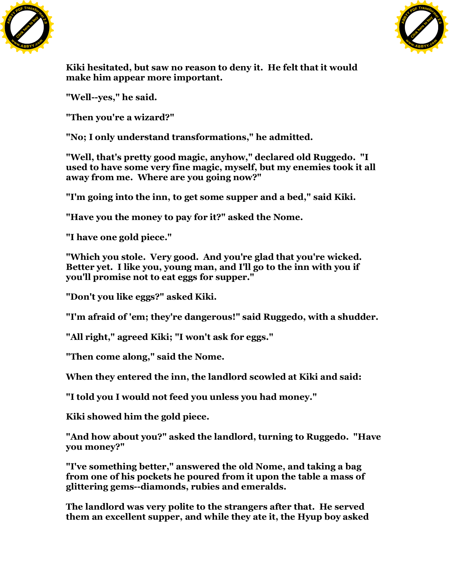



**Kiki hesitated, but saw no reason to deny it. He felt that it would make him appear more important.**

**"Well--yes," he said.**

**"Then you're a wizard?"**

**"No; I only understand transformations," he admitted.**

**"Well, that's pretty good magic, anyhow," declared old Ruggedo. "I used to have some very fine magic, myself, but my enemies took it all away from me. Where are you going now?"**

**"I'm going into the inn, to get some supper and a bed," said Kiki.**

**"Have you the money to pay for it?" asked the Nome.**

**"I have one gold piece."**

**"Which you stole. Very good. And you're glad that you're wicked. Better yet. I like you, young man, and I'll go to the inn with you if you'll promise not to eat eggs for supper."**

**"Don't you like eggs?" asked Kiki.**

**"I'm afraid of 'em; they're dangerous!" said Ruggedo, with a shudder.**

**"All right," agreed Kiki; "I won't ask for eggs."**

**"Then come along," said the Nome.**

**When they entered the inn, the landlord scowled at Kiki and said:**

**"I told you I would not feed you unless you had money."**

**Kiki showed him the gold piece.**

**"And how about you?" asked the landlord, turning to Ruggedo. "Have you money?"**

**"I've something better," answered the old Nome, and taking a bag from one of his pockets he poured from it upon the table a mass of glittering gems--diamonds, rubies and emeralds.**

**The landlord was very polite to the strangers after that. He served them an excellent supper, and while they ate it, the Hyup boy asked**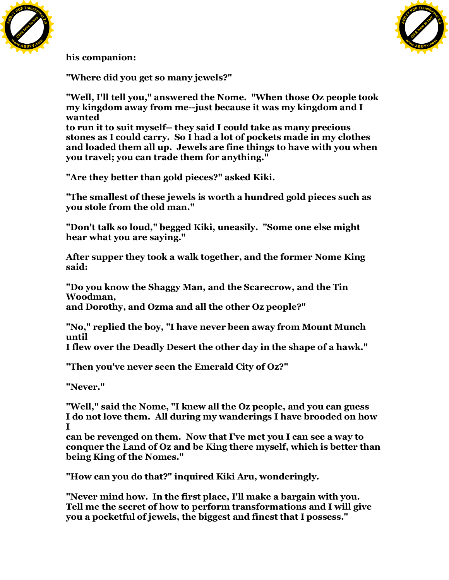



**his companion:**

**"Where did you get so many jewels?"**

**"Well, I'll tell you," answered the Nome. "When those Oz people took my kingdom away from me--just because it was my kingdom and I wanted**

**to run it to suit myself-- they said I could take as many precious stones as I could carry. So I had a lot of pockets made in my clothes and loaded them all up. Jewels are fine things to have with you when you travel; you can trade them for anything."**

**"Are they better than gold pieces?" asked Kiki.**

**"The smallest of these jewels is worth a hundred gold pieces such as you stole from the old man."**

**"Don't talk so loud," begged Kiki, uneasily. "Some one else might hear what you are saying."**

**After supper they took a walk together, and the former Nome King said:**

**"Do you know the Shaggy Man, and the Scarecrow, and the Tin Woodman, and Dorothy, and Ozma and all the other Oz people?"**

**"No," replied the boy, "I have never been away from Mount Munch until**

**I flew over the Deadly Desert the other day in the shape of a hawk."**

**"Then you've never seen the Emerald City of Oz?"**

**"Never."**

**"Well," said the Nome, "I knew all the Oz people, and you can guess I do not love them. All during my wanderings I have brooded on how I**

**can be revenged on them. Now that I've met you I can see a way to conquer the Land of Oz and be King there myself, which is better than being King of the Nomes."**

**"How can you do that?" inquired Kiki Aru, wonderingly.**

**"Never mind how. In the first place, I'll make a bargain with you. Tell me the secret of how to perform transformations and I will give you a pocketful of jewels, the biggest and finest that I possess."**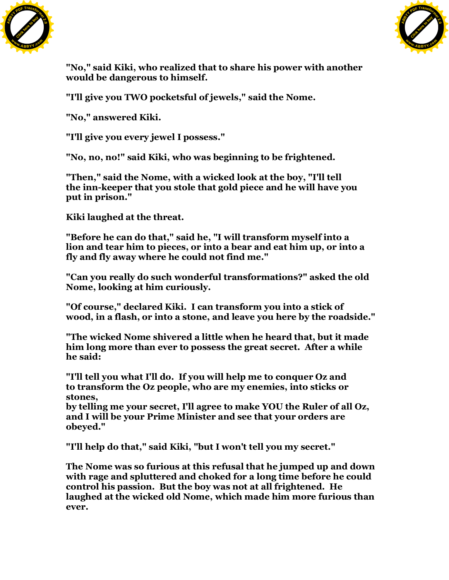



**"No," said Kiki, who realized that to share his power with another would be dangerous to himself.**

**"I'll give you TWO pocketsful of jewels," said the Nome.**

**"No," answered Kiki.**

**"I'll give you every jewel I possess."**

**"No, no, no!" said Kiki, who was beginning to be frightened.**

**"Then," said the Nome, with a wicked look at the boy, "I'll tell the inn-keeper that you stole that gold piece and he will have you put in prison."**

**Kiki laughed at the threat.**

**"Before he can do that," said he, "I will transform myself into a lion and tear him to pieces, or into a bear and eat him up, or into a fly and fly away where he could not find me."**

**"Can you really do such wonderful transformations?" asked the old Nome, looking at him curiously.**

**"Of course," declared Kiki. I can transform you into a stick of wood, in a flash, or into a stone, and leave you here by the roadside."**

**"The wicked Nome shivered a little when he heard that, but it made him long more than ever to possess the great secret. After a while he said:**

**"I'll tell you what I'll do. If you will help me to conquer Oz and to transform the Oz people, who are my enemies, into sticks or stones,**

**by telling me your secret, I'll agree to make YOU the Ruler of all Oz, and I will be your Prime Minister and see that your orders are obeyed."**

**"I'll help do that," said Kiki, "but I won't tell you my secret."**

**The Nome was so furious at this refusal that he jumped up and down with rage and spluttered and choked for a long time before he could control his passion. But the boy was not at all frightened. He laughed at the wicked old Nome, which made him more furious than ever.**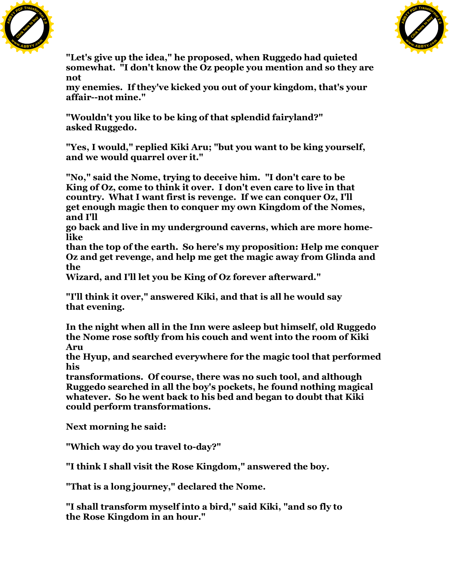



**"Let's give up the idea," he proposed, when Ruggedo had quieted somewhat. "I don't know the Oz people you mention and so they are not**

**my enemies. If they've kicked you out of your kingdom, that's your affair--not mine."**

**"Wouldn't you like to be king of that splendid fairyland?" asked Ruggedo.**

**"Yes, I would," replied Kiki Aru; "but you want to be king yourself, and we would quarrel over it."**

**"No," said the Nome, trying to deceive him. "I don't care to be King of Oz, come to think it over. I don't even care to live in that country. What I want first is revenge. If we can conquer Oz, I'll get enough magic then to conquer my own Kingdom of the Nomes, and I'll**

**go back and live in my underground caverns, which are more homelike**

**than the top of the earth. So here's my proposition: Help me conquer Oz and get revenge, and help me get the magic away from Glinda and the**

**Wizard, and I'll let you be King of Oz forever afterward."**

**"I'll think it over," answered Kiki, and that is all he would say that evening.**

**In the night when all in the Inn were asleep but himself, old Ruggedo the Nome rose softly from his couch and went into the room of Kiki Aru**

**the Hyup, and searched everywhere for the magic tool that performed his**

**transformations. Of course, there was no such tool, and although Ruggedo searched in all the boy's pockets, he found nothing magical whatever. So he went back to his bed and began to doubt that Kiki could perform transformations.**

**Next morning he said:**

**"Which way do you travel to-day?"**

**"I think I shall visit the Rose Kingdom," answered the boy.**

**"That is a long journey," declared the Nome.**

**"I shall transform myself into a bird," said Kiki, "and so fly to the Rose Kingdom in an hour."**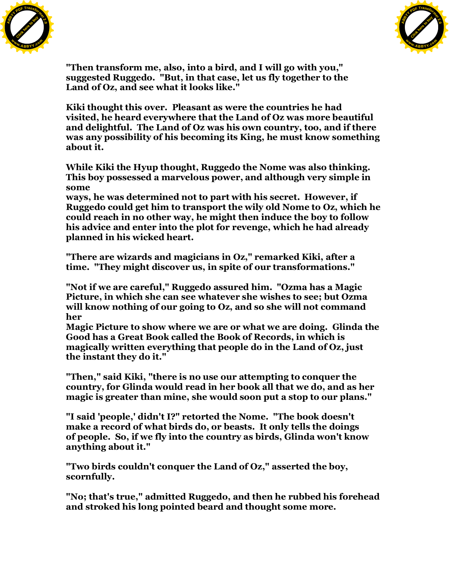



**"Then transform me, also, into a bird, and I will go with you," suggested Ruggedo. "But, in that case, let us fly together to the Land of Oz, and see what it looks like."**

**Kiki thought this over. Pleasant as were the countries he had visited, he heard everywhere that the Land of Oz was more beautiful and delightful. The Land of Oz was his own country, too, and if there was any possibility of his becoming its King, he must know something about it.**

**While Kiki the Hyup thought, Ruggedo the Nome was also thinking. This boy possessed a marvelous power, and although very simple in some**

**ways, he was determined not to part with his secret. However, if Ruggedo could get him to transport the wily old Nome to Oz, which he could reach in no other way, he might then induce the boy to follow his advice and enter into the plot for revenge, which he had already planned in his wicked heart.**

**"There are wizards and magicians in Oz," remarked Kiki, after a time. "They might discover us, in spite of our transformations."**

**"Not if we are careful," Ruggedo assured him. "Ozma has a Magic Picture, in which she can see whatever she wishes to see; but Ozma will know nothing of our going to Oz, and so she will not command her**

**Magic Picture to show where we are or what we are doing. Glinda the Good has a Great Book called the Book of Records, in which is magically written everything that people do in the Land of Oz, just the instant they do it."**

**"Then," said Kiki, "there is no use our attempting to conquer the country, for Glinda would read in her book all that we do, and as her magic is greater than mine, she would soon put a stop to our plans."**

**"I said 'people,' didn't I?" retorted the Nome. "The book doesn't make a record of what birds do, or beasts. It only tells the doings of people. So, if we fly into the country as birds, Glinda won't know anything about it."**

**"Two birds couldn't conquer the Land of Oz," asserted the boy, scornfully.**

**"No; that's true," admitted Ruggedo, and then he rubbed his forehead and stroked his long pointed beard and thought some more.**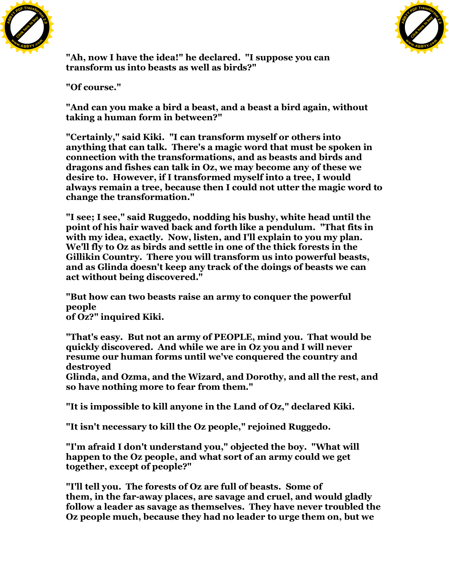



**"Ah, now I have the idea!" he declared. "I suppose you can transform us into beasts as well as birds?"**

**"Of course."**

**"And can you make a bird a beast, and a beast a bird again, without taking a human form in between?"**

**"Certainly," said Kiki. "I can transform myself or others into anything that can talk. There's a magic word that must be spoken in connection with the transformations, and as beasts and birds and dragons and fishes can talk in Oz, we may become any of these we desire to. However, if I transformed myself into a tree, I would always remain a tree, because then I could not utter the magic word to change the transformation."**

**"I see; I see," said Ruggedo, nodding his bushy, white head until the point of his hair waved back and forth like a pendulum. "That fits in with my idea, exactly. Now, listen, and I'll explain to you my plan. We'll fly to Oz as birds and settle in one of the thick forests in the Gillikin Country. There you will transform us into powerful beasts, and as Glinda doesn't keep any track of the doings of beasts we can act without being discovered."**

**"But how can two beasts raise an army to conquer the powerful people of Oz?" inquired Kiki.**

**"That's easy. But not an army of PEOPLE, mind you. That would be quickly discovered. And while we are in Oz you and I will never resume our human forms until we've conquered the country and destroyed**

**Glinda, and Ozma, and the Wizard, and Dorothy, and all the rest, and so have nothing more to fear from them."**

**"It is impossible to kill anyone in the Land of Oz," declared Kiki.**

**"It isn't necessary to kill the Oz people," rejoined Ruggedo.**

**"I'm afraid I don't understand you," objected the boy. "What will happen to the Oz people, and what sort of an army could we get together, except of people?"**

**"I'll tell you. The forests of Oz are full of beasts. Some of them, in the far-away places, are savage and cruel, and would gladly follow a leader as savage as themselves. They have never troubled the Oz people much, because they had no leader to urge them on, but we**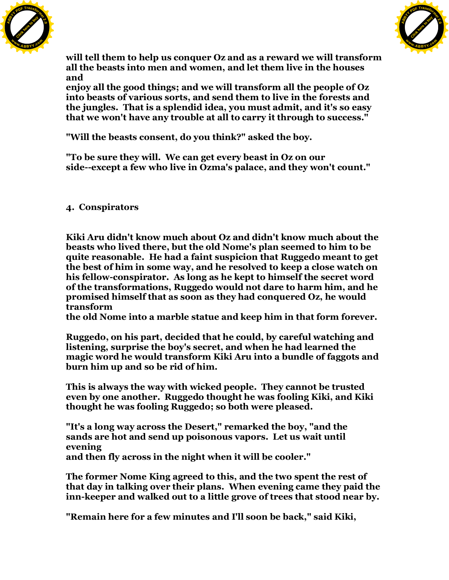



**will tell them to help us conquer Oz and as a reward we will transform all the beasts into men and women, and let them live in the houses and**

**enjoy all the good things; and we will transform all the people of Oz into beasts of various sorts, and send them to live in the forests and the jungles. That is a splendid idea, you must admit, and it's so easy that we won't have any trouble at all to carry it through to success."**

**"Will the beasts consent, do you think?" asked the boy.**

**"To be sure they will. We can get every beast in Oz on our side--except a few who live in Ozma's palace, and they won't count."**

**4. Conspirators**

**Kiki Aru didn't know much about Oz and didn't know much about the beasts who lived there, but the old Nome's plan seemed to him to be quite reasonable. He had a faint suspicion that Ruggedo meant to get the best of him in some way, and he resolved to keep a close watch on his fellow-conspirator. As long as he kept to himself the secret word of the transformations, Ruggedo would not dare to harm him, and he promised himself that as soon as they had conquered Oz, he would transform**

**the old Nome into a marble statue and keep him in that form forever.**

**Ruggedo, on his part, decided that he could, by careful watching and listening, surprise the boy's secret, and when he had learned the magic word he would transform Kiki Aru into a bundle of faggots and burn him up and so be rid of him.**

**This is always the way with wicked people. They cannot be trusted even by one another. Ruggedo thought he was fooling Kiki, and Kiki thought he was fooling Ruggedo; so both were pleased.**

**"It's a long way across the Desert," remarked the boy, "and the sands are hot and send up poisonous vapors. Let us wait until evening**

**and then fly across in the night when it will be cooler."**

**The former Nome King agreed to this, and the two spent the rest of that day in talking over their plans. When evening came they paid the inn-keeper and walked out to a little grove of trees that stood near by.**

**"Remain here for a few minutes and I'll soon be back," said Kiki,**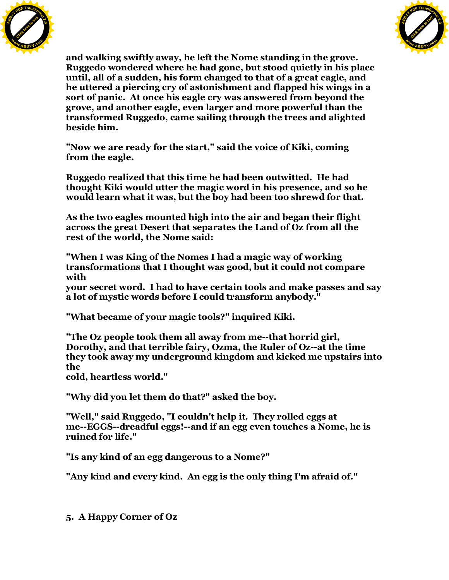



**and walking swiftly away, he left the Nome standing in the grove. Ruggedo wondered where he had gone, but stood quietly in his place until, all of a sudden, his form changed to that of a great eagle, and he uttered a piercing cry of astonishment and flapped his wings in a sort of panic. At once his eagle cry was answered from beyond the grove, and another eagle, even larger and more powerful than the transformed Ruggedo, came sailing through the trees and alighted beside him.**

**"Now we are ready for the start," said the voice of Kiki, coming from the eagle.**

**Ruggedo realized that this time he had been outwitted. He had thought Kiki would utter the magic word in his presence, and so he would learn what it was, but the boy had been too shrewd for that.**

**As the two eagles mounted high into the air and began their flight across the great Desert that separates the Land of Oz from all the rest of the world, the Nome said:**

**"When I was King of the Nomes I had a magic way of working transformations that I thought was good, but it could not compare with**

**your secret word. I had to have certain tools and make passes and say a lot of mystic words before I could transform anybody."**

**"What became of your magic tools?" inquired Kiki.**

**"The Oz people took them all away from me--that horrid girl, Dorothy, and that terrible fairy, Ozma, the Ruler of Oz--at the time they took away my underground kingdom and kicked me upstairs into the**

**cold, heartless world."**

**"Why did you let them do that?" asked the boy.**

**"Well," said Ruggedo, "I couldn't help it. They rolled eggs at me--EGGS--dreadful eggs!--and if an egg even touches a Nome, he is ruined for life."**

**"Is any kind of an egg dangerous to a Nome?"**

**"Any kind and every kind. An egg is the only thing I'm afraid of."**

**5. A Happy Corner of Oz**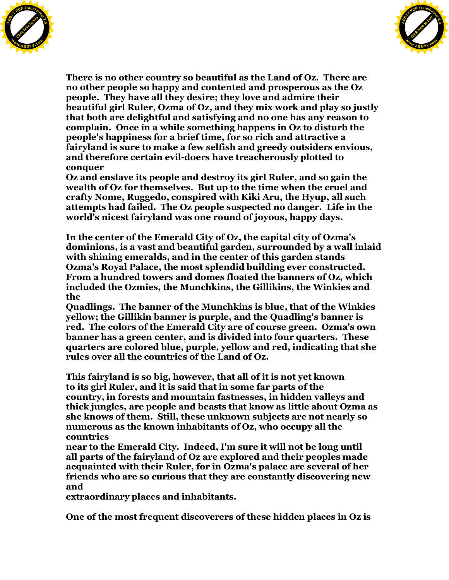



**There is no other country so beautiful as the Land of Oz. There are no other people so happy and contented and prosperous as the Oz people. They have all they desire; they love and admire their beautiful girl Ruler, Ozma of Oz, and they mix work and play so justly that both are delightful and satisfying and no one has any reason to complain. Once in a while something happens in Oz to disturb the people's happiness for a brief time, for so rich and attractive a fairyland is sure to make a few selfish and greedy outsiders envious, and therefore certain evil-doers have treacherously plotted to conquer**

**Oz and enslave its people and destroy its girl Ruler, and so gain the wealth of Oz for themselves. But up to the time when the cruel and crafty Nome, Ruggedo, conspired with Kiki Aru, the Hyup, all such attempts had failed. The Oz people suspected no danger. Life in the world's nicest fairyland was one round of joyous, happy days.**

**In the center of the Emerald City of Oz, the capital city of Ozma's dominions, is a vast and beautiful garden, surrounded by a wall inlaid with shining emeralds, and in the center of this garden stands Ozma's Royal Palace, the most splendid building ever constructed. From a hundred towers and domes floated the banners of Oz, which included the Ozmies, the Munchkins, the Gillikins, the Winkies and the**

**Quadlings. The banner of the Munchkins is blue, that of the Winkies yellow; the Gillikin banner is purple, and the Quadling's banner is red. The colors of the Emerald City are of course green. Ozma's own banner has a green center, and is divided into four quarters. These quarters are colored blue, purple, yellow and red, indicating that she rules over all the countries of the Land of Oz.**

**This fairyland is so big, however, that all of it is not yet known to its girl Ruler, and it is said that in some far parts of the country, in forests and mountain fastnesses, in hidden valleys and thick jungles, are people and beasts that know as little about Ozma as she knows of them. Still, these unknown subjects are not nearly so numerous as the known inhabitants of Oz, who occupy all the countries**

**near to the Emerald City. Indeed, I'm sure it will not be long until all parts of the fairyland of Oz are explored and their peoples made acquainted with their Ruler, for in Ozma's palace are several of her friends who are so curious that they are constantly discovering new and**

**extraordinary places and inhabitants.**

**One of the most frequent discoverers of these hidden places in Oz is**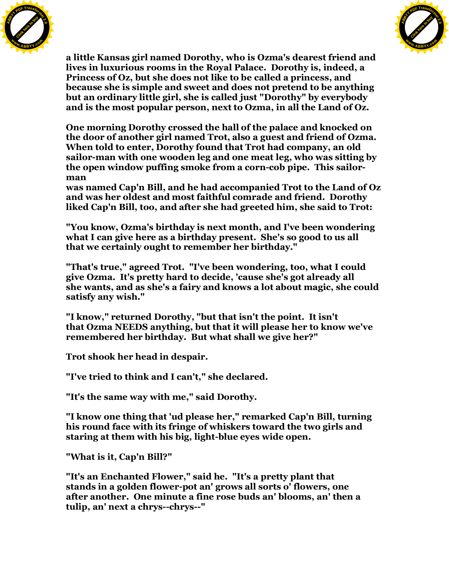



**a little Kansas girl named Dorothy, who is Ozma's dearest friend and lives in luxurious rooms in the Royal Palace. Dorothy is, indeed, a Princess of Oz, but she does not like to be called a princess, and because she is simple and sweet and does not pretend to be anything but an ordinary little girl, she is called just "Dorothy" by everybody and is the most popular person, next to Ozma, in all the Land of Oz.**

**One morning Dorothy crossed the hall of the palace and knocked on the door of another girl named Trot, also a guest and friend of Ozma. When told to enter, Dorothy found that Trot had company, an old sailor-man with one wooden leg and one meat leg, who was sitting by the open window puffing smoke from a corn-cob pipe. This sailorman**

**was named Cap'n Bill, and he had accompanied Trot to the Land of Oz and was her oldest and most faithful comrade and friend. Dorothy liked Cap'n Bill, too, and after she had greeted him, she said to Trot:**

**"You know, Ozma's birthday is next month, and I've been wondering what I can give here as a birthday present. She's so good to us all that we certainly ought to remember her birthday."**

**"That's true," agreed Trot. "I've been wondering, too, what I could give Ozma. It's pretty hard to decide, 'cause she's got already all she wants, and as she's a fairy and knows a lot about magic, she could satisfy any wish."**

**"I know," returned Dorothy, "but that isn't the point. It isn't that Ozma NEEDS anything, but that it will please her to know we've remembered her birthday. But what shall we give her?"**

**Trot shook her head in despair.**

**"I've tried to think and I can't," she declared.**

**"It's the same way with me," said Dorothy.**

**"I know one thing that 'ud please her," remarked Cap'n Bill, turning his round face with its fringe of whiskers toward the two girls and staring at them with his big, light-blue eyes wide open.**

**"What is it, Cap'n Bill?"**

**"It's an Enchanted Flower," said he. "It's a pretty plant that stands in a golden flower-pot an' grows all sorts o' flowers, one after another. One minute a fine rose buds an' blooms, an' then a tulip, an' next a chrys--chrys--"**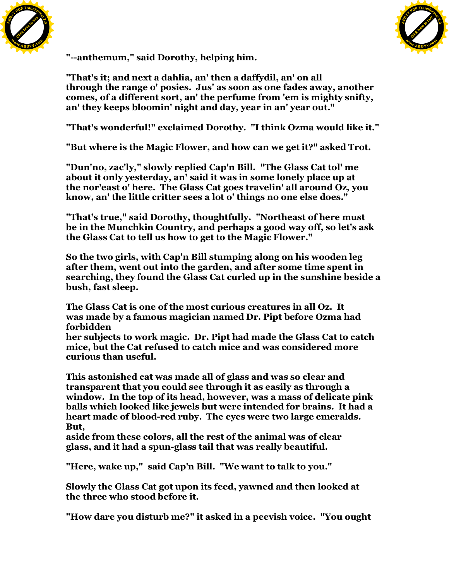



**"--anthemum," said Dorothy, helping him.**

**"That's it; and next a dahlia, an' then a daffydil, an' on all through the range o' posies. Jus' as soon as one fades away, another comes, of a different sort, an' the perfume from 'em is mighty snifty, an' they keeps bloomin' night and day, year in an' year out."**

**"That's wonderful!" exclaimed Dorothy. "I think Ozma would like it."**

**"But where is the Magic Flower, and how can we get it?" asked Trot.**

**"Dun'no, zac'ly," slowly replied Cap'n Bill. "The Glass Cat tol' me about it only yesterday, an' said it was in some lonely place up at the nor'east o' here. The Glass Cat goes travelin' all around Oz, you know, an' the little critter sees a lot o' things no one else does."**

**"That's true," said Dorothy, thoughtfully. "Northeast of here must be in the Munchkin Country, and perhaps a good way off, so let's ask the Glass Cat to tell us how to get to the Magic Flower."**

**So the two girls, with Cap'n Bill stumping along on his wooden leg after them, went out into the garden, and after some time spent in searching, they found the Glass Cat curled up in the sunshine beside a bush, fast sleep.**

**The Glass Cat is one of the most curious creatures in all Oz. It was made by a famous magician named Dr. Pipt before Ozma had forbidden**

**her subjects to work magic. Dr. Pipt had made the Glass Cat to catch mice, but the Cat refused to catch mice and was considered more curious than useful.**

**This astonished cat was made all of glass and was so clear and transparent that you could see through it as easily as through a window. In the top of its head, however, was a mass of delicate pink balls which looked like jewels but were intended for brains. It had a heart made of blood-red ruby. The eyes were two large emeralds. But,**

**aside from these colors, all the rest of the animal was of clear glass, and it had a spun-glass tail that was really beautiful.**

**"Here, wake up," said Cap'n Bill. "We want to talk to you."**

**Slowly the Glass Cat got upon its feed, yawned and then looked at the three who stood before it.**

**"How dare you disturb me?" it asked in a peevish voice. "You ought**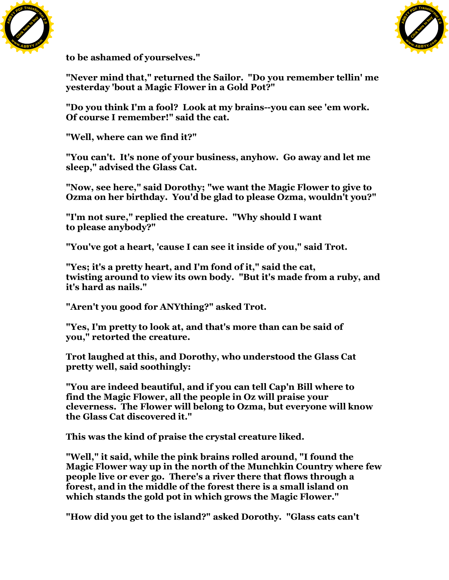



**to be ashamed of yourselves."**

**"Never mind that," returned the Sailor. "Do you remember tellin' me yesterday 'bout a Magic Flower in a Gold Pot?"**

**"Do you think I'm a fool? Look at my brains--you can see 'em work. Of course I remember!" said the cat.**

**"Well, where can we find it?"**

**"You can't. It's none of your business, anyhow. Go away and let me sleep," advised the Glass Cat.**

**"Now, see here," said Dorothy; "we want the Magic Flower to give to Ozma on her birthday. You'd be glad to please Ozma, wouldn't you?"**

**"I'm not sure," replied the creature. "Why should I want to please anybody?"**

**"You've got a heart, 'cause I can see it inside of you," said Trot.**

**"Yes; it's a pretty heart, and I'm fond of it," said the cat, twisting around to view its own body. "But it's made from a ruby, and it's hard as nails."**

**"Aren't you good for ANYthing?" asked Trot.**

**"Yes, I'm pretty to look at, and that's more than can be said of you," retorted the creature.**

**Trot laughed at this, and Dorothy, who understood the Glass Cat pretty well, said soothingly:**

**"You are indeed beautiful, and if you can tell Cap'n Bill where to find the Magic Flower, all the people in Oz will praise your cleverness. The Flower will belong to Ozma, but everyone will know the Glass Cat discovered it."**

**This was the kind of praise the crystal creature liked.**

**"Well," it said, while the pink brains rolled around, "I found the Magic Flower way up in the north of the Munchkin Country where few people live or ever go. There's a river there that flows through a forest, and in the middle of the forest there is a small island on which stands the gold pot in which grows the Magic Flower."**

**"How did you get to the island?" asked Dorothy. "Glass cats can't**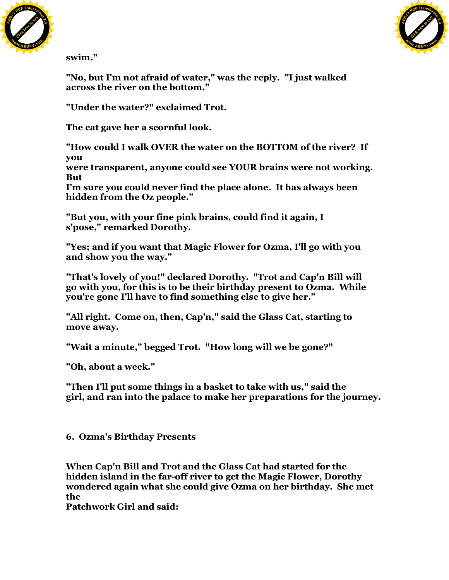



**swim."**

**"No, but I'm not afraid of water," was the reply. "I just walked across the river on the bottom."**

**"Under the water?" exclaimed Trot.**

**The cat gave her a scornful look.**

**"How could I walk OVER the water on the BOTTOM of the river? If you**

**were transparent, anyone could see YOUR brains were not working. But**

**I'm sure you could never find the place alone. It has always been hidden from the Oz people."**

**"But you, with your fine pink brains, could find it again, I s'pose," remarked Dorothy.**

**"Yes; and if you want that Magic Flower for Ozma, I'll go with you and show you the way."**

**"That's lovely of you!" declared Dorothy. "Trot and Cap'n Bill will go with you, for this is to be their birthday present to Ozma. While you're gone I'll have to find something else to give her."**

**"All right. Come on, then, Cap'n," said the Glass Cat, starting to move away.**

**"Wait a minute," begged Trot. "How long will we be gone?"**

**"Oh, about a week."**

**"Then I'll put some things in a basket to take with us," said the girl, and ran into the palace to make her preparations for the journey.**

**6. Ozma's Birthday Presents**

**When Cap'n Bill and Trot and the Glass Cat had started for the hidden island in the far-off river to get the Magic Flower, Dorothy wondered again what she could give Ozma on her birthday. She met the**

**Patchwork Girl and said:**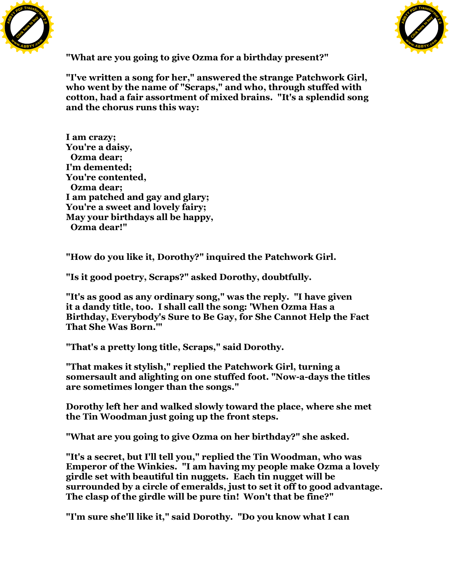



**"What are you going to give Ozma for a birthday present?"**

**"I've written a song for her," answered the strange Patchwork Girl, who went by the name of "Scraps," and who, through stuffed with cotton, had a fair assortment of mixed brains. "It's a splendid song and the chorus runs this way:**

**I am crazy; You're a daisy, Ozma dear; I'm demented; You're contented, Ozma dear; I am patched and gay and glary; You're a sweet and lovely fairy; May your birthdays all be happy, Ozma dear!"**

**"How do you like it, Dorothy?" inquired the Patchwork Girl.**

**"Is it good poetry, Scraps?" asked Dorothy, doubtfully.**

**"It's as good as any ordinary song," was the reply. "I have given it a dandy title, too. I shall call the song: 'When Ozma Has a Birthday, Everybody's Sure to Be Gay, for She Cannot Help the Fact That She Was Born.'"**

**"That's a pretty long title, Scraps," said Dorothy.**

**"That makes it stylish," replied the Patchwork Girl, turning a somersault and alighting on one stuffed foot. "Now-a-days the titles are sometimes longer than the songs."**

**Dorothy left her and walked slowly toward the place, where she met the Tin Woodman just going up the front steps.**

**"What are you going to give Ozma on her birthday?" she asked.**

**"It's a secret, but I'll tell you," replied the Tin Woodman, who was Emperor of the Winkies. "I am having my people make Ozma a lovely girdle set with beautiful tin nuggets. Each tin nugget will be surrounded by a circle of emeralds, just to set it off to good advantage. The clasp of the girdle will be pure tin! Won't that be fine?"**

**"I'm sure she'll like it," said Dorothy. "Do you know what I can**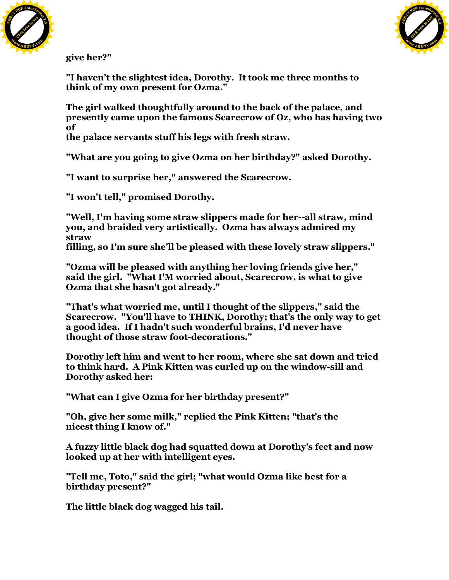



**give her?"**

**"I haven't the slightest idea, Dorothy. It took me three months to think of my own present for Ozma."**

**The girl walked thoughtfully around to the back of the palace, and presently came upon the famous Scarecrow of Oz, who has having two of**

**the palace servants stuff his legs with fresh straw.**

**"What are you going to give Ozma on her birthday?" asked Dorothy.**

**"I want to surprise her," answered the Scarecrow.**

**"I won't tell," promised Dorothy.**

**"Well, I'm having some straw slippers made for her--all straw, mind you, and braided very artistically. Ozma has always admired my straw**

**filling, so I'm sure she'll be pleased with these lovely straw slippers."**

**"Ozma will be pleased with anything her loving friends give her," said the girl. "What I'M worried about, Scarecrow, is what to give Ozma that she hasn't got already."**

**"That's what worried me, until I thought of the slippers," said the Scarecrow. "You'll have to THINK, Dorothy; that's the only way to get a good idea. If I hadn't such wonderful brains, I'd never have thought of those straw foot-decorations."**

**Dorothy left him and went to her room, where she sat down and tried to think hard. A Pink Kitten was curled up on the window-sill and Dorothy asked her:**

**"What can I give Ozma for her birthday present?"**

**"Oh, give her some milk," replied the Pink Kitten; "that's the nicest thing I know of."**

**A fuzzy little black dog had squatted down at Dorothy's feet and now looked up at her with intelligent eyes.**

**"Tell me, Toto," said the girl; "what would Ozma like best for a birthday present?"**

**The little black dog wagged his tail.**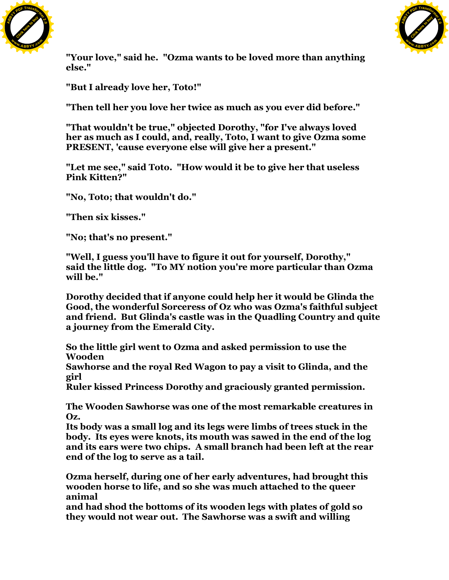



**"Your love," said he. "Ozma wants to be loved more than anything else."**

**"But I already love her, Toto!"**

**"Then tell her you love her twice as much as you ever did before."**

**"That wouldn't be true," objected Dorothy, "for I've always loved her as much as I could, and, really, Toto, I want to give Ozma some PRESENT, 'cause everyone else will give her a present."**

**"Let me see," said Toto. "How would it be to give her that useless Pink Kitten?"**

**"No, Toto; that wouldn't do."**

**"Then six kisses."**

**"No; that's no present."**

**"Well, I guess you'll have to figure it out for yourself, Dorothy," said the little dog. "To MY notion you're more particular than Ozma will be."**

**Dorothy decided that if anyone could help her it would be Glinda the Good, the wonderful Sorceress of Oz who was Ozma's faithful subject and friend. But Glinda's castle was in the Quadling Country and quite a journey from the Emerald City.**

**So the little girl went to Ozma and asked permission to use the Wooden**

**Sawhorse and the royal Red Wagon to pay a visit to Glinda, and the girl**

**Ruler kissed Princess Dorothy and graciously granted permission.**

**The Wooden Sawhorse was one of the most remarkable creatures in Oz.**

**Its body was a small log and its legs were limbs of trees stuck in the body. Its eyes were knots, its mouth was sawed in the end of the log and its ears were two chips. A small branch had been left at the rear end of the log to serve as a tail.**

**Ozma herself, during one of her early adventures, had brought this wooden horse to life, and so she was much attached to the queer animal**

**and had shod the bottoms of its wooden legs with plates of gold so they would not wear out. The Sawhorse was a swift and willing**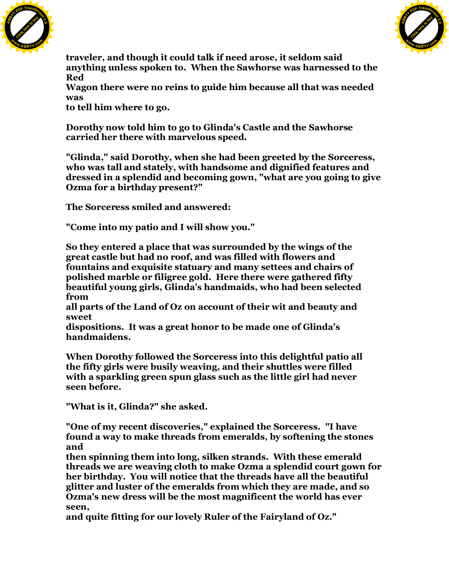



**traveler, and though it could talk if need arose, it seldom said anything unless spoken to. When the Sawhorse was harnessed to the Red**

**Wagon there were no reins to guide him because all that was needed was**

**to tell him where to go.**

**Dorothy now told him to go to Glinda's Castle and the Sawhorse carried her there with marvelous speed.**

**"Glinda," said Dorothy, when she had been greeted by the Sorceress, who was tall and stately, with handsome and dignified features and dressed in a splendid and becoming gown, "what are you going to give Ozma for a birthday present?"**

**The Sorceress smiled and answered:**

**"Come into my patio and I will show you."**

**So they entered a place that was surrounded by the wings of the great castle but had no roof, and was filled with flowers and fountains and exquisite statuary and many settees and chairs of polished marble or filigree gold. Here there were gathered fifty beautiful young girls, Glinda's handmaids, who had been selected from**

**all parts of the Land of Oz on account of their wit and beauty and sweet**

**dispositions. It was a great honor to be made one of Glinda's handmaidens.**

**When Dorothy followed the Sorceress into this delightful patio all the fifty girls were busily weaving, and their shuttles were filled with a sparkling green spun glass such as the little girl had never seen before.**

**"What is it, Glinda?" she asked.**

**"One of my recent discoveries," explained the Sorceress. "I have found a way to make threads from emeralds, by softening the stones and**

**then spinning them into long, silken strands. With these emerald threads we are weaving cloth to make Ozma a splendid court gown for her birthday. You will notice that the threads have all the beautiful glitter and luster of the emeralds from which they are made, and so Ozma's new dress will be the most magnificent the world has ever seen,**

**and quite fitting for our lovely Ruler of the Fairyland of Oz."**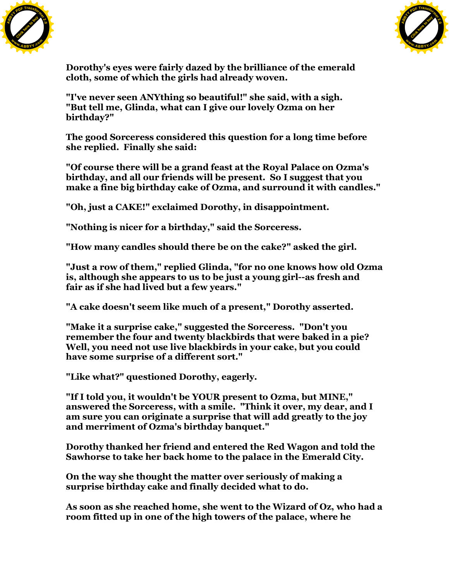



**Dorothy's eyes were fairly dazed by the brilliance of the emerald cloth, some of which the girls had already woven.**

**"I've never seen ANYthing so beautiful!" she said, with a sigh. "But tell me, Glinda, what can I give our lovely Ozma on her birthday?"**

**The good Sorceress considered this question for a long time before she replied. Finally she said:**

**"Of course there will be a grand feast at the Royal Palace on Ozma's birthday, and all our friends will be present. So I suggest that you make a fine big birthday cake of Ozma, and surround it with candles."**

**"Oh, just a CAKE!" exclaimed Dorothy, in disappointment.**

**"Nothing is nicer for a birthday," said the Sorceress.**

**"How many candles should there be on the cake?" asked the girl.**

**"Just a row of them," replied Glinda, "for no one knows how old Ozma is, although she appears to us to be just a young girl--as fresh and fair as if she had lived but a few years."**

**"A cake doesn't seem like much of a present," Dorothy asserted.**

**"Make it a surprise cake," suggested the Sorceress. "Don't you remember the four and twenty blackbirds that were baked in a pie? Well, you need not use live blackbirds in your cake, but you could have some surprise of a different sort."**

**"Like what?" questioned Dorothy, eagerly.**

**"If I told you, it wouldn't be YOUR present to Ozma, but MINE," answered the Sorceress, with a smile. "Think it over, my dear, and I am sure you can originate a surprise that will add greatly to the joy and merriment of Ozma's birthday banquet."**

**Dorothy thanked her friend and entered the Red Wagon and told the Sawhorse to take her back home to the palace in the Emerald City.**

**On the way she thought the matter over seriously of making a surprise birthday cake and finally decided what to do.**

**As soon as she reached home, she went to the Wizard of Oz, who had a room fitted up in one of the high towers of the palace, where he**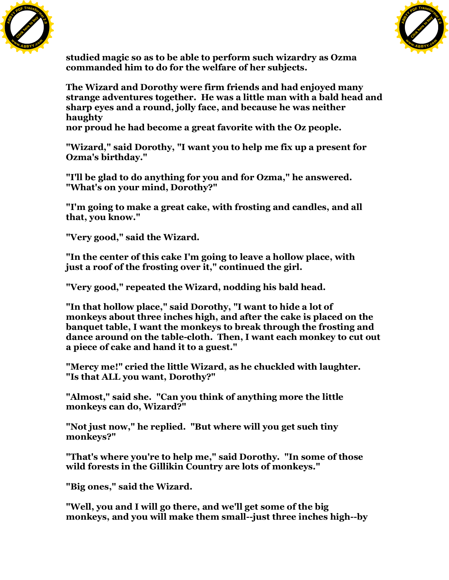



**studied magic so as to be able to perform such wizardry as Ozma commanded him to do for the welfare of her subjects.**

**The Wizard and Dorothy were firm friends and had enjoyed many strange adventures together. He was a little man with a bald head and sharp eyes and a round, jolly face, and because he was neither haughty**

**nor proud he had become a great favorite with the Oz people.**

**"Wizard," said Dorothy, "I want you to help me fix up a present for Ozma's birthday."**

**"I'll be glad to do anything for you and for Ozma," he answered. "What's on your mind, Dorothy?"**

**"I'm going to make a great cake, with frosting and candles, and all that, you know."**

**"Very good," said the Wizard.**

**"In the center of this cake I'm going to leave a hollow place, with just a roof of the frosting over it," continued the girl.**

**"Very good," repeated the Wizard, nodding his bald head.**

**"In that hollow place," said Dorothy, "I want to hide a lot of monkeys about three inches high, and after the cake is placed on the banquet table, I want the monkeys to break through the frosting and dance around on the table-cloth. Then, I want each monkey to cut out a piece of cake and hand it to a guest."**

**"Mercy me!" cried the little Wizard, as he chuckled with laughter. "Is that ALL you want, Dorothy?"**

**"Almost," said she. "Can you think of anything more the little monkeys can do, Wizard?"**

**"Not just now," he replied. "But where will you get such tiny monkeys?"**

**"That's where you're to help me," said Dorothy. "In some of those wild forests in the Gillikin Country are lots of monkeys."**

**"Big ones," said the Wizard.**

**"Well, you and I will go there, and we'll get some of the big monkeys, and you will make them small--just three inches high--by**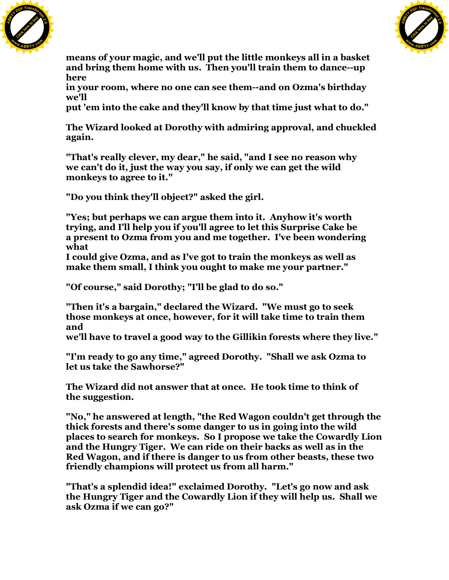



**means of your magic, and we'll put the little monkeys all in a basket and bring them home with us. Then you'll train them to dance--up here**

**in your room, where no one can see them--and on Ozma's birthday we'll**

**put 'em into the cake and they'll know by that time just what to do."**

**The Wizard looked at Dorothy with admiring approval, and chuckled again.**

**"That's really clever, my dear," he said, "and I see no reason why we can't do it, just the way you say, if only we can get the wild monkeys to agree to it."**

**"Do you think they'll object?" asked the girl.**

**"Yes; but perhaps we can argue them into it. Anyhow it's worth trying, and I'll help you if you'll agree to let this Surprise Cake be a present to Ozma from you and me together. I've been wondering what**

**I could give Ozma, and as I've got to train the monkeys as well as make them small, I think you ought to make me your partner."**

**"Of course," said Dorothy; "I'll be glad to do so."**

**"Then it's a bargain," declared the Wizard. "We must go to seek those monkeys at once, however, for it will take time to train them and**

**we'll have to travel a good way to the Gillikin forests where they live."**

**"I'm ready to go any time," agreed Dorothy. "Shall we ask Ozma to let us take the Sawhorse?"**

**The Wizard did not answer that at once. He took time to think of the suggestion.**

**"No," he answered at length, "the Red Wagon couldn't get through the thick forests and there's some danger to us in going into the wild places to search for monkeys. So I propose we take the Cowardly Lion and the Hungry Tiger. We can ride on their backs as well as in the Red Wagon, and if there is danger to us from other beasts, these two friendly champions will protect us from all harm."**

**"That's a splendid idea!" exclaimed Dorothy. "Let's go now and ask the Hungry Tiger and the Cowardly Lion if they will help us. Shall we ask Ozma if we can go?"**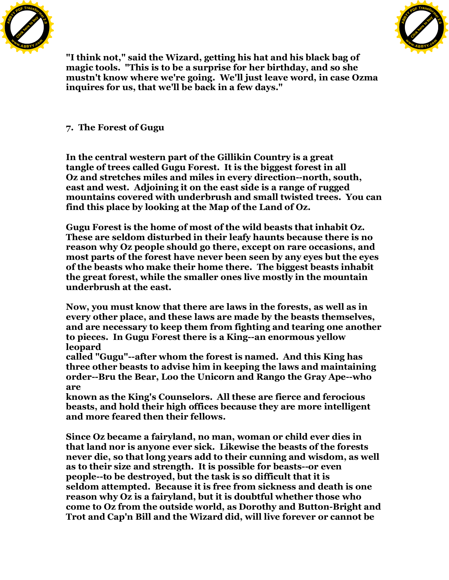



**"I think not," said the Wizard, getting his hat and his black bag of magic tools. "This is to be a surprise for her birthday, and so she mustn't know where we're going. We'll just leave word, in case Ozma inquires for us, that we'll be back in a few days."**

**7. The Forest of Gugu**

**In the central western part of the Gillikin Country is a great tangle of trees called Gugu Forest. It is the biggest forest in all Oz and stretches miles and miles in every direction--north, south, east and west. Adjoining it on the east side is a range of rugged mountains covered with underbrush and small twisted trees. You can find this place by looking at the Map of the Land of Oz.**

**Gugu Forest is the home of most of the wild beasts that inhabit Oz. These are seldom disturbed in their leafy haunts because there is no reason why Oz people should go there, except on rare occasions, and most parts of the forest have never been seen by any eyes but the eyes of the beasts who make their home there. The biggest beasts inhabit the great forest, while the smaller ones live mostly in the mountain underbrush at the east.**

**Now, you must know that there are laws in the forests, as well as in every other place, and these laws are made by the beasts themselves, and are necessary to keep them from fighting and tearing one another to pieces. In Gugu Forest there is a King--an enormous yellow leopard**

**called "Gugu"--after whom the forest is named. And this King has three other beasts to advise him in keeping the laws and maintaining order--Bru the Bear, Loo the Unicorn and Rango the Gray Ape--who are**

**known as the King's Counselors. All these are fierce and ferocious beasts, and hold their high offices because they are more intelligent and more feared then their fellows.**

**Since Oz became a fairyland, no man, woman or child ever dies in that land nor is anyone ever sick. Likewise the beasts of the forests never die, so that long years add to their cunning and wisdom, as well as to their size and strength. It is possible for beasts--or even people--to be destroyed, but the task is so difficult that it is seldom attempted. Because it is free from sickness and death is one reason why Oz is a fairyland, but it is doubtful whether those who come to Oz from the outside world, as Dorothy and Button-Bright and Trot and Cap'n Bill and the Wizard did, will live forever or cannot be**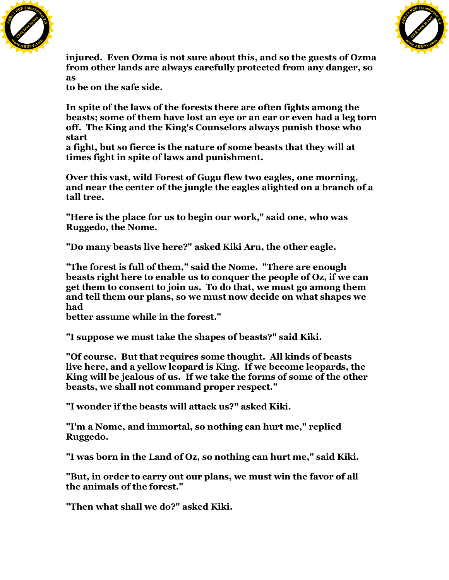



**injured. Even Ozma is not sure about this, and so the guests of Ozma from other lands are always carefully protected from any danger, so as**

**to be on the safe side.**

**In spite of the laws of the forests there are often fights among the beasts; some of them have lost an eye or an ear or even had a leg torn off. The King and the King's Counselors always punish those who start**

**a fight, but so fierce is the nature of some beasts that they will at times fight in spite of laws and punishment.**

**Over this vast, wild Forest of Gugu flew two eagles, one morning, and near the center of the jungle the eagles alighted on a branch of a tall tree.**

**"Here is the place for us to begin our work," said one, who was Ruggedo, the Nome.**

**"Do many beasts live here?" asked Kiki Aru, the other eagle.**

**"The forest is full of them," said the Nome. "There are enough beasts right here to enable us to conquer the people of Oz, if we can get them to consent to join us. To do that, we must go among them and tell them our plans, so we must now decide on what shapes we had**

**better assume while in the forest."**

**"I suppose we must take the shapes of beasts?" said Kiki.**

**"Of course. But that requires some thought. All kinds of beasts live here, and a yellow leopard is King. If we become leopards, the King will be jealous of us. If we take the forms of some of the other beasts, we shall not command proper respect."**

**"I wonder if the beasts will attack us?" asked Kiki.**

**"I'm a Nome, and immortal, so nothing can hurt me," replied Ruggedo.**

**"I was born in the Land of Oz, so nothing can hurt me," said Kiki.**

**"But, in order to carry out our plans, we must win the favor of all the animals of the forest."**

**"Then what shall we do?" asked Kiki.**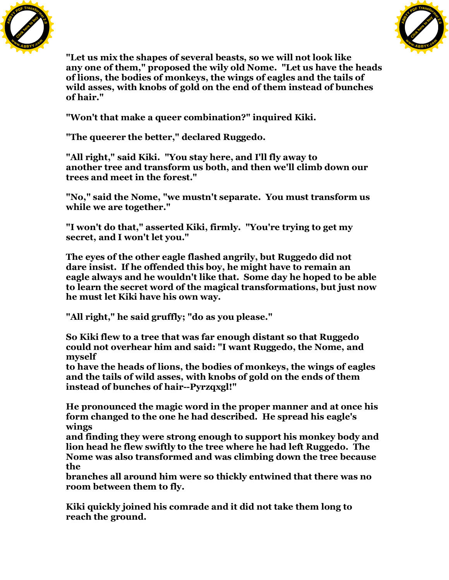



**"Let us mix the shapes of several beasts, so we will not look like any one of them," proposed the wily old Nome. "Let us have the heads of lions, the bodies of monkeys, the wings of eagles and the tails of wild asses, with knobs of gold on the end of them instead of bunches of hair."**

**"Won't that make a queer combination?" inquired Kiki.**

**"The queerer the better," declared Ruggedo.**

**"All right," said Kiki. "You stay here, and I'll fly away to another tree and transform us both, and then we'll climb down our trees and meet in the forest."**

**"No," said the Nome, "we mustn't separate. You must transform us while we are together."**

**"I won't do that," asserted Kiki, firmly. "You're trying to get my secret, and I won't let you."**

**The eyes of the other eagle flashed angrily, but Ruggedo did not dare insist. If he offended this boy, he might have to remain an eagle always and he wouldn't like that. Some day he hoped to be able to learn the secret word of the magical transformations, but just now he must let Kiki have his own way.**

**"All right," he said gruffly; "do as you please."**

**So Kiki flew to a tree that was far enough distant so that Ruggedo could not overhear him and said: "I want Ruggedo, the Nome, and myself**

**to have the heads of lions, the bodies of monkeys, the wings of eagles and the tails of wild asses, with knobs of gold on the ends of them instead of bunches of hair--Pyrzqxgl!"**

**He pronounced the magic word in the proper manner and at once his form changed to the one he had described. He spread his eagle's wings**

**and finding they were strong enough to support his monkey body and lion head he flew swiftly to the tree where he had left Ruggedo. The Nome was also transformed and was climbing down the tree because the**

**branches all around him were so thickly entwined that there was no room between them to fly.**

**Kiki quickly joined his comrade and it did not take them long to reach the ground.**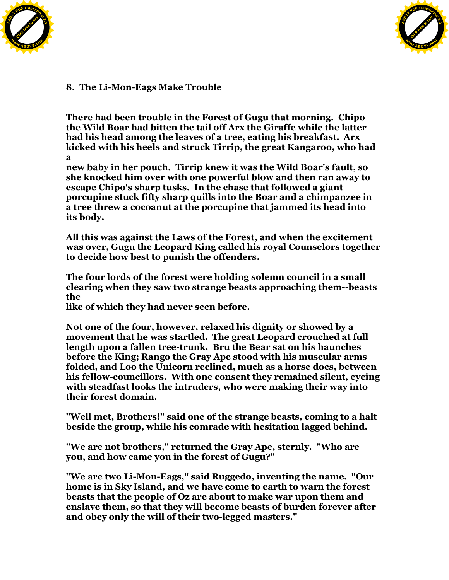



**8. The Li-Mon-Eags Make Trouble**

**There had been trouble in the Forest of Gugu that morning. Chipo the Wild Boar had bitten the tail off Arx the Giraffe while the latter had his head among the leaves of a tree, eating his breakfast. Arx kicked with his heels and struck Tirrip, the great Kangaroo, who had a**

**new baby in her pouch. Tirrip knew it was the Wild Boar's fault, so she knocked him over with one powerful blow and then ran away to escape Chipo's sharp tusks. In the chase that followed a giant porcupine stuck fifty sharp quills into the Boar and a chimpanzee in a tree threw a cocoanut at the porcupine that jammed its head into its body.**

**All this was against the Laws of the Forest, and when the excitement was over, Gugu the Leopard King called his royal Counselors together to decide how best to punish the offenders.**

**The four lords of the forest were holding solemn council in a small clearing when they saw two strange beasts approaching them--beasts the**

**like of which they had never seen before.**

**Not one of the four, however, relaxed his dignity or showed by a movement that he was startled. The great Leopard crouched at full length upon a fallen tree-trunk. Bru the Bear sat on his haunches before the King; Rango the Gray Ape stood with his muscular arms folded, and Loo the Unicorn reclined, much as a horse does, between his fellow-councillors. With one consent they remained silent, eyeing with steadfast looks the intruders, who were making their way into their forest domain.**

**"Well met, Brothers!" said one of the strange beasts, coming to a halt beside the group, while his comrade with hesitation lagged behind.**

**"We are not brothers," returned the Gray Ape, sternly. "Who are you, and how came you in the forest of Gugu?"**

**"We are two Li-Mon-Eags," said Ruggedo, inventing the name. "Our home is in Sky Island, and we have come to earth to warn the forest beasts that the people of Oz are about to make war upon them and enslave them, so that they will become beasts of burden forever after and obey only the will of their two-legged masters."**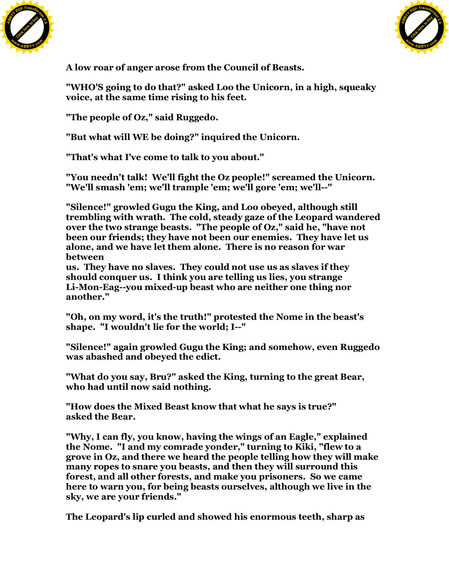



**A low roar of anger arose from the Council of Beasts.**

**"WHO'S going to do that?" asked Loo the Unicorn, in a high, squeaky voice, at the same time rising to his feet.**

**"The people of Oz," said Ruggedo.**

**"But what will WE be doing?" inquired the Unicorn.**

**"That's what I've come to talk to you about."**

**"You needn't talk! We'll fight the Oz people!" screamed the Unicorn. "We'll smash 'em; we'll trample 'em; we'll gore 'em; we'll--"**

**"Silence!" growled Gugu the King, and Loo obeyed, although still trembling with wrath. The cold, steady gaze of the Leopard wandered over the two strange beasts. "The people of Oz," said he, "have not been our friends; they have not been our enemies. They have let us alone, and we have let them alone. There is no reason for war between**

**us. They have no slaves. They could not use us as slaves if they should conquer us. I think you are telling us lies, you strange Li-Mon-Eag--you mixed-up beast who are neither one thing nor another."**

**"Oh, on my word, it's the truth!" protested the Nome in the beast's shape. "I wouldn't lie for the world; I--"**

**"Silence!" again growled Gugu the King; and somehow, even Ruggedo was abashed and obeyed the edict.**

**"What do you say, Bru?" asked the King, turning to the great Bear, who had until now said nothing.**

**"How does the Mixed Beast know that what he says is true?" asked the Bear.**

**"Why, I can fly, you know, having the wings of an Eagle," explained the Nome. "I and my comrade yonder," turning to Kiki, "flew to a grove in Oz, and there we heard the people telling how they will make many ropes to snare you beasts, and then they will surround this forest, and all other forests, and make you prisoners. So we came here to warn you, for being beasts ourselves, although we live in the sky, we are your friends."**

**The Leopard's lip curled and showed his enormous teeth, sharp as**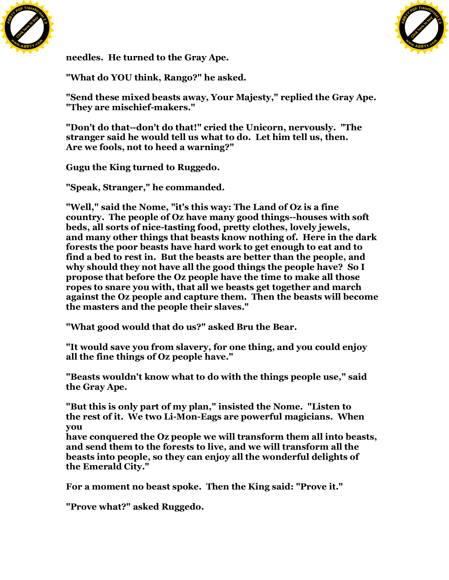



**needles. He turned to the Gray Ape.**

**"What do YOU think, Rango?" he asked.**

**"Send these mixed beasts away, Your Majesty," replied the Gray Ape. "They are mischief-makers."**

**"Don't do that--don't do that!" cried the Unicorn, nervously. "The stranger said he would tell us what to do. Let him tell us, then. Are we fools, not to heed a warning?"**

**Gugu the King turned to Ruggedo.**

**"Speak, Stranger," he commanded.**

**"Well," said the Nome, "it's this way: The Land of Oz is a fine country. The people of Oz have many good things--houses with soft beds, all sorts of nice-tasting food, pretty clothes, lovely jewels, and many other things that beasts know nothing of. Here in the dark forests the poor beasts have hard work to get enough to eat and to find a bed to rest in. But the beasts are better than the people, and why should they not have all the good things the people have? So I propose that before the Oz people have the time to make all those ropes to snare you with, that all we beasts get together and march against the Oz people and capture them. Then the beasts will become the masters and the people their slaves."**

**"What good would that do us?" asked Bru the Bear.**

**"It would save you from slavery, for one thing, and you could enjoy all the fine things of Oz people have."**

**"Beasts wouldn't know what to do with the things people use," said the Gray Ape.**

**"But this is only part of my plan," insisted the Nome. "Listen to the rest of it. We two Li-Mon-Eags are powerful magicians. When you**

**have conquered the Oz people we will transform them all into beasts, and send them to the forests to live, and we will transform all the beasts into people, so they can enjoy all the wonderful delights of the Emerald City."**

**For a moment no beast spoke. Then the King said: "Prove it."**

**"Prove what?" asked Ruggedo.**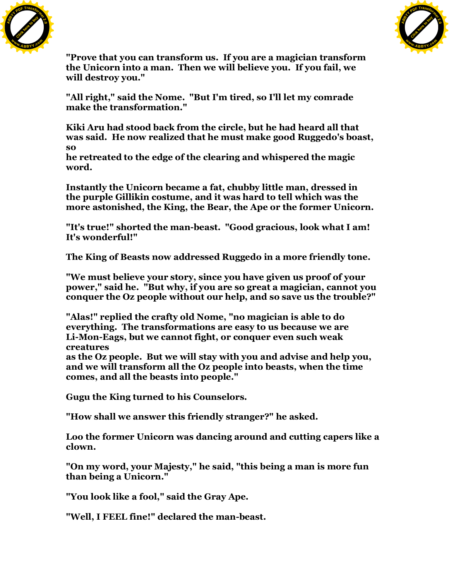



**"Prove that you can transform us. If you are a magician transform the Unicorn into a man. Then we will believe you. If you fail, we will destroy you."**

**"All right," said the Nome. "But I'm tired, so I'll let my comrade make the transformation."**

**Kiki Aru had stood back from the circle, but he had heard all that was said. He now realized that he must make good Ruggedo's boast, so**

**he retreated to the edge of the clearing and whispered the magic word.**

**Instantly the Unicorn became a fat, chubby little man, dressed in the purple Gillikin costume, and it was hard to tell which was the more astonished, the King, the Bear, the Ape or the former Unicorn.**

**"It's true!" shorted the man-beast. "Good gracious, look what I am! It's wonderful!"**

**The King of Beasts now addressed Ruggedo in a more friendly tone.**

**"We must believe your story, since you have given us proof of your power," said he. "But why, if you are so great a magician, cannot you conquer the Oz people without our help, and so save us the trouble?"**

**"Alas!" replied the crafty old Nome, "no magician is able to do everything. The transformations are easy to us because we are Li-Mon-Eags, but we cannot fight, or conquer even such weak creatures**

**as the Oz people. But we will stay with you and advise and help you, and we will transform all the Oz people into beasts, when the time comes, and all the beasts into people."**

**Gugu the King turned to his Counselors.**

**"How shall we answer this friendly stranger?" he asked.**

**Loo the former Unicorn was dancing around and cutting capers like a clown.**

**"On my word, your Majesty," he said, "this being a man is more fun than being a Unicorn."**

**"You look like a fool," said the Gray Ape.**

**"Well, I FEEL fine!" declared the man-beast.**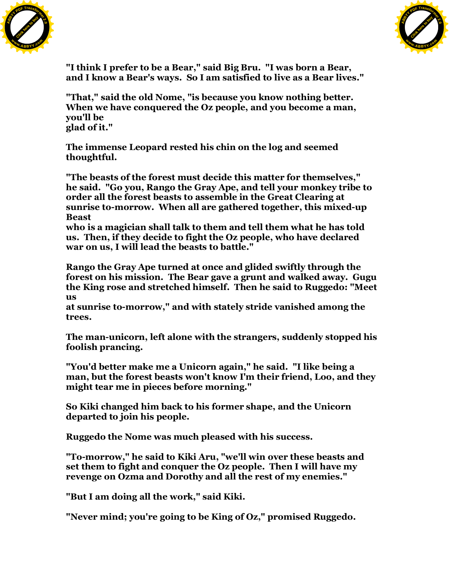



**"I think I prefer to be a Bear," said Big Bru. "I was born a Bear, and I know a Bear's ways. So I am satisfied to live as a Bear lives."**

**"That," said the old Nome, "is because you know nothing better. When we have conquered the Oz people, and you become a man, you'll be glad of it."**

**The immense Leopard rested his chin on the log and seemed thoughtful.**

**"The beasts of the forest must decide this matter for themselves," he said. "Go you, Rango the Gray Ape, and tell your monkey tribe to order all the forest beasts to assemble in the Great Clearing at sunrise to-morrow. When all are gathered together, this mixed-up Beast**

**who is a magician shall talk to them and tell them what he has told us. Then, if they decide to fight the Oz people, who have declared war on us, I will lead the beasts to battle."**

**Rango the Gray Ape turned at once and glided swiftly through the forest on his mission. The Bear gave a grunt and walked away. Gugu the King rose and stretched himself. Then he said to Ruggedo: "Meet us**

**at sunrise to-morrow," and with stately stride vanished among the trees.**

**The man-unicorn, left alone with the strangers, suddenly stopped his foolish prancing.**

**"You'd better make me a Unicorn again," he said. "I like being a man, but the forest beasts won't know I'm their friend, Loo, and they might tear me in pieces before morning."**

**So Kiki changed him back to his former shape, and the Unicorn departed to join his people.**

**Ruggedo the Nome was much pleased with his success.**

**"To-morrow," he said to Kiki Aru, "we'll win over these beasts and set them to fight and conquer the Oz people. Then I will have my revenge on Ozma and Dorothy and all the rest of my enemies."**

**"But I am doing all the work," said Kiki.**

**"Never mind; you're going to be King of Oz," promised Ruggedo.**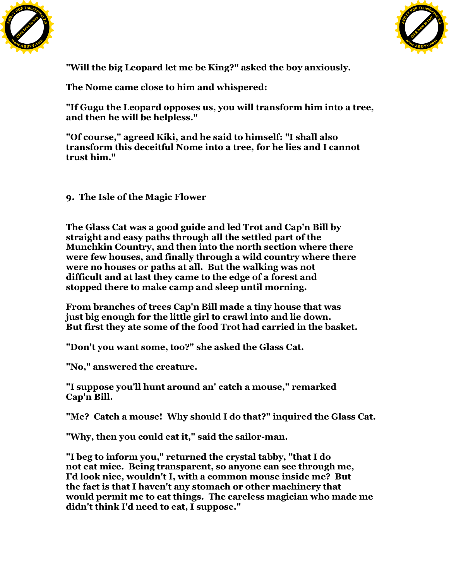



**"Will the big Leopard let me be King?" asked the boy anxiously.**

**The Nome came close to him and whispered:**

**"If Gugu the Leopard opposes us, you will transform him into a tree, and then he will be helpless."**

**"Of course," agreed Kiki, and he said to himself: "I shall also transform this deceitful Nome into a tree, for he lies and I cannot trust him."**

**9. The Isle of the Magic Flower**

**The Glass Cat was a good guide and led Trot and Cap'n Bill by straight and easy paths through all the settled part of the Munchkin Country, and then into the north section where there were few houses, and finally through a wild country where there were no houses or paths at all. But the walking was not difficult and at last they came to the edge of a forest and stopped there to make camp and sleep until morning.**

**From branches of trees Cap'n Bill made a tiny house that was just big enough for the little girl to crawl into and lie down. But first they ate some of the food Trot had carried in the basket.**

**"Don't you want some, too?" she asked the Glass Cat.**

**"No," answered the creature.**

**"I suppose you'll hunt around an' catch a mouse," remarked Cap'n Bill.**

**"Me? Catch a mouse! Why should I do that?" inquired the Glass Cat.**

**"Why, then you could eat it," said the sailor-man.**

**"I beg to inform you," returned the crystal tabby, "that I do not eat mice. Being transparent, so anyone can see through me, I'd look nice, wouldn't I, with a common mouse inside me? But the fact is that I haven't any stomach or other machinery that would permit me to eat things. The careless magician who made me didn't think I'd need to eat, I suppose."**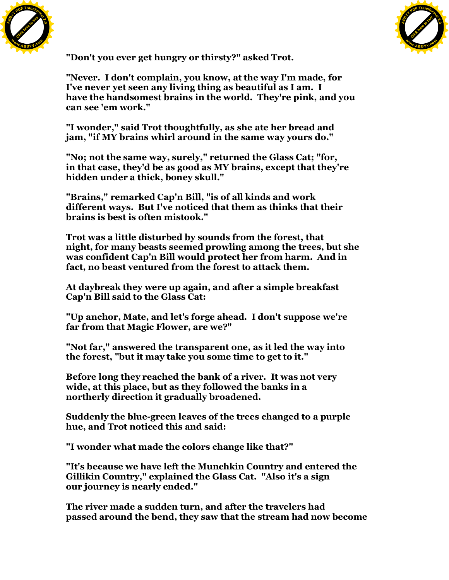



**"Don't you ever get hungry or thirsty?" asked Trot.**

**"Never. I don't complain, you know, at the way I'm made, for I've never yet seen any living thing as beautiful as I am. I have the handsomest brains in the world. They're pink, and you can see 'em work."**

**"I wonder," said Trot thoughtfully, as she ate her bread and jam, "if MY brains whirl around in the same way yours do."**

**"No; not the same way, surely," returned the Glass Cat; "for, in that case, they'd be as good as MY brains, except that they're hidden under a thick, boney skull."**

**"Brains," remarked Cap'n Bill, "is of all kinds and work different ways. But I've noticed that them as thinks that their brains is best is often mistook."**

**Trot was a little disturbed by sounds from the forest, that night, for many beasts seemed prowling among the trees, but she was confident Cap'n Bill would protect her from harm. And in fact, no beast ventured from the forest to attack them.**

**At daybreak they were up again, and after a simple breakfast Cap'n Bill said to the Glass Cat:**

**"Up anchor, Mate, and let's forge ahead. I don't suppose we're far from that Magic Flower, are we?"**

**"Not far," answered the transparent one, as it led the way into the forest, "but it may take you some time to get to it."**

**Before long they reached the bank of a river. It was not very wide, at this place, but as they followed the banks in a northerly direction it gradually broadened.**

**Suddenly the blue-green leaves of the trees changed to a purple hue, and Trot noticed this and said:**

**"I wonder what made the colors change like that?"**

**"It's because we have left the Munchkin Country and entered the Gillikin Country," explained the Glass Cat. "Also it's a sign our journey is nearly ended."**

**The river made a sudden turn, and after the travelers had passed around the bend, they saw that the stream had now become**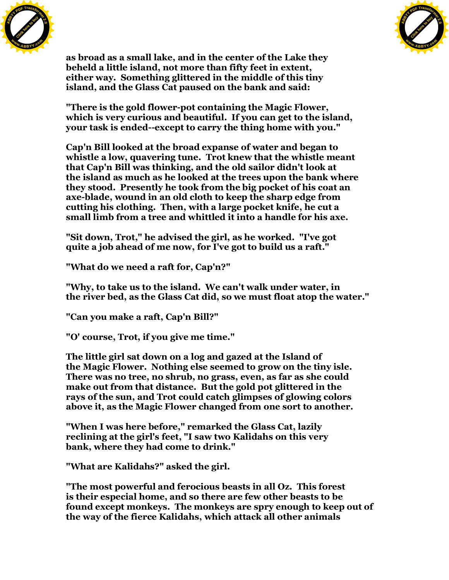



**as broad as a small lake, and in the center of the Lake they beheld a little island, not more than fifty feet in extent, either way. Something glittered in the middle of this tiny island, and the Glass Cat paused on the bank and said:**

**"There is the gold flower-pot containing the Magic Flower, which is very curious and beautiful. If you can get to the island, your task is ended--except to carry the thing home with you."**

**Cap'n Bill looked at the broad expanse of water and began to whistle a low, quavering tune. Trot knew that the whistle meant that Cap'n Bill was thinking, and the old sailor didn't look at the island as much as he looked at the trees upon the bank where they stood. Presently he took from the big pocket of his coat an axe-blade, wound in an old cloth to keep the sharp edge from cutting his clothing. Then, with a large pocket knife, he cut a small limb from a tree and whittled it into a handle for his axe.**

**"Sit down, Trot," he advised the girl, as he worked. "I've got quite a job ahead of me now, for I've got to build us a raft."**

**"What do we need a raft for, Cap'n?"**

**"Why, to take us to the island. We can't walk under water, in the river bed, as the Glass Cat did, so we must float atop the water."**

**"Can you make a raft, Cap'n Bill?"**

**"O' course, Trot, if you give me time."**

**The little girl sat down on a log and gazed at the Island of the Magic Flower. Nothing else seemed to grow on the tiny isle. There was no tree, no shrub, no grass, even, as far as she could make out from that distance. But the gold pot glittered in the rays of the sun, and Trot could catch glimpses of glowing colors above it, as the Magic Flower changed from one sort to another.**

**"When I was here before," remarked the Glass Cat, lazily reclining at the girl's feet, "I saw two Kalidahs on this very bank, where they had come to drink."**

**"What are Kalidahs?" asked the girl.**

**"The most powerful and ferocious beasts in all Oz. This forest is their especial home, and so there are few other beasts to be found except monkeys. The monkeys are spry enough to keep out of the way of the fierce Kalidahs, which attack all other animals**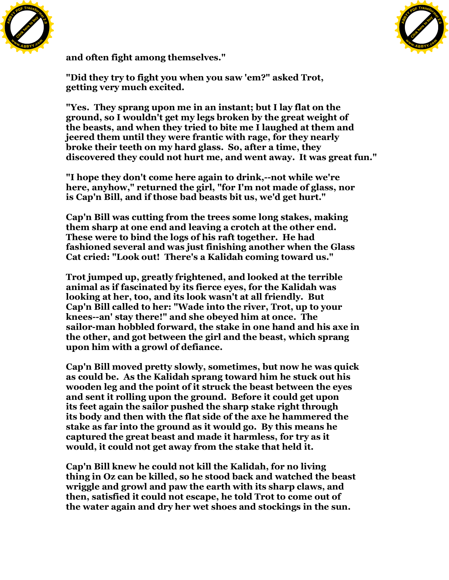



**and often fight among themselves."**

**"Did they try to fight you when you saw 'em?" asked Trot, getting very much excited.**

**"Yes. They sprang upon me in an instant; but I lay flat on the ground, so I wouldn't get my legs broken by the great weight of the beasts, and when they tried to bite me I laughed at them and jeered them until they were frantic with rage, for they nearly broke their teeth on my hard glass. So, after a time, they discovered they could not hurt me, and went away. It was great fun."**

**"I hope they don't come here again to drink,--not while we're here, anyhow," returned the girl, "for I'm not made of glass, nor is Cap'n Bill, and if those bad beasts bit us, we'd get hurt."**

**Cap'n Bill was cutting from the trees some long stakes, making them sharp at one end and leaving a crotch at the other end. These were to bind the logs of his raft together. He had fashioned several and was just finishing another when the Glass Cat cried: "Look out! There's a Kalidah coming toward us."**

**Trot jumped up, greatly frightened, and looked at the terrible animal as if fascinated by its fierce eyes, for the Kalidah was looking at her, too, and its look wasn't at all friendly. But Cap'n Bill called to her: "Wade into the river, Trot, up to your knees--an' stay there!" and she obeyed him at once. The sailor-man hobbled forward, the stake in one hand and his axe in the other, and got between the girl and the beast, which sprang upon him with a growl of defiance.**

**Cap'n Bill moved pretty slowly, sometimes, but now he was quick as could be. As the Kalidah sprang toward him he stuck out his wooden leg and the point of it struck the beast between the eyes and sent it rolling upon the ground. Before it could get upon its feet again the sailor pushed the sharp stake right through its body and then with the flat side of the axe he hammered the stake as far into the ground as it would go. By this means he captured the great beast and made it harmless, for try as it would, it could not get away from the stake that held it.**

**Cap'n Bill knew he could not kill the Kalidah, for no living thing in Oz can be killed, so he stood back and watched the beast wriggle and growl and paw the earth with its sharp claws, and then, satisfied it could not escape, he told Trot to come out of the water again and dry her wet shoes and stockings in the sun.**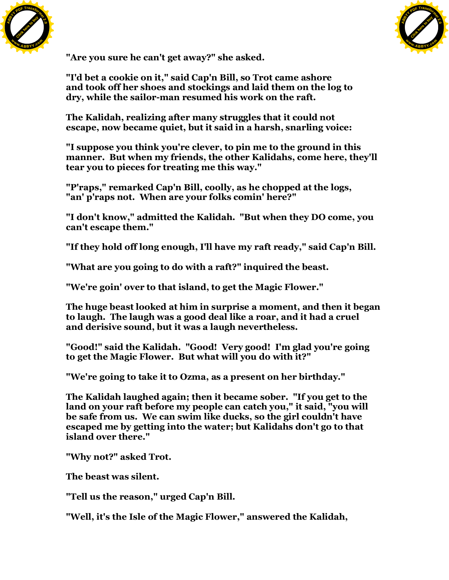



**"Are you sure he can't get away?" she asked.**

**"I'd bet a cookie on it," said Cap'n Bill, so Trot came ashore and took off her shoes and stockings and laid them on the log to dry, while the sailor-man resumed his work on the raft.**

**The Kalidah, realizing after many struggles that it could not escape, now became quiet, but it said in a harsh, snarling voice:**

**"I suppose you think you're clever, to pin me to the ground in this manner. But when my friends, the other Kalidahs, come here, they'll tear you to pieces for treating me this way."**

**"P'raps," remarked Cap'n Bill, coolly, as he chopped at the logs, "an' p'raps not. When are your folks comin' here?"**

**"I don't know," admitted the Kalidah. "But when they DO come, you can't escape them."**

**"If they hold off long enough, I'll have my raft ready," said Cap'n Bill.**

**"What are you going to do with a raft?" inquired the beast.**

**"We're goin' over to that island, to get the Magic Flower."**

**The huge beast looked at him in surprise a moment, and then it began to laugh. The laugh was a good deal like a roar, and it had a cruel and derisive sound, but it was a laugh nevertheless.**

**"Good!" said the Kalidah. "Good! Very good! I'm glad you're going to get the Magic Flower. But what will you do with it?"**

**"We're going to take it to Ozma, as a present on her birthday."**

**The Kalidah laughed again; then it became sober. "If you get to the land on your raft before my people can catch you," it said, "you will be safe from us. We can swim like ducks, so the girl couldn't have escaped me by getting into the water; but Kalidahs don't go to that island over there."**

**"Why not?" asked Trot.**

**The beast was silent.**

**"Tell us the reason," urged Cap'n Bill.**

**"Well, it's the Isle of the Magic Flower," answered the Kalidah,**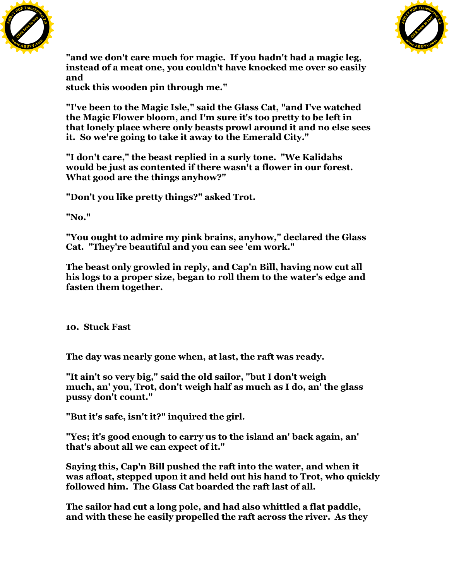



**"and we don't care much for magic. If you hadn't had a magic leg, instead of a meat one, you couldn't have knocked me over so easily and**

**stuck this wooden pin through me."**

**"I've been to the Magic Isle," said the Glass Cat, "and I've watched the Magic Flower bloom, and I'm sure it's too pretty to be left in that lonely place where only beasts prowl around it and no else sees it. So we're going to take it away to the Emerald City."**

**"I don't care," the beast replied in a surly tone. "We Kalidahs would be just as contented if there wasn't a flower in our forest. What good are the things anyhow?"**

**"Don't you like pretty things?" asked Trot.**

**"No."**

**"You ought to admire my pink brains, anyhow," declared the Glass Cat. "They're beautiful and you can see 'em work."**

**The beast only growled in reply, and Cap'n Bill, having now cut all his logs to a proper size, began to roll them to the water's edge and fasten them together.**

**10. Stuck Fast**

**The day was nearly gone when, at last, the raft was ready.**

**"It ain't so very big," said the old sailor, "but I don't weigh much, an' you, Trot, don't weigh half as much as I do, an' the glass pussy don't count."**

**"But it's safe, isn't it?" inquired the girl.**

**"Yes; it's good enough to carry us to the island an' back again, an' that's about all we can expect of it."**

**Saying this, Cap'n Bill pushed the raft into the water, and when it was afloat, stepped upon it and held out his hand to Trot, who quickly followed him. The Glass Cat boarded the raft last of all.**

**The sailor had cut a long pole, and had also whittled a flat paddle, and with these he easily propelled the raft across the river. As they**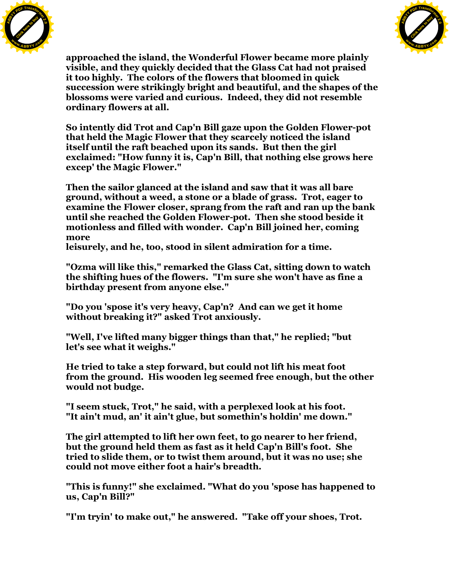



**approached the island, the Wonderful Flower became more plainly visible, and they quickly decided that the Glass Cat had not praised it too highly. The colors of the flowers that bloomed in quick succession were strikingly bright and beautiful, and the shapes of the blossoms were varied and curious. Indeed, they did not resemble ordinary flowers at all.**

**So intently did Trot and Cap'n Bill gaze upon the Golden Flower-pot that held the Magic Flower that they scarcely noticed the island itself until the raft beached upon its sands. But then the girl exclaimed: "How funny it is, Cap'n Bill, that nothing else grows here excep' the Magic Flower."**

**Then the sailor glanced at the island and saw that it was all bare ground, without a weed, a stone or a blade of grass. Trot, eager to examine the Flower closer, sprang from the raft and ran up the bank until she reached the Golden Flower-pot. Then she stood beside it motionless and filled with wonder. Cap'n Bill joined her, coming more**

**leisurely, and he, too, stood in silent admiration for a time.**

**"Ozma will like this," remarked the Glass Cat, sitting down to watch the shifting hues of the flowers. "I'm sure she won't have as fine a birthday present from anyone else."**

**"Do you 'spose it's very heavy, Cap'n? And can we get it home without breaking it?" asked Trot anxiously.**

**"Well, I've lifted many bigger things than that," he replied; "but let's see what it weighs."**

**He tried to take a step forward, but could not lift his meat foot from the ground. His wooden leg seemed free enough, but the other would not budge.**

**"I seem stuck, Trot," he said, with a perplexed look at his foot. "It ain't mud, an' it ain't glue, but somethin's holdin' me down."**

**The girl attempted to lift her own feet, to go nearer to her friend, but the ground held them as fast as it held Cap'n Bill's foot. She tried to slide them, or to twist them around, but it was no use; she could not move either foot a hair's breadth.**

**"This is funny!" she exclaimed. "What do you 'spose has happened to us, Cap'n Bill?"**

**"I'm tryin' to make out," he answered. "Take off your shoes, Trot.**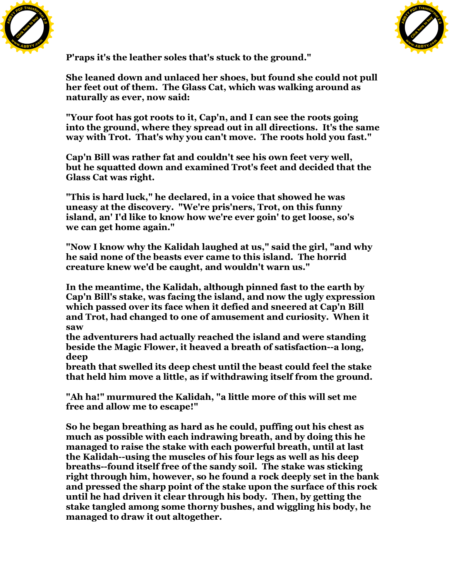



**P'raps it's the leather soles that's stuck to the ground."**

**She leaned down and unlaced her shoes, but found she could not pull her feet out of them. The Glass Cat, which was walking around as naturally as ever, now said:**

**"Your foot has got roots to it, Cap'n, and I can see the roots going into the ground, where they spread out in all directions. It's the same way with Trot. That's why you can't move. The roots hold you fast."**

**Cap'n Bill was rather fat and couldn't see his own feet very well, but he squatted down and examined Trot's feet and decided that the Glass Cat was right.**

**"This is hard luck," he declared, in a voice that showed he was uneasy at the discovery. "We're pris'ners, Trot, on this funny island, an' I'd like to know how we're ever goin' to get loose, so's we can get home again."**

**"Now I know why the Kalidah laughed at us," said the girl, "and why he said none of the beasts ever came to this island. The horrid creature knew we'd be caught, and wouldn't warn us."**

**In the meantime, the Kalidah, although pinned fast to the earth by Cap'n Bill's stake, was facing the island, and now the ugly expression which passed over its face when it defied and sneered at Cap'n Bill and Trot, had changed to one of amusement and curiosity. When it saw**

**the adventurers had actually reached the island and were standing beside the Magic Flower, it heaved a breath of satisfaction--a long, deep**

**breath that swelled its deep chest until the beast could feel the stake that held him move a little, as if withdrawing itself from the ground.**

**"Ah ha!" murmured the Kalidah, "a little more of this will set me free and allow me to escape!"**

**So he began breathing as hard as he could, puffing out his chest as much as possible with each indrawing breath, and by doing this he managed to raise the stake with each powerful breath, until at last the Kalidah--using the muscles of his four legs as well as his deep breaths--found itself free of the sandy soil. The stake was sticking right through him, however, so he found a rock deeply set in the bank and pressed the sharp point of the stake upon the surface of this rock until he had driven it clear through his body. Then, by getting the stake tangled among some thorny bushes, and wiggling his body, he managed to draw it out altogether.**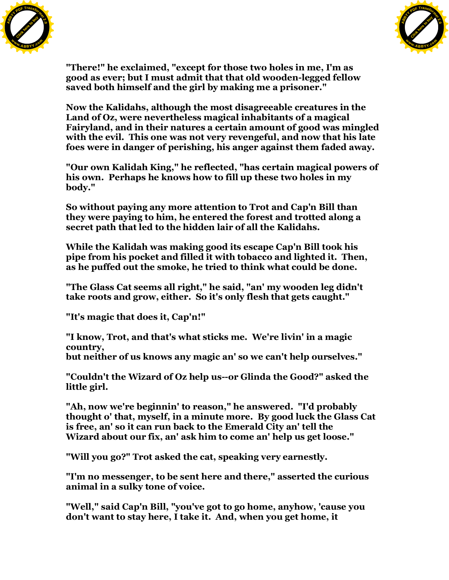



**"There!" he exclaimed, "except for those two holes in me, I'm as good as ever; but I must admit that that old wooden-legged fellow saved both himself and the girl by making me a prisoner."**

**Now the Kalidahs, although the most disagreeable creatures in the Land of Oz, were nevertheless magical inhabitants of a magical Fairyland, and in their natures a certain amount of good was mingled with the evil. This one was not very revengeful, and now that his late foes were in danger of perishing, his anger against them faded away.**

**"Our own Kalidah King," he reflected, "has certain magical powers of his own. Perhaps he knows how to fill up these two holes in my body."**

**So without paying any more attention to Trot and Cap'n Bill than they were paying to him, he entered the forest and trotted along a secret path that led to the hidden lair of all the Kalidahs.**

**While the Kalidah was making good its escape Cap'n Bill took his pipe from his pocket and filled it with tobacco and lighted it. Then, as he puffed out the smoke, he tried to think what could be done.**

**"The Glass Cat seems all right," he said, "an' my wooden leg didn't take roots and grow, either. So it's only flesh that gets caught."**

**"It's magic that does it, Cap'n!"**

**"I know, Trot, and that's what sticks me. We're livin' in a magic country,**

**but neither of us knows any magic an' so we can't help ourselves."**

**"Couldn't the Wizard of Oz help us--or Glinda the Good?" asked the little girl.**

**"Ah, now we're beginnin' to reason," he answered. "I'd probably thought o' that, myself, in a minute more. By good luck the Glass Cat is free, an' so it can run back to the Emerald City an' tell the Wizard about our fix, an' ask him to come an' help us get loose."**

**"Will you go?" Trot asked the cat, speaking very earnestly.**

**"I'm no messenger, to be sent here and there," asserted the curious animal in a sulky tone of voice.**

**"Well," said Cap'n Bill, "you've got to go home, anyhow, 'cause you don't want to stay here, I take it. And, when you get home, it**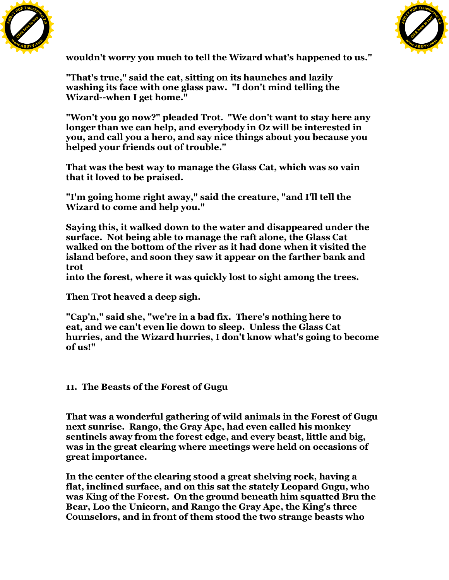



**wouldn't worry you much to tell the Wizard what's happened to us."**

**"That's true," said the cat, sitting on its haunches and lazily washing its face with one glass paw. "I don't mind telling the Wizard--when I get home."**

**"Won't you go now?" pleaded Trot. "We don't want to stay here any longer than we can help, and everybody in Oz will be interested in you, and call you a hero, and say nice things about you because you helped your friends out of trouble."**

**That was the best way to manage the Glass Cat, which was so vain that it loved to be praised.**

**"I'm going home right away," said the creature, "and I'll tell the Wizard to come and help you."**

**Saying this, it walked down to the water and disappeared under the surface. Not being able to manage the raft alone, the Glass Cat walked on the bottom of the river as it had done when it visited the island before, and soon they saw it appear on the farther bank and trot**

**into the forest, where it was quickly lost to sight among the trees.**

**Then Trot heaved a deep sigh.**

**"Cap'n," said she, "we're in a bad fix. There's nothing here to eat, and we can't even lie down to sleep. Unless the Glass Cat hurries, and the Wizard hurries, I don't know what's going to become of us!"**

## **11. The Beasts of the Forest of Gugu**

**That was a wonderful gathering of wild animals in the Forest of Gugu next sunrise. Rango, the Gray Ape, had even called his monkey sentinels away from the forest edge, and every beast, little and big, was in the great clearing where meetings were held on occasions of great importance.**

**In the center of the clearing stood a great shelving rock, having a flat, inclined surface, and on this sat the stately Leopard Gugu, who was King of the Forest. On the ground beneath him squatted Bru the Bear, Loo the Unicorn, and Rango the Gray Ape, the King's three Counselors, and in front of them stood the two strange beasts who**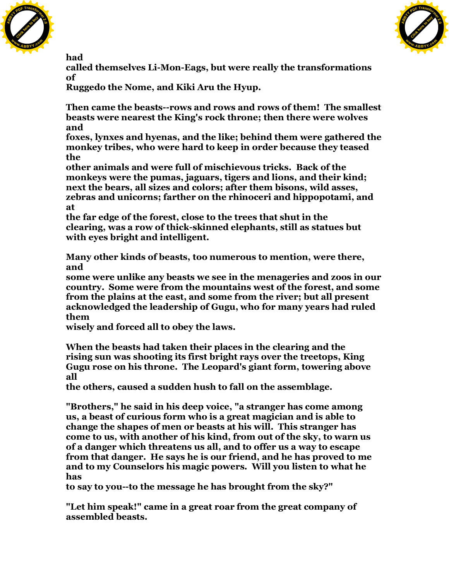



**had**

**called themselves Li-Mon-Eags, but were really the transformations of**

**Ruggedo the Nome, and Kiki Aru the Hyup.**

**Then came the beasts--rows and rows and rows of them! The smallest beasts were nearest the King's rock throne; then there were wolves and**

**foxes, lynxes and hyenas, and the like; behind them were gathered the monkey tribes, who were hard to keep in order because they teased the**

**other animals and were full of mischievous tricks. Back of the monkeys were the pumas, jaguars, tigers and lions, and their kind; next the bears, all sizes and colors; after them bisons, wild asses, zebras and unicorns; farther on the rhinoceri and hippopotami, and at**

**the far edge of the forest, close to the trees that shut in the clearing, was a row of thick-skinned elephants, still as statues but with eyes bright and intelligent.**

**Many other kinds of beasts, too numerous to mention, were there, and**

**some were unlike any beasts we see in the menageries and zoos in our country. Some were from the mountains west of the forest, and some from the plains at the east, and some from the river; but all present acknowledged the leadership of Gugu, who for many years had ruled them**

**wisely and forced all to obey the laws.**

**When the beasts had taken their places in the clearing and the rising sun was shooting its first bright rays over the treetops, King Gugu rose on his throne. The Leopard's giant form, towering above all**

**the others, caused a sudden hush to fall on the assemblage.**

**"Brothers," he said in his deep voice, "a stranger has come among us, a beast of curious form who is a great magician and is able to change the shapes of men or beasts at his will. This stranger has come to us, with another of his kind, from out of the sky, to warn us of a danger which threatens us all, and to offer us a way to escape from that danger. He says he is our friend, and he has proved to me and to my Counselors his magic powers. Will you listen to what he has**

**to say to you--to the message he has brought from the sky?"**

**"Let him speak!" came in a great roar from the great company of assembled beasts.**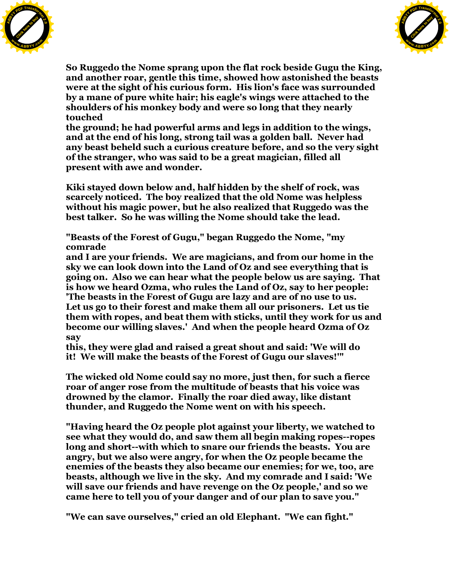



**So Ruggedo the Nome sprang upon the flat rock beside Gugu the King, and another roar, gentle this time, showed how astonished the beasts were at the sight of his curious form. His lion's face was surrounded by a mane of pure white hair; his eagle's wings were attached to the shoulders of his monkey body and were so long that they nearly touched**

**the ground; he had powerful arms and legs in addition to the wings, and at the end of his long, strong tail was a golden ball. Never had any beast beheld such a curious creature before, and so the very sight of the stranger, who was said to be a great magician, filled all present with awe and wonder.**

**Kiki stayed down below and, half hidden by the shelf of rock, was scarcely noticed. The boy realized that the old Nome was helpless without his magic power, but he also realized that Ruggedo was the best talker. So he was willing the Nome should take the lead.**

**"Beasts of the Forest of Gugu," began Ruggedo the Nome, "my comrade**

**and I are your friends. We are magicians, and from our home in the sky we can look down into the Land of Oz and see everything that is going on. Also we can hear what the people below us are saying. That is how we heard Ozma, who rules the Land of Oz, say to her people: 'The beasts in the Forest of Gugu are lazy and are of no use to us. Let us go to their forest and make them all our prisoners. Let us tie them with ropes, and beat them with sticks, until they work for us and become our willing slaves.' And when the people heard Ozma of Oz say**

**this, they were glad and raised a great shout and said: 'We will do it! We will make the beasts of the Forest of Gugu our slaves!'"**

**The wicked old Nome could say no more, just then, for such a fierce roar of anger rose from the multitude of beasts that his voice was drowned by the clamor. Finally the roar died away, like distant thunder, and Ruggedo the Nome went on with his speech.**

**"Having heard the Oz people plot against your liberty, we watched to see what they would do, and saw them all begin making ropes--ropes long and short--with which to snare our friends the beasts. You are angry, but we also were angry, for when the Oz people became the enemies of the beasts they also became our enemies; for we, too, are beasts, although we live in the sky. And my comrade and I said: 'We will save our friends and have revenge on the Oz people,' and so we came here to tell you of your danger and of our plan to save you."**

**"We can save ourselves," cried an old Elephant. "We can fight."**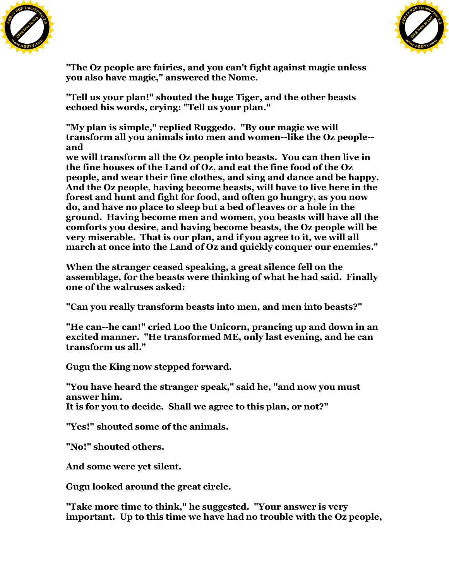



**"The Oz people are fairies, and you can't fight against magic unless you also have magic," answered the Nome.**

**"Tell us your plan!" shouted the huge Tiger, and the other beasts echoed his words, crying: "Tell us your plan."**

**"My plan is simple," replied Ruggedo. "By our magic we will transform all you animals into men and women--like the Oz people- and**

**we will transform all the Oz people into beasts. You can then live in the fine houses of the Land of Oz, and eat the fine food of the Oz people, and wear their fine clothes, and sing and dance and be happy. And the Oz people, having become beasts, will have to live here in the forest and hunt and fight for food, and often go hungry, as you now do, and have no place to sleep but a bed of leaves or a hole in the ground. Having become men and women, you beasts will have all the comforts you desire, and having become beasts, the Oz people will be very miserable. That is our plan, and if you agree to it, we will all march at once into the Land of Oz and quickly conquer our enemies."**

**When the stranger ceased speaking, a great silence fell on the assemblage, for the beasts were thinking of what he had said. Finally one of the walruses asked:**

**"Can you really transform beasts into men, and men into beasts?"**

**"He can--he can!" cried Loo the Unicorn, prancing up and down in an excited manner. "He transformed ME, only last evening, and he can transform us all."**

**Gugu the King now stepped forward.**

**"You have heard the stranger speak," said he, "and now you must answer him. It is for you to decide. Shall we agree to this plan, or not?"**

**"Yes!" shouted some of the animals.**

**"No!" shouted others.**

**And some were yet silent.**

**Gugu looked around the great circle.**

**"Take more time to think," he suggested. "Your answer is very important. Up to this time we have had no trouble with the Oz people,**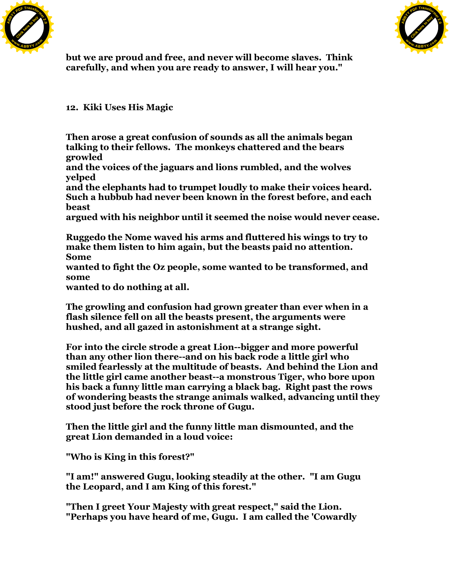



**but we are proud and free, and never will become slaves. Think carefully, and when you are ready to answer, I will hear you."**

**12. Kiki Uses His Magic**

**Then arose a great confusion of sounds as all the animals began talking to their fellows. The monkeys chattered and the bears growled**

**and the voices of the jaguars and lions rumbled, and the wolves yelped**

**and the elephants had to trumpet loudly to make their voices heard. Such a hubbub had never been known in the forest before, and each beast**

**argued with his neighbor until it seemed the noise would never cease.**

**Ruggedo the Nome waved his arms and fluttered his wings to try to make them listen to him again, but the beasts paid no attention. Some**

**wanted to fight the Oz people, some wanted to be transformed, and some**

**wanted to do nothing at all.**

**The growling and confusion had grown greater than ever when in a flash silence fell on all the beasts present, the arguments were hushed, and all gazed in astonishment at a strange sight.**

**For into the circle strode a great Lion--bigger and more powerful than any other lion there--and on his back rode a little girl who smiled fearlessly at the multitude of beasts. And behind the Lion and the little girl came another beast--a monstrous Tiger, who bore upon his back a funny little man carrying a black bag. Right past the rows of wondering beasts the strange animals walked, advancing until they stood just before the rock throne of Gugu.**

**Then the little girl and the funny little man dismounted, and the great Lion demanded in a loud voice:**

**"Who is King in this forest?"**

**"I am!" answered Gugu, looking steadily at the other. "I am Gugu the Leopard, and I am King of this forest."**

**"Then I greet Your Majesty with great respect," said the Lion. "Perhaps you have heard of me, Gugu. I am called the 'Cowardly**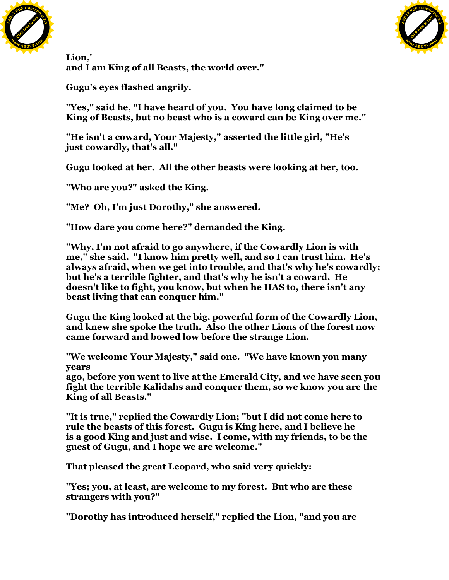



**Lion,' and I am King of all Beasts, the world over."**

**Gugu's eyes flashed angrily.**

**"Yes," said he, "I have heard of you. You have long claimed to be King of Beasts, but no beast who is a coward can be King over me."**

**"He isn't a coward, Your Majesty," asserted the little girl, "He's just cowardly, that's all."**

**Gugu looked at her. All the other beasts were looking at her, too.**

**"Who are you?" asked the King.**

**"Me? Oh, I'm just Dorothy," she answered.**

**"How dare you come here?" demanded the King.**

**"Why, I'm not afraid to go anywhere, if the Cowardly Lion is with me," she said. "I know him pretty well, and so I can trust him. He's always afraid, when we get into trouble, and that's why he's cowardly; but he's a terrible fighter, and that's why he isn't a coward. He doesn't like to fight, you know, but when he HAS to, there isn't any beast living that can conquer him."**

**Gugu the King looked at the big, powerful form of the Cowardly Lion, and knew she spoke the truth. Also the other Lions of the forest now came forward and bowed low before the strange Lion.**

**"We welcome Your Majesty," said one. "We have known you many years**

**ago, before you went to live at the Emerald City, and we have seen you fight the terrible Kalidahs and conquer them, so we know you are the King of all Beasts."**

**"It is true," replied the Cowardly Lion; "but I did not come here to rule the beasts of this forest. Gugu is King here, and I believe he is a good King and just and wise. I come, with my friends, to be the guest of Gugu, and I hope we are welcome."**

**That pleased the great Leopard, who said very quickly:**

**"Yes; you, at least, are welcome to my forest. But who are these strangers with you?"**

**"Dorothy has introduced herself," replied the Lion, "and you are**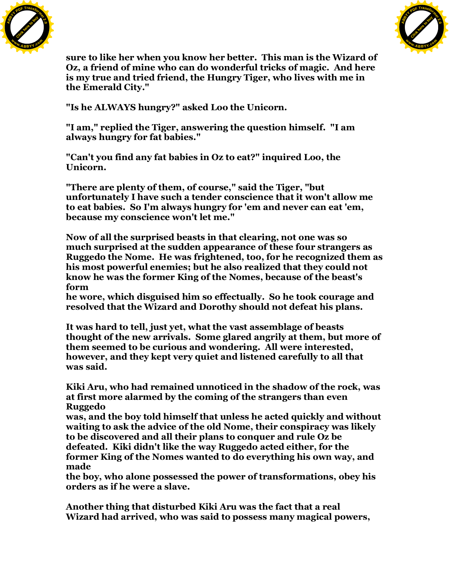



**sure to like her when you know her better. This man is the Wizard of Oz, a friend of mine who can do wonderful tricks of magic. And here is my true and tried friend, the Hungry Tiger, who lives with me in the Emerald City."**

**"Is he ALWAYS hungry?" asked Loo the Unicorn.**

**"I am," replied the Tiger, answering the question himself. "I am always hungry for fat babies."**

**"Can't you find any fat babies in Oz to eat?" inquired Loo, the Unicorn.**

**"There are plenty of them, of course," said the Tiger, "but unfortunately I have such a tender conscience that it won't allow me to eat babies. So I'm always hungry for 'em and never can eat 'em, because my conscience won't let me."**

**Now of all the surprised beasts in that clearing, not one was so much surprised at the sudden appearance of these four strangers as Ruggedo the Nome. He was frightened, too, for he recognized them as his most powerful enemies; but he also realized that they could not know he was the former King of the Nomes, because of the beast's form**

**he wore, which disguised him so effectually. So he took courage and resolved that the Wizard and Dorothy should not defeat his plans.**

**It was hard to tell, just yet, what the vast assemblage of beasts thought of the new arrivals. Some glared angrily at them, but more of them seemed to be curious and wondering. All were interested, however, and they kept very quiet and listened carefully to all that was said.**

**Kiki Aru, who had remained unnoticed in the shadow of the rock, was at first more alarmed by the coming of the strangers than even Ruggedo**

**was, and the boy told himself that unless he acted quickly and without waiting to ask the advice of the old Nome, their conspiracy was likely to be discovered and all their plans to conquer and rule Oz be defeated. Kiki didn't like the way Ruggedo acted either, for the former King of the Nomes wanted to do everything his own way, and made**

**the boy, who alone possessed the power of transformations, obey his orders as if he were a slave.**

**Another thing that disturbed Kiki Aru was the fact that a real Wizard had arrived, who was said to possess many magical powers,**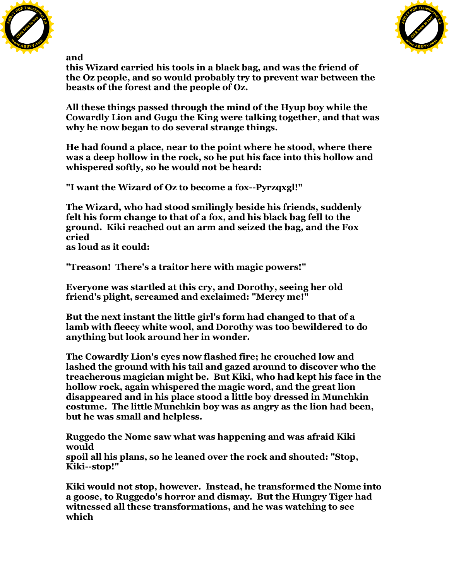



**and**

**this Wizard carried his tools in a black bag, and was the friend of the Oz people, and so would probably try to prevent war between the beasts of the forest and the people of Oz.**

**All these things passed through the mind of the Hyup boy while the Cowardly Lion and Gugu the King were talking together, and that was why he now began to do several strange things.**

**He had found a place, near to the point where he stood, where there was a deep hollow in the rock, so he put his face into this hollow and whispered softly, so he would not be heard:**

**"I want the Wizard of Oz to become a fox--Pyrzqxgl!"**

**The Wizard, who had stood smilingly beside his friends, suddenly felt his form change to that of a fox, and his black bag fell to the ground. Kiki reached out an arm and seized the bag, and the Fox cried**

**as loud as it could:**

**"Treason! There's a traitor here with magic powers!"**

**Everyone was startled at this cry, and Dorothy, seeing her old friend's plight, screamed and exclaimed: "Mercy me!"**

**But the next instant the little girl's form had changed to that of a lamb with fleecy white wool, and Dorothy was too bewildered to do anything but look around her in wonder.**

**The Cowardly Lion's eyes now flashed fire; he crouched low and lashed the ground with his tail and gazed around to discover who the treacherous magician might be. But Kiki, who had kept his face in the hollow rock, again whispered the magic word, and the great lion disappeared and in his place stood a little boy dressed in Munchkin costume. The little Munchkin boy was as angry as the lion had been, but he was small and helpless.**

**Ruggedo the Nome saw what was happening and was afraid Kiki would spoil all his plans, so he leaned over the rock and shouted: "Stop, Kiki--stop!"**

**Kiki would not stop, however. Instead, he transformed the Nome into a goose, to Ruggedo's horror and dismay. But the Hungry Tiger had witnessed all these transformations, and he was watching to see which**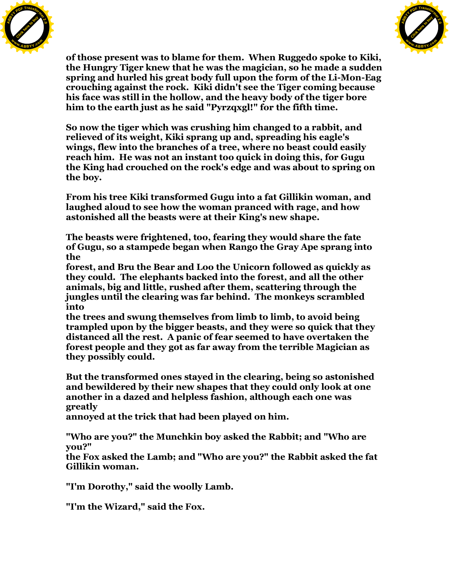



**of those present was to blame for them. When Ruggedo spoke to Kiki, the Hungry Tiger knew that he was the magician, so he made a sudden spring and hurled his great body full upon the form of the Li-Mon-Eag crouching against the rock. Kiki didn't see the Tiger coming because his face was still in the hollow, and the heavy body of the tiger bore him to the earth just as he said "Pyrzqxgl!" for the fifth time.**

**So now the tiger which was crushing him changed to a rabbit, and relieved of its weight, Kiki sprang up and, spreading his eagle's wings, flew into the branches of a tree, where no beast could easily reach him. He was not an instant too quick in doing this, for Gugu the King had crouched on the rock's edge and was about to spring on the boy.**

**From his tree Kiki transformed Gugu into a fat Gillikin woman, and laughed aloud to see how the woman pranced with rage, and how astonished all the beasts were at their King's new shape.**

**The beasts were frightened, too, fearing they would share the fate of Gugu, so a stampede began when Rango the Gray Ape sprang into the**

**forest, and Bru the Bear and Loo the Unicorn followed as quickly as they could. The elephants backed into the forest, and all the other animals, big and little, rushed after them, scattering through the jungles until the clearing was far behind. The monkeys scrambled into**

**the trees and swung themselves from limb to limb, to avoid being trampled upon by the bigger beasts, and they were so quick that they distanced all the rest. A panic of fear seemed to have overtaken the forest people and they got as far away from the terrible Magician as they possibly could.**

**But the transformed ones stayed in the clearing, being so astonished and bewildered by their new shapes that they could only look at one another in a dazed and helpless fashion, although each one was greatly**

**annoyed at the trick that had been played on him.**

**"Who are you?" the Munchkin boy asked the Rabbit; and "Who are you?"**

**the Fox asked the Lamb; and "Who are you?" the Rabbit asked the fat Gillikin woman.**

**"I'm Dorothy," said the woolly Lamb.**

**"I'm the Wizard," said the Fox.**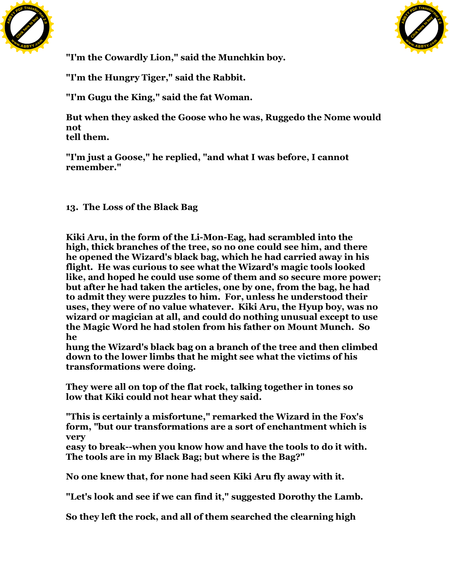



**"I'm the Cowardly Lion," said the Munchkin boy.**

**"I'm the Hungry Tiger," said the Rabbit.**

**"I'm Gugu the King," said the fat Woman.**

**But when they asked the Goose who he was, Ruggedo the Nome would not tell them.**

**"I'm just a Goose," he replied, "and what I was before, I cannot remember."**

**13. The Loss of the Black Bag**

**Kiki Aru, in the form of the Li-Mon-Eag, had scrambled into the high, thick branches of the tree, so no one could see him, and there he opened the Wizard's black bag, which he had carried away in his flight. He was curious to see what the Wizard's magic tools looked like, and hoped he could use some of them and so secure more power; but after he had taken the articles, one by one, from the bag, he had to admit they were puzzles to him. For, unless he understood their uses, they were of no value whatever. Kiki Aru, the Hyup boy, was no wizard or magician at all, and could do nothing unusual except to use the Magic Word he had stolen from his father on Mount Munch. So he**

**hung the Wizard's black bag on a branch of the tree and then climbed down to the lower limbs that he might see what the victims of his transformations were doing.**

**They were all on top of the flat rock, talking together in tones so low that Kiki could not hear what they said.**

**"This is certainly a misfortune," remarked the Wizard in the Fox's form, "but our transformations are a sort of enchantment which is very**

**easy to break--when you know how and have the tools to do it with. The tools are in my Black Bag; but where is the Bag?"**

**No one knew that, for none had seen Kiki Aru fly away with it.**

**"Let's look and see if we can find it," suggested Dorothy the Lamb.**

**So they left the rock, and all of them searched the clearning high**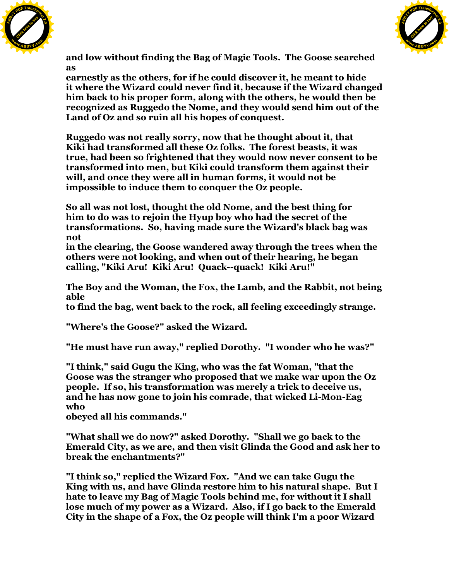



**and low without finding the Bag of Magic Tools. The Goose searched as**

**earnestly as the others, for if he could discover it, he meant to hide it where the Wizard could never find it, because if the Wizard changed him back to his proper form, along with the others, he would then be recognized as Ruggedo the Nome, and they would send him out of the Land of Oz and so ruin all his hopes of conquest.**

**Ruggedo was not really sorry, now that he thought about it, that Kiki had transformed all these Oz folks. The forest beasts, it was true, had been so frightened that they would now never consent to be transformed into men, but Kiki could transform them against their will, and once they were all in human forms, it would not be impossible to induce them to conquer the Oz people.**

**So all was not lost, thought the old Nome, and the best thing for him to do was to rejoin the Hyup boy who had the secret of the transformations. So, having made sure the Wizard's black bag was not**

**in the clearing, the Goose wandered away through the trees when the others were not looking, and when out of their hearing, he began calling, "Kiki Aru! Kiki Aru! Quack--quack! Kiki Aru!"**

**The Boy and the Woman, the Fox, the Lamb, and the Rabbit, not being able**

**to find the bag, went back to the rock, all feeling exceedingly strange.**

**"Where's the Goose?" asked the Wizard.**

**"He must have run away," replied Dorothy. "I wonder who he was?"**

**"I think," said Gugu the King, who was the fat Woman, "that the Goose was the stranger who proposed that we make war upon the Oz people. If so, his transformation was merely a trick to deceive us, and he has now gone to join his comrade, that wicked Li-Mon-Eag who**

**obeyed all his commands."**

**"What shall we do now?" asked Dorothy. "Shall we go back to the Emerald City, as we are, and then visit Glinda the Good and ask her to break the enchantments?"**

**"I think so," replied the Wizard Fox. "And we can take Gugu the King with us, and have Glinda restore him to his natural shape. But I hate to leave my Bag of Magic Tools behind me, for without it I shall lose much of my power as a Wizard. Also, if I go back to the Emerald City in the shape of a Fox, the Oz people will think I'm a poor Wizard**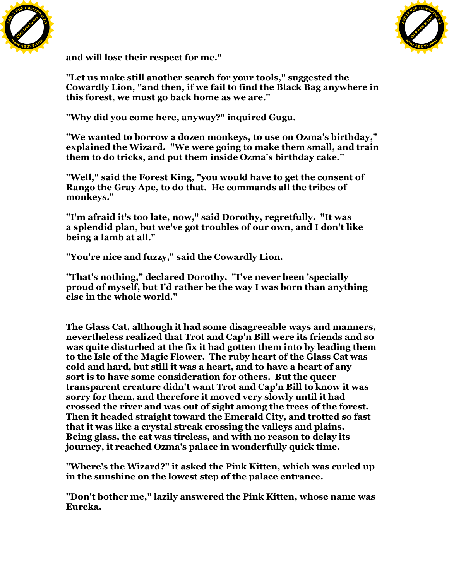



**and will lose their respect for me."**

**"Let us make still another search for your tools," suggested the Cowardly Lion, "and then, if we fail to find the Black Bag anywhere in this forest, we must go back home as we are."**

**"Why did you come here, anyway?" inquired Gugu.**

**"We wanted to borrow a dozen monkeys, to use on Ozma's birthday," explained the Wizard. "We were going to make them small, and train them to do tricks, and put them inside Ozma's birthday cake."**

**"Well," said the Forest King, "you would have to get the consent of Rango the Gray Ape, to do that. He commands all the tribes of monkeys."**

**"I'm afraid it's too late, now," said Dorothy, regretfully. "It was a splendid plan, but we've got troubles of our own, and I don't like being a lamb at all."**

**"You're nice and fuzzy," said the Cowardly Lion.**

**"That's nothing," declared Dorothy. "I've never been 'specially proud of myself, but I'd rather be the way I was born than anything else in the whole world."**

**The Glass Cat, although it had some disagreeable ways and manners, nevertheless realized that Trot and Cap'n Bill were its friends and so was quite disturbed at the fix it had gotten them into by leading them to the Isle of the Magic Flower. The ruby heart of the Glass Cat was cold and hard, but still it was a heart, and to have a heart of any sort is to have some consideration for others. But the queer transparent creature didn't want Trot and Cap'n Bill to know it was sorry for them, and therefore it moved very slowly until it had crossed the river and was out of sight among the trees of the forest. Then it headed straight toward the Emerald City, and trotted so fast that it was like a crystal streak crossing the valleys and plains. Being glass, the cat was tireless, and with no reason to delay its journey, it reached Ozma's palace in wonderfully quick time.**

**"Where's the Wizard?" it asked the Pink Kitten, which was curled up in the sunshine on the lowest step of the palace entrance.**

**"Don't bother me," lazily answered the Pink Kitten, whose name was Eureka.**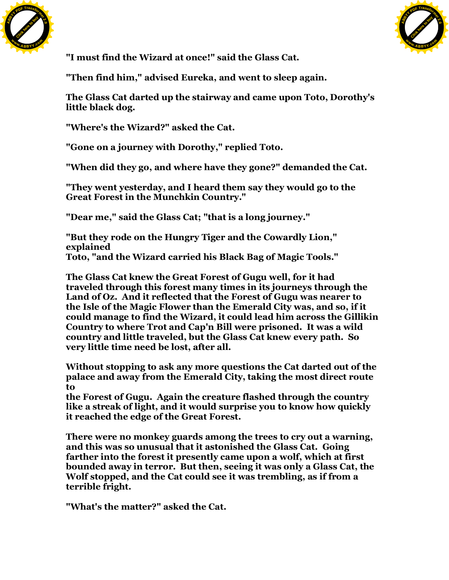



**"I must find the Wizard at once!" said the Glass Cat.**

**"Then find him," advised Eureka, and went to sleep again.**

**The Glass Cat darted up the stairway and came upon Toto, Dorothy's little black dog.**

**"Where's the Wizard?" asked the Cat.**

**"Gone on a journey with Dorothy," replied Toto.**

**"When did they go, and where have they gone?" demanded the Cat.**

**"They went yesterday, and I heard them say they would go to the Great Forest in the Munchkin Country."**

**"Dear me," said the Glass Cat; "that is a long journey."**

**"But they rode on the Hungry Tiger and the Cowardly Lion," explained Toto, "and the Wizard carried his Black Bag of Magic Tools."**

**The Glass Cat knew the Great Forest of Gugu well, for it had traveled through this forest many times in its journeys through the Land of Oz. And it reflected that the Forest of Gugu was nearer to the Isle of the Magic Flower than the Emerald City was, and so, if it could manage to find the Wizard, it could lead him across the Gillikin Country to where Trot and Cap'n Bill were prisoned. It was a wild country and little traveled, but the Glass Cat knew every path. So very little time need be lost, after all.**

**Without stopping to ask any more questions the Cat darted out of the palace and away from the Emerald City, taking the most direct route to**

**the Forest of Gugu. Again the creature flashed through the country like a streak of light, and it would surprise you to know how quickly it reached the edge of the Great Forest.**

**There were no monkey guards among the trees to cry out a warning, and this was so unusual that it astonished the Glass Cat. Going farther into the forest it presently came upon a wolf, which at first bounded away in terror. But then, seeing it was only a Glass Cat, the Wolf stopped, and the Cat could see it was trembling, as if from a terrible fright.**

**"What's the matter?" asked the Cat.**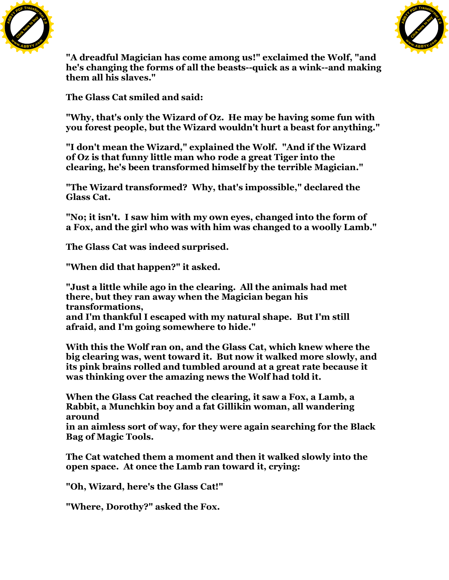



**"A dreadful Magician has come among us!" exclaimed the Wolf, "and he's changing the forms of all the beasts--quick as a wink--and making them all his slaves."**

**The Glass Cat smiled and said:**

**"Why, that's only the Wizard of Oz. He may be having some fun with you forest people, but the Wizard wouldn't hurt a beast for anything."**

**"I don't mean the Wizard," explained the Wolf. "And if the Wizard of Oz is that funny little man who rode a great Tiger into the clearing, he's been transformed himself by the terrible Magician."**

**"The Wizard transformed? Why, that's impossible," declared the Glass Cat.**

**"No; it isn't. I saw him with my own eyes, changed into the form of a Fox, and the girl who was with him was changed to a woolly Lamb."**

**The Glass Cat was indeed surprised.**

**"When did that happen?" it asked.**

**"Just a little while ago in the clearing. All the animals had met there, but they ran away when the Magician began his transformations,**

**and I'm thankful I escaped with my natural shape. But I'm still afraid, and I'm going somewhere to hide."**

**With this the Wolf ran on, and the Glass Cat, which knew where the big clearing was, went toward it. But now it walked more slowly, and its pink brains rolled and tumbled around at a great rate because it was thinking over the amazing news the Wolf had told it.**

**When the Glass Cat reached the clearing, it saw a Fox, a Lamb, a Rabbit, a Munchkin boy and a fat Gillikin woman, all wandering around**

**in an aimless sort of way, for they were again searching for the Black Bag of Magic Tools.**

**The Cat watched them a moment and then it walked slowly into the open space. At once the Lamb ran toward it, crying:**

**"Oh, Wizard, here's the Glass Cat!"**

**"Where, Dorothy?" asked the Fox.**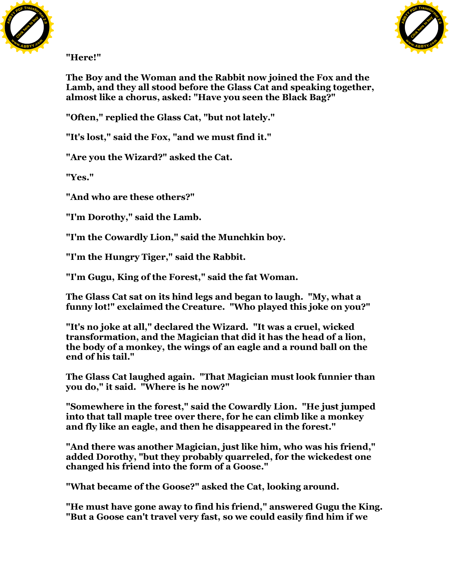



**"Here!"**

**The Boy and the Woman and the Rabbit now joined the Fox and the Lamb, and they all stood before the Glass Cat and speaking together, almost like a chorus, asked: "Have you seen the Black Bag?"**

**"Often," replied the Glass Cat, "but not lately."**

**"It's lost," said the Fox, "and we must find it."**

**"Are you the Wizard?" asked the Cat.**

**"Yes."**

**"And who are these others?"**

**"I'm Dorothy," said the Lamb.**

**"I'm the Cowardly Lion," said the Munchkin boy.**

**"I'm the Hungry Tiger," said the Rabbit.**

**"I'm Gugu, King of the Forest," said the fat Woman.**

**The Glass Cat sat on its hind legs and began to laugh. "My, what a funny lot!" exclaimed the Creature. "Who played this joke on you?"**

**"It's no joke at all," declared the Wizard. "It was a cruel, wicked transformation, and the Magician that did it has the head of a lion, the body of a monkey, the wings of an eagle and a round ball on the end of his tail."**

**The Glass Cat laughed again. "That Magician must look funnier than you do," it said. "Where is he now?"**

**"Somewhere in the forest," said the Cowardly Lion. "He just jumped into that tall maple tree over there, for he can climb like a monkey and fly like an eagle, and then he disappeared in the forest."**

**"And there was another Magician, just like him, who was his friend," added Dorothy, "but they probably quarreled, for the wickedest one changed his friend into the form of a Goose."**

**"What became of the Goose?" asked the Cat, looking around.**

**"He must have gone away to find his friend," answered Gugu the King. "But a Goose can't travel very fast, so we could easily find him if we**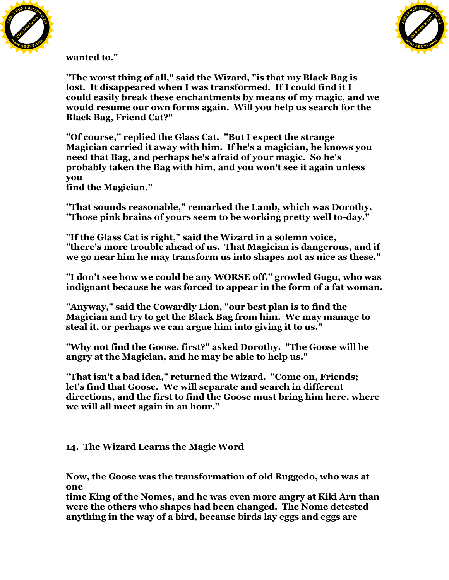



**wanted to."**

**"The worst thing of all," said the Wizard, "is that my Black Bag is lost. It disappeared when I was transformed. If I could find it I could easily break these enchantments by means of my magic, and we would resume our own forms again. Will you help us search for the Black Bag, Friend Cat?"**

**"Of course," replied the Glass Cat. "But I expect the strange Magician carried it away with him. If he's a magician, he knows you need that Bag, and perhaps he's afraid of your magic. So he's probably taken the Bag with him, and you won't see it again unless you**

**find the Magician."**

**"That sounds reasonable," remarked the Lamb, which was Dorothy. "Those pink brains of yours seem to be working pretty well to-day."**

**"If the Glass Cat is right," said the Wizard in a solemn voice, "there's more trouble ahead of us. That Magician is dangerous, and if we go near him he may transform us into shapes not as nice as these."**

**"I don't see how we could be any WORSE off," growled Gugu, who was indignant because he was forced to appear in the form of a fat woman.**

**"Anyway," said the Cowardly Lion, "our best plan is to find the Magician and try to get the Black Bag from him. We may manage to steal it, or perhaps we can argue him into giving it to us."**

**"Why not find the Goose, first?" asked Dorothy. "The Goose will be angry at the Magician, and he may be able to help us."**

**"That isn't a bad idea," returned the Wizard. "Come on, Friends; let's find that Goose. We will separate and search in different directions, and the first to find the Goose must bring him here, where we will all meet again in an hour."**

**14. The Wizard Learns the Magic Word**

**Now, the Goose was the transformation of old Ruggedo, who was at one**

**time King of the Nomes, and he was even more angry at Kiki Aru than were the others who shapes had been changed. The Nome detested anything in the way of a bird, because birds lay eggs and eggs are**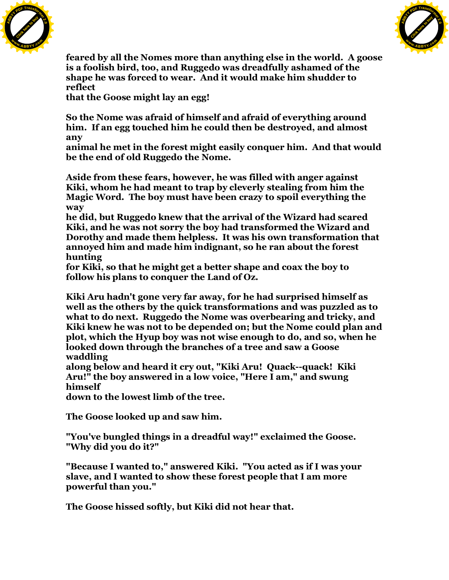![](_page_62_Picture_0.jpeg)

![](_page_62_Picture_1.jpeg)

**feared by all the Nomes more than anything else in the world. A goose is a foolish bird, too, and Ruggedo was dreadfully ashamed of the shape he was forced to wear. And it would make him shudder to reflect**

**that the Goose might lay an egg!**

**So the Nome was afraid of himself and afraid of everything around him. If an egg touched him he could then be destroyed, and almost any**

**animal he met in the forest might easily conquer him. And that would be the end of old Ruggedo the Nome.**

**Aside from these fears, however, he was filled with anger against Kiki, whom he had meant to trap by cleverly stealing from him the Magic Word. The boy must have been crazy to spoil everything the way**

**he did, but Ruggedo knew that the arrival of the Wizard had scared Kiki, and he was not sorry the boy had transformed the Wizard and Dorothy and made them helpless. It was his own transformation that annoyed him and made him indignant, so he ran about the forest hunting**

**for Kiki, so that he might get a better shape and coax the boy to follow his plans to conquer the Land of Oz.**

**Kiki Aru hadn't gone very far away, for he had surprised himself as well as the others by the quick transformations and was puzzled as to what to do next. Ruggedo the Nome was overbearing and tricky, and Kiki knew he was not to be depended on; but the Nome could plan and plot, which the Hyup boy was not wise enough to do, and so, when he looked down through the branches of a tree and saw a Goose waddling**

**along below and heard it cry out, "Kiki Aru! Quack--quack! Kiki Aru!" the boy answered in a low voice, "Here I am," and swung himself**

**down to the lowest limb of the tree.**

**The Goose looked up and saw him.**

**"You've bungled things in a dreadful way!" exclaimed the Goose. "Why did you do it?"**

**"Because I wanted to," answered Kiki. "You acted as if I was your slave, and I wanted to show these forest people that I am more powerful than you."**

**The Goose hissed softly, but Kiki did not hear that.**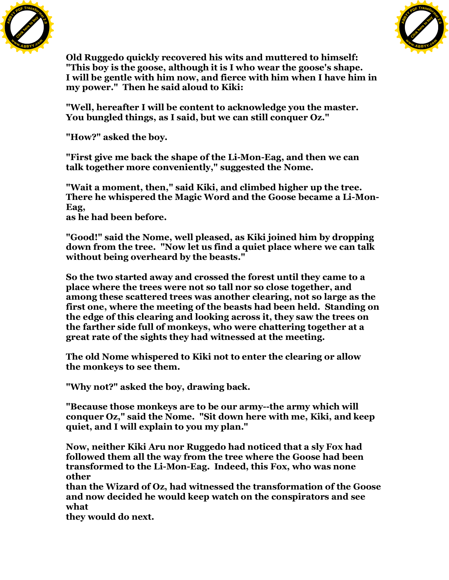![](_page_63_Picture_0.jpeg)

![](_page_63_Picture_1.jpeg)

**Old Ruggedo quickly recovered his wits and muttered to himself: "This boy is the goose, although it is I who wear the goose's shape. I will be gentle with him now, and fierce with him when I have him in my power." Then he said aloud to Kiki:**

**"Well, hereafter I will be content to acknowledge you the master. You bungled things, as I said, but we can still conquer Oz."**

**"How?" asked the boy.**

**"First give me back the shape of the Li-Mon-Eag, and then we can talk together more conveniently," suggested the Nome.**

**"Wait a moment, then," said Kiki, and climbed higher up the tree. There he whispered the Magic Word and the Goose became a Li-Mon-Eag,**

**as he had been before.**

**"Good!" said the Nome, well pleased, as Kiki joined him by dropping down from the tree. "Now let us find a quiet place where we can talk without being overheard by the beasts."**

**So the two started away and crossed the forest until they came to a place where the trees were not so tall nor so close together, and among these scattered trees was another clearing, not so large as the first one, where the meeting of the beasts had been held. Standing on the edge of this clearing and looking across it, they saw the trees on the farther side full of monkeys, who were chattering together at a great rate of the sights they had witnessed at the meeting.**

**The old Nome whispered to Kiki not to enter the clearing or allow the monkeys to see them.**

**"Why not?" asked the boy, drawing back.**

**"Because those monkeys are to be our army--the army which will conquer Oz," said the Nome. "Sit down here with me, Kiki, and keep quiet, and I will explain to you my plan."**

**Now, neither Kiki Aru nor Ruggedo had noticed that a sly Fox had followed them all the way from the tree where the Goose had been transformed to the Li-Mon-Eag. Indeed, this Fox, who was none other**

**than the Wizard of Oz, had witnessed the transformation of the Goose and now decided he would keep watch on the conspirators and see what**

**they would do next.**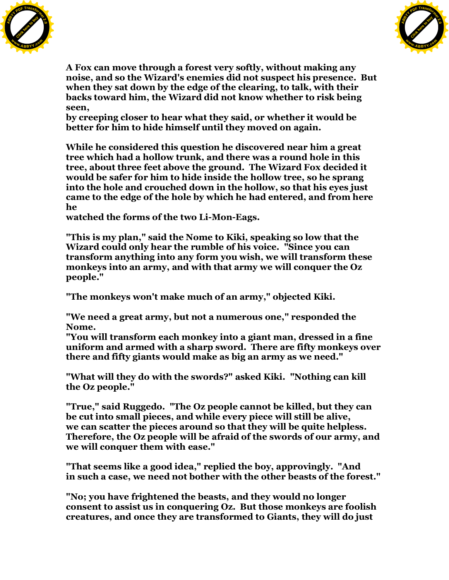![](_page_64_Picture_0.jpeg)

![](_page_64_Picture_1.jpeg)

**A Fox can move through a forest very softly, without making any noise, and so the Wizard's enemies did not suspect his presence. But when they sat down by the edge of the clearing, to talk, with their backs toward him, the Wizard did not know whether to risk being seen,**

**by creeping closer to hear what they said, or whether it would be better for him to hide himself until they moved on again.**

**While he considered this question he discovered near him a great tree which had a hollow trunk, and there was a round hole in this tree, about three feet above the ground. The Wizard Fox decided it would be safer for him to hide inside the hollow tree, so he sprang into the hole and crouched down in the hollow, so that his eyes just came to the edge of the hole by which he had entered, and from here he**

**watched the forms of the two Li-Mon-Eags.**

**"This is my plan," said the Nome to Kiki, speaking so low that the Wizard could only hear the rumble of his voice. "Since you can transform anything into any form you wish, we will transform these monkeys into an army, and with that army we will conquer the Oz people."**

**"The monkeys won't make much of an army," objected Kiki.**

**"We need a great army, but not a numerous one," responded the Nome.**

**"You will transform each monkey into a giant man, dressed in a fine uniform and armed with a sharp sword. There are fifty monkeys over there and fifty giants would make as big an army as we need."**

**"What will they do with the swords?" asked Kiki. "Nothing can kill the Oz people."**

**"True," said Ruggedo. "The Oz people cannot be killed, but they can be cut into small pieces, and while every piece will still be alive, we can scatter the pieces around so that they will be quite helpless. Therefore, the Oz people will be afraid of the swords of our army, and we will conquer them with ease."**

**"That seems like a good idea," replied the boy, approvingly. "And in such a case, we need not bother with the other beasts of the forest."**

**"No; you have frightened the beasts, and they would no longer consent to assist us in conquering Oz. But those monkeys are foolish creatures, and once they are transformed to Giants, they will do just**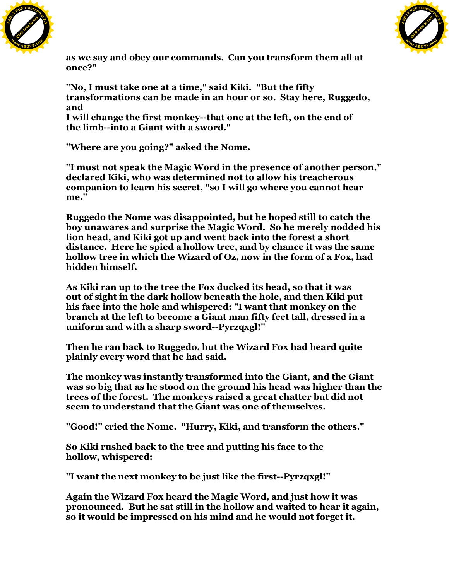![](_page_65_Picture_0.jpeg)

![](_page_65_Picture_1.jpeg)

**as we say and obey our commands. Can you transform them all at once?"**

**"No, I must take one at a time," said Kiki. "But the fifty transformations can be made in an hour or so. Stay here, Ruggedo, and**

**I will change the first monkey--that one at the left, on the end of the limb--into a Giant with a sword."**

**"Where are you going?" asked the Nome.**

**"I must not speak the Magic Word in the presence of another person," declared Kiki, who was determined not to allow his treacherous companion to learn his secret, "so I will go where you cannot hear me."**

**Ruggedo the Nome was disappointed, but he hoped still to catch the boy unawares and surprise the Magic Word. So he merely nodded his lion head, and Kiki got up and went back into the forest a short distance. Here he spied a hollow tree, and by chance it was the same hollow tree in which the Wizard of Oz, now in the form of a Fox, had hidden himself.**

**As Kiki ran up to the tree the Fox ducked its head, so that it was out of sight in the dark hollow beneath the hole, and then Kiki put his face into the hole and whispered: "I want that monkey on the branch at the left to become a Giant man fifty feet tall, dressed in a uniform and with a sharp sword--Pyrzqxgl!"**

**Then he ran back to Ruggedo, but the Wizard Fox had heard quite plainly every word that he had said.**

**The monkey was instantly transformed into the Giant, and the Giant was so big that as he stood on the ground his head was higher than the trees of the forest. The monkeys raised a great chatter but did not seem to understand that the Giant was one of themselves.**

**"Good!" cried the Nome. "Hurry, Kiki, and transform the others."**

**So Kiki rushed back to the tree and putting his face to the hollow, whispered:**

**"I want the next monkey to be just like the first--Pyrzqxgl!"**

**Again the Wizard Fox heard the Magic Word, and just how it was pronounced. But he sat still in the hollow and waited to hear it again, so it would be impressed on his mind and he would not forget it.**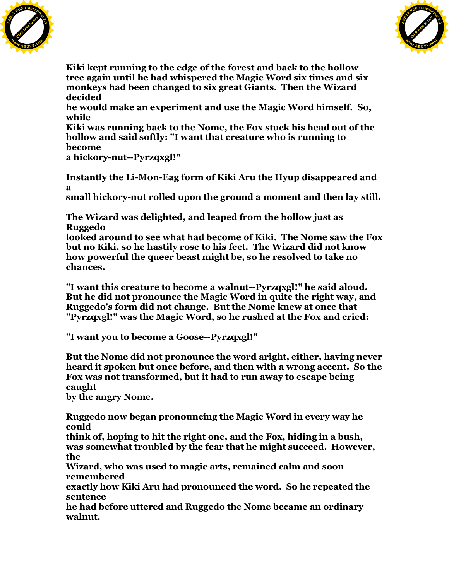![](_page_66_Picture_0.jpeg)

![](_page_66_Picture_1.jpeg)

**Kiki kept running to the edge of the forest and back to the hollow tree again until he had whispered the Magic Word six times and six monkeys had been changed to six great Giants. Then the Wizard decided**

**he would make an experiment and use the Magic Word himself. So, while**

**Kiki was running back to the Nome, the Fox stuck his head out of the hollow and said softly: "I want that creature who is running to become a hickory-nut--Pyrzqxgl!"**

**Instantly the Li-Mon-Eag form of Kiki Aru the Hyup disappeared and a**

**small hickory-nut rolled upon the ground a moment and then lay still.**

**The Wizard was delighted, and leaped from the hollow just as Ruggedo**

**looked around to see what had become of Kiki. The Nome saw the Fox but no Kiki, so he hastily rose to his feet. The Wizard did not know how powerful the queer beast might be, so he resolved to take no chances.**

**"I want this creature to become a walnut--Pyrzqxgl!" he said aloud. But he did not pronounce the Magic Word in quite the right way, and Ruggedo's form did not change. But the Nome knew at once that "Pyrzqxgl!" was the Magic Word, so he rushed at the Fox and cried:**

**"I want you to become a Goose--Pyrzqxgl!"**

**But the Nome did not pronounce the word aright, either, having never heard it spoken but once before, and then with a wrong accent. So the Fox was not transformed, but it had to run away to escape being caught**

**by the angry Nome.**

**Ruggedo now began pronouncing the Magic Word in every way he could**

**think of, hoping to hit the right one, and the Fox, hiding in a bush, was somewhat troubled by the fear that he might succeed. However, the**

**Wizard, who was used to magic arts, remained calm and soon remembered**

**exactly how Kiki Aru had pronounced the word. So he repeated the sentence**

**he had before uttered and Ruggedo the Nome became an ordinary walnut.**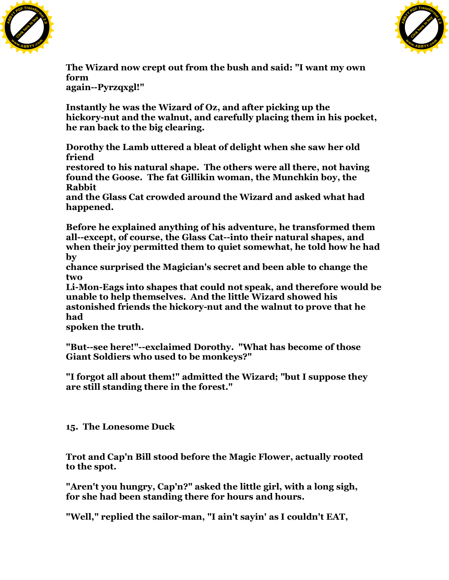![](_page_67_Picture_0.jpeg)

![](_page_67_Picture_1.jpeg)

**The Wizard now crept out from the bush and said: "I want my own form again--Pyrzqxgl!"**

**Instantly he was the Wizard of Oz, and after picking up the hickory-nut and the walnut, and carefully placing them in his pocket, he ran back to the big clearing.**

**Dorothy the Lamb uttered a bleat of delight when she saw her old friend**

**restored to his natural shape. The others were all there, not having found the Goose. The fat Gillikin woman, the Munchkin boy, the Rabbit**

**and the Glass Cat crowded around the Wizard and asked what had happened.**

**Before he explained anything of his adventure, he transformed them all--except, of course, the Glass Cat--into their natural shapes, and when their joy permitted them to quiet somewhat, he told how he had by**

**chance surprised the Magician's secret and been able to change the two**

**Li-Mon-Eags into shapes that could not speak, and therefore would be unable to help themselves. And the little Wizard showed his astonished friends the hickory-nut and the walnut to prove that he had**

**spoken the truth.**

**"But--see here!"--exclaimed Dorothy. "What has become of those Giant Soldiers who used to be monkeys?"**

**"I forgot all about them!" admitted the Wizard; "but I suppose they are still standing there in the forest."**

**15. The Lonesome Duck**

**Trot and Cap'n Bill stood before the Magic Flower, actually rooted to the spot.**

**"Aren't you hungry, Cap'n?" asked the little girl, with a long sigh, for she had been standing there for hours and hours.**

**"Well," replied the sailor-man, "I ain't sayin' as I couldn't EAT,**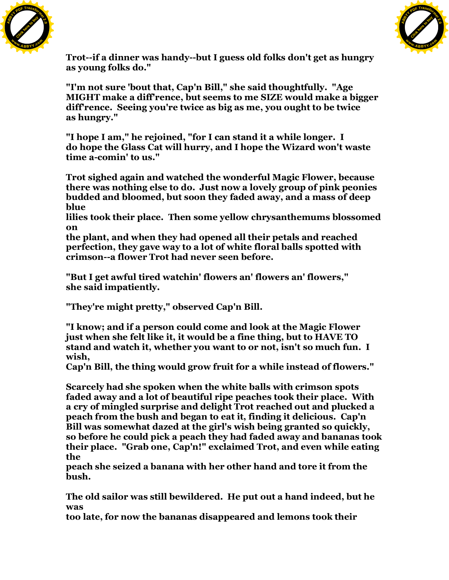![](_page_68_Picture_0.jpeg)

![](_page_68_Picture_1.jpeg)

**Trot--if a dinner was handy--but I guess old folks don't get as hungry as young folks do."**

**"I'm not sure 'bout that, Cap'n Bill," she said thoughtfully. "Age MIGHT make a diff'rence, but seems to me SIZE would make a bigger diff'rence. Seeing you're twice as big as me, you ought to be twice as hungry."**

**"I hope I am," he rejoined, "for I can stand it a while longer. I do hope the Glass Cat will hurry, and I hope the Wizard won't waste time a-comin' to us."**

**Trot sighed again and watched the wonderful Magic Flower, because there was nothing else to do. Just now a lovely group of pink peonies budded and bloomed, but soon they faded away, and a mass of deep blue**

**lilies took their place. Then some yellow chrysanthemums blossomed on**

**the plant, and when they had opened all their petals and reached perfection, they gave way to a lot of white floral balls spotted with crimson--a flower Trot had never seen before.**

**"But I get awful tired watchin' flowers an' flowers an' flowers," she said impatiently.**

**"They're might pretty," observed Cap'n Bill.**

**"I know; and if a person could come and look at the Magic Flower just when she felt like it, it would be a fine thing, but to HAVE TO stand and watch it, whether you want to or not, isn't so much fun. I wish,**

**Cap'n Bill, the thing would grow fruit for a while instead of flowers."**

**Scarcely had she spoken when the white balls with crimson spots faded away and a lot of beautiful ripe peaches took their place. With a cry of mingled surprise and delight Trot reached out and plucked a peach from the bush and began to eat it, finding it delicious. Cap'n Bill was somewhat dazed at the girl's wish being granted so quickly, so before he could pick a peach they had faded away and bananas took their place. "Grab one, Cap'n!" exclaimed Trot, and even while eating the**

**peach she seized a banana with her other hand and tore it from the bush.**

**The old sailor was still bewildered. He put out a hand indeed, but he was**

**too late, for now the bananas disappeared and lemons took their**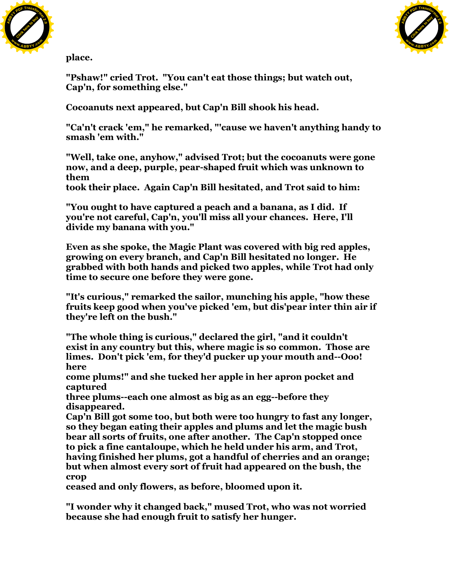![](_page_69_Picture_0.jpeg)

![](_page_69_Picture_1.jpeg)

**place.**

**"Pshaw!" cried Trot. "You can't eat those things; but watch out, Cap'n, for something else."**

**Cocoanuts next appeared, but Cap'n Bill shook his head.**

**"Ca'n't crack 'em," he remarked, "'cause we haven't anything handy to smash 'em with."**

**"Well, take one, anyhow," advised Trot; but the cocoanuts were gone now, and a deep, purple, pear-shaped fruit which was unknown to them**

**took their place. Again Cap'n Bill hesitated, and Trot said to him:**

**"You ought to have captured a peach and a banana, as I did. If you're not careful, Cap'n, you'll miss all your chances. Here, I'll divide my banana with you."**

**Even as she spoke, the Magic Plant was covered with big red apples, growing on every branch, and Cap'n Bill hesitated no longer. He grabbed with both hands and picked two apples, while Trot had only time to secure one before they were gone.**

**"It's curious," remarked the sailor, munching his apple, "how these fruits keep good when you've picked 'em, but dis'pear inter thin air if they're left on the bush."**

**"The whole thing is curious," declared the girl, "and it couldn't exist in any country but this, where magic is so common. Those are limes. Don't pick 'em, for they'd pucker up your mouth and--Ooo! here**

**come plums!" and she tucked her apple in her apron pocket and captured**

**three plums--each one almost as big as an egg--before they disappeared.**

**Cap'n Bill got some too, but both were too hungry to fast any longer, so they began eating their apples and plums and let the magic bush bear all sorts of fruits, one after another. The Cap'n stopped once to pick a fine cantaloupe, which he held under his arm, and Trot, having finished her plums, got a handful of cherries and an orange; but when almost every sort of fruit had appeared on the bush, the crop**

**ceased and only flowers, as before, bloomed upon it.**

**"I wonder why it changed back," mused Trot, who was not worried because she had enough fruit to satisfy her hunger.**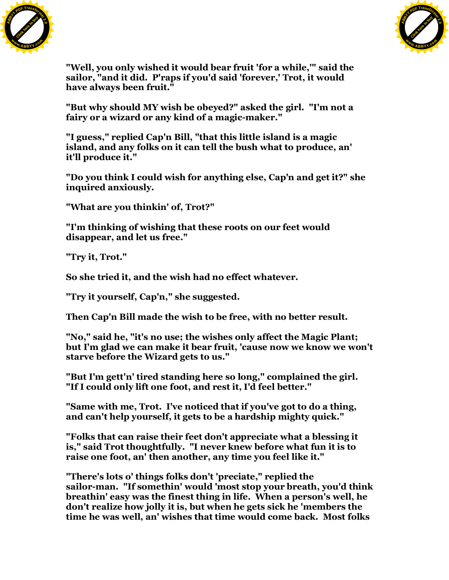![](_page_70_Picture_0.jpeg)

![](_page_70_Picture_1.jpeg)

**"Well, you only wished it would bear fruit 'for a while,'" said the sailor, "and it did. P'raps if you'd said 'forever,' Trot, it would have always been fruit."**

**"But why should MY wish be obeyed?" asked the girl. "I'm not a fairy or a wizard or any kind of a magic-maker."**

**"I guess," replied Cap'n Bill, "that this little island is a magic island, and any folks on it can tell the bush what to produce, an' it'll produce it."**

**"Do you think I could wish for anything else, Cap'n and get it?" she inquired anxiously.**

**"What are you thinkin' of, Trot?"**

**"I'm thinking of wishing that these roots on our feet would disappear, and let us free."**

**"Try it, Trot."**

**So she tried it, and the wish had no effect whatever.**

**"Try it yourself, Cap'n," she suggested.**

**Then Cap'n Bill made the wish to be free, with no better result.**

**"No," said he, "it's no use; the wishes only affect the Magic Plant; but I'm glad we can make it bear fruit, 'cause now we know we won't starve before the Wizard gets to us."**

**"But I'm gett'n' tired standing here so long," complained the girl. "If I could only lift one foot, and rest it, I'd feel better."**

**"Same with me, Trot. I've noticed that if you've got to do a thing, and can't help yourself, it gets to be a hardship mighty quick."**

**"Folks that can raise their feet don't appreciate what a blessing it is," said Trot thoughtfully. "I never knew before what fun it is to raise one foot, an' then another, any time you feel like it."**

**"There's lots o' things folks don't 'preciate," replied the sailor-man. "If somethin' would 'most stop your breath, you'd think breathin' easy was the finest thing in life. When a person's well, he don't realize how jolly it is, but when he gets sick he 'members the time he was well, an' wishes that time would come back. Most folks**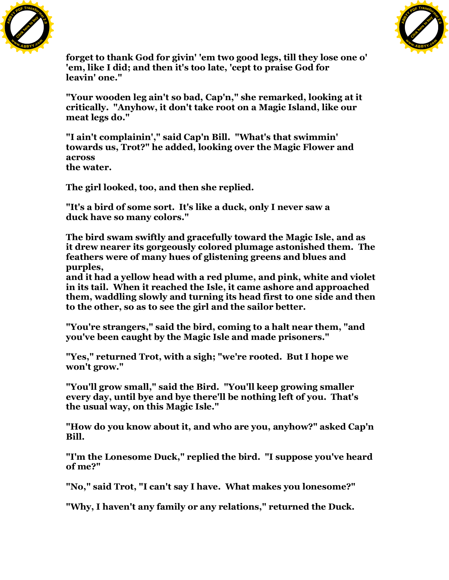![](_page_71_Picture_0.jpeg)

![](_page_71_Picture_1.jpeg)

**forget to thank God for givin' 'em two good legs, till they lose one o' 'em, like I did; and then it's too late, 'cept to praise God for leavin' one."**

**"Your wooden leg ain't so bad, Cap'n," she remarked, looking at it critically. "Anyhow, it don't take root on a Magic Island, like our meat legs do."**

**"I ain't complainin'," said Cap'n Bill. "What's that swimmin' towards us, Trot?" he added, looking over the Magic Flower and across the water.**

**The girl looked, too, and then she replied.**

**"It's a bird of some sort. It's like a duck, only I never saw a duck have so many colors."**

**The bird swam swiftly and gracefully toward the Magic Isle, and as it drew nearer its gorgeously colored plumage astonished them. The feathers were of many hues of glistening greens and blues and purples,**

**and it had a yellow head with a red plume, and pink, white and violet in its tail. When it reached the Isle, it came ashore and approached them, waddling slowly and turning its head first to one side and then to the other, so as to see the girl and the sailor better.**

**"You're strangers," said the bird, coming to a halt near them, "and you've been caught by the Magic Isle and made prisoners."**

**"Yes," returned Trot, with a sigh; "we're rooted. But I hope we won't grow."**

**"You'll grow small," said the Bird. "You'll keep growing smaller every day, until bye and bye there'll be nothing left of you. That's the usual way, on this Magic Isle."**

**"How do you know about it, and who are you, anyhow?" asked Cap'n Bill.**

**"I'm the Lonesome Duck," replied the bird. "I suppose you've heard of me?"**

**"No," said Trot, "I can't say I have. What makes you lonesome?"**

**"Why, I haven't any family or any relations," returned the Duck.**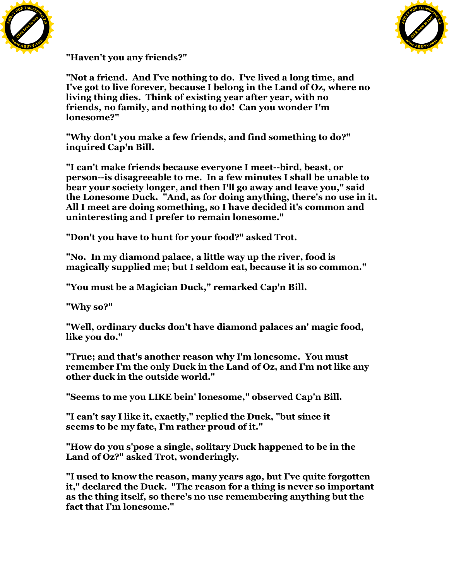



**"Haven't you any friends?"**

**"Not a friend. And I've nothing to do. I've lived a long time, and I've got to live forever, because I belong in the Land of Oz, where no living thing dies. Think of existing year after year, with no friends, no family, and nothing to do! Can you wonder I'm lonesome?"**

**"Why don't you make a few friends, and find something to do?" inquired Cap'n Bill.**

**"I can't make friends because everyone I meet--bird, beast, or person--is disagreeable to me. In a few minutes I shall be unable to bear your society longer, and then I'll go away and leave you," said the Lonesome Duck. "And, as for doing anything, there's no use in it. All I meet are doing something, so I have decided it's common and uninteresting and I prefer to remain lonesome."**

**"Don't you have to hunt for your food?" asked Trot.**

**"No. In my diamond palace, a little way up the river, food is magically supplied me; but I seldom eat, because it is so common."**

**"You must be a Magician Duck," remarked Cap'n Bill.**

**"Why so?"**

**"Well, ordinary ducks don't have diamond palaces an' magic food, like you do."**

**"True; and that's another reason why I'm lonesome. You must remember I'm the only Duck in the Land of Oz, and I'm not like any other duck in the outside world."**

**"Seems to me you LIKE bein' lonesome," observed Cap'n Bill.**

**"I can't say I like it, exactly," replied the Duck, "but since it seems to be my fate, I'm rather proud of it."**

**"How do you s'pose a single, solitary Duck happened to be in the Land of Oz?" asked Trot, wonderingly.**

**"I used to know the reason, many years ago, but I've quite forgotten it," declared the Duck. "The reason for a thing is never so important as the thing itself, so there's no use remembering anything but the fact that I'm lonesome."**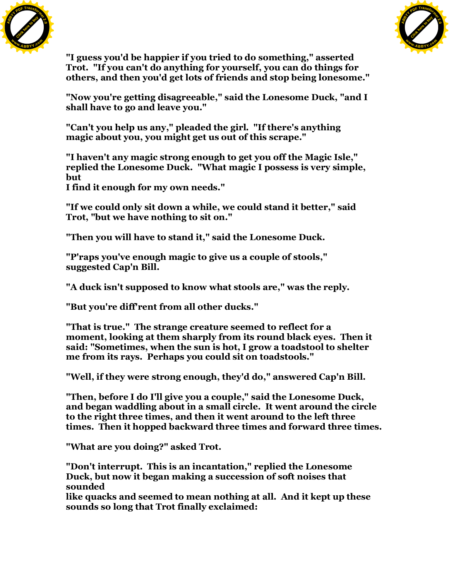



**"I guess you'd be happier if you tried to do something," asserted Trot. "If you can't do anything for yourself, you can do things for others, and then you'd get lots of friends and stop being lonesome."**

**"Now you're getting disagreeable," said the Lonesome Duck, "and I shall have to go and leave you."**

**"Can't you help us any," pleaded the girl. "If there's anything magic about you, you might get us out of this scrape."**

**"I haven't any magic strong enough to get you off the Magic Isle," replied the Lonesome Duck. "What magic I possess is very simple, but**

**I find it enough for my own needs."**

**"If we could only sit down a while, we could stand it better," said Trot, "but we have nothing to sit on."**

**"Then you will have to stand it," said the Lonesome Duck.**

**"P'raps you've enough magic to give us a couple of stools," suggested Cap'n Bill.**

**"A duck isn't supposed to know what stools are," was the reply.**

**"But you're diff'rent from all other ducks."**

**"That is true." The strange creature seemed to reflect for a moment, looking at them sharply from its round black eyes. Then it said: "Sometimes, when the sun is hot, I grow a toadstool to shelter me from its rays. Perhaps you could sit on toadstools."**

**"Well, if they were strong enough, they'd do," answered Cap'n Bill.**

**"Then, before I do I'll give you a couple," said the Lonesome Duck, and began waddling about in a small circle. It went around the circle to the right three times, and then it went around to the left three times. Then it hopped backward three times and forward three times.**

**"What are you doing?" asked Trot.**

**"Don't interrupt. This is an incantation," replied the Lonesome Duck, but now it began making a succession of soft noises that sounded**

**like quacks and seemed to mean nothing at all. And it kept up these sounds so long that Trot finally exclaimed:**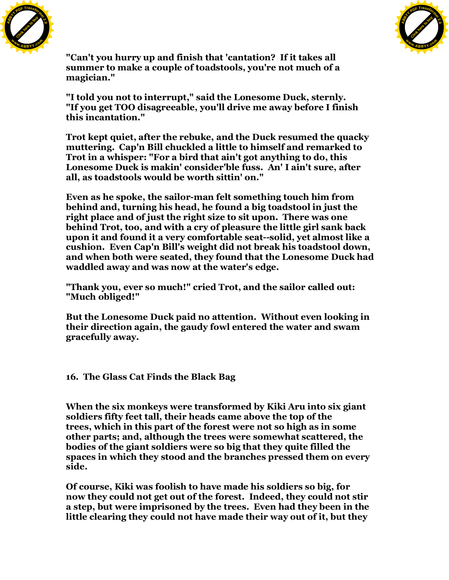



**"Can't you hurry up and finish that 'cantation? If it takes all summer to make a couple of toadstools, you're not much of a magician."**

**"I told you not to interrupt," said the Lonesome Duck, sternly. "If you get TOO disagreeable, you'll drive me away before I finish this incantation."**

**Trot kept quiet, after the rebuke, and the Duck resumed the quacky muttering. Cap'n Bill chuckled a little to himself and remarked to Trot in a whisper: "For a bird that ain't got anything to do, this Lonesome Duck is makin' consider'ble fuss. An' I ain't sure, after all, as toadstools would be worth sittin' on."**

**Even as he spoke, the sailor-man felt something touch him from behind and, turning his head, he found a big toadstool in just the right place and of just the right size to sit upon. There was one behind Trot, too, and with a cry of pleasure the little girl sank back upon it and found it a very comfortable seat--solid, yet almost like a cushion. Even Cap'n Bill's weight did not break his toadstool down, and when both were seated, they found that the Lonesome Duck had waddled away and was now at the water's edge.**

**"Thank you, ever so much!" cried Trot, and the sailor called out: "Much obliged!"**

**But the Lonesome Duck paid no attention. Without even looking in their direction again, the gaudy fowl entered the water and swam gracefully away.**

**16. The Glass Cat Finds the Black Bag**

**When the six monkeys were transformed by Kiki Aru into six giant soldiers fifty feet tall, their heads came above the top of the trees, which in this part of the forest were not so high as in some other parts; and, although the trees were somewhat scattered, the bodies of the giant soldiers were so big that they quite filled the spaces in which they stood and the branches pressed them on every side.**

**Of course, Kiki was foolish to have made his soldiers so big, for now they could not get out of the forest. Indeed, they could not stir a step, but were imprisoned by the trees. Even had they been in the little clearing they could not have made their way out of it, but they**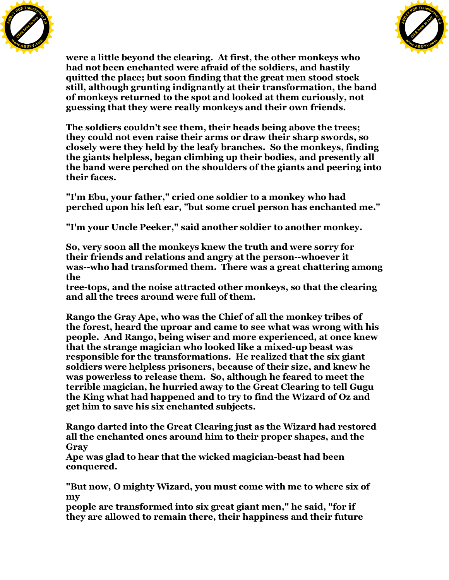



**were a little beyond the clearing. At first, the other monkeys who had not been enchanted were afraid of the soldiers, and hastily quitted the place; but soon finding that the great men stood stock still, although grunting indignantly at their transformation, the band of monkeys returned to the spot and looked at them curiously, not guessing that they were really monkeys and their own friends.**

**The soldiers couldn't see them, their heads being above the trees; they could not even raise their arms or draw their sharp swords, so closely were they held by the leafy branches. So the monkeys, finding the giants helpless, began climbing up their bodies, and presently all the band were perched on the shoulders of the giants and peering into their faces.**

**"I'm Ebu, your father," cried one soldier to a monkey who had perched upon his left ear, "but some cruel person has enchanted me."**

**"I'm your Uncle Peeker," said another soldier to another monkey.**

**So, very soon all the monkeys knew the truth and were sorry for their friends and relations and angry at the person--whoever it was--who had transformed them. There was a great chattering among the**

**tree-tops, and the noise attracted other monkeys, so that the clearing and all the trees around were full of them.**

**Rango the Gray Ape, who was the Chief of all the monkey tribes of the forest, heard the uproar and came to see what was wrong with his people. And Rango, being wiser and more experienced, at once knew that the strange magician who looked like a mixed-up beast was responsible for the transformations. He realized that the six giant soldiers were helpless prisoners, because of their size, and knew he was powerless to release them. So, although he feared to meet the terrible magician, he hurried away to the Great Clearing to tell Gugu the King what had happened and to try to find the Wizard of Oz and get him to save his six enchanted subjects.**

**Rango darted into the Great Clearing just as the Wizard had restored all the enchanted ones around him to their proper shapes, and the Gray**

**Ape was glad to hear that the wicked magician-beast had been conquered.**

**"But now, O mighty Wizard, you must come with me to where six of my**

**people are transformed into six great giant men," he said, "for if they are allowed to remain there, their happiness and their future**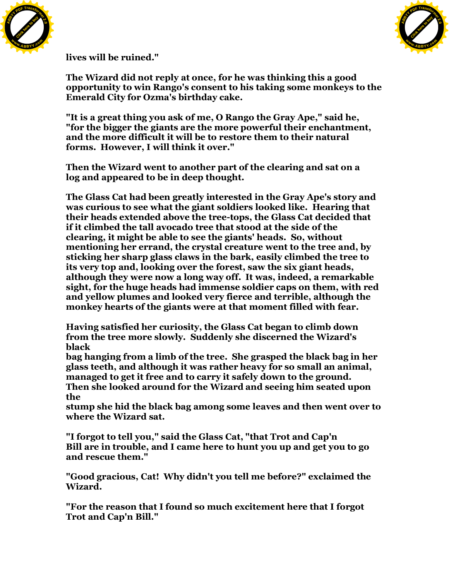



**lives will be ruined."**

**The Wizard did not reply at once, for he was thinking this a good opportunity to win Rango's consent to his taking some monkeys to the Emerald City for Ozma's birthday cake.**

**"It is a great thing you ask of me, O Rango the Gray Ape," said he, "for the bigger the giants are the more powerful their enchantment, and the more difficult it will be to restore them to their natural forms. However, I will think it over."**

**Then the Wizard went to another part of the clearing and sat on a log and appeared to be in deep thought.**

**The Glass Cat had been greatly interested in the Gray Ape's story and was curious to see what the giant soldiers looked like. Hearing that their heads extended above the tree-tops, the Glass Cat decided that if it climbed the tall avocado tree that stood at the side of the clearing, it might be able to see the giants' heads. So, without mentioning her errand, the crystal creature went to the tree and, by sticking her sharp glass claws in the bark, easily climbed the tree to its very top and, looking over the forest, saw the six giant heads, although they were now a long way off. It was, indeed, a remarkable sight, for the huge heads had immense soldier caps on them, with red and yellow plumes and looked very fierce and terrible, although the monkey hearts of the giants were at that moment filled with fear.**

**Having satisfied her curiosity, the Glass Cat began to climb down from the tree more slowly. Suddenly she discerned the Wizard's black**

**bag hanging from a limb of the tree. She grasped the black bag in her glass teeth, and although it was rather heavy for so small an animal, managed to get it free and to carry it safely down to the ground. Then she looked around for the Wizard and seeing him seated upon the**

**stump she hid the black bag among some leaves and then went over to where the Wizard sat.**

**"I forgot to tell you," said the Glass Cat, "that Trot and Cap'n Bill are in trouble, and I came here to hunt you up and get you to go and rescue them."**

**"Good gracious, Cat! Why didn't you tell me before?" exclaimed the Wizard.**

**"For the reason that I found so much excitement here that I forgot Trot and Cap'n Bill."**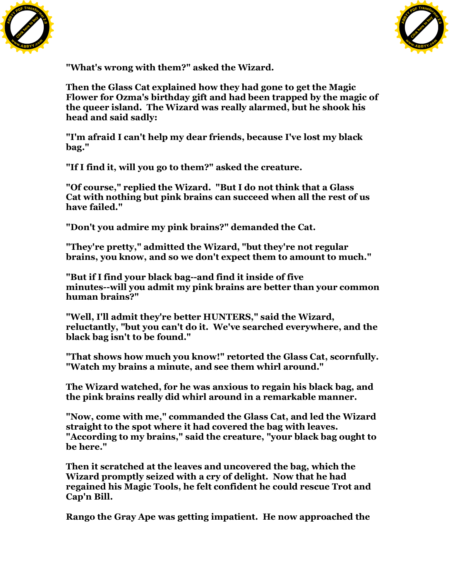



**"What's wrong with them?" asked the Wizard.**

**Then the Glass Cat explained how they had gone to get the Magic Flower for Ozma's birthday gift and had been trapped by the magic of the queer island. The Wizard was really alarmed, but he shook his head and said sadly:**

**"I'm afraid I can't help my dear friends, because I've lost my black bag."**

**"If I find it, will you go to them?" asked the creature.**

**"Of course," replied the Wizard. "But I do not think that a Glass Cat with nothing but pink brains can succeed when all the rest of us have failed."**

**"Don't you admire my pink brains?" demanded the Cat.**

**"They're pretty," admitted the Wizard, "but they're not regular brains, you know, and so we don't expect them to amount to much."**

**"But if I find your black bag--and find it inside of five minutes--will you admit my pink brains are better than your common human brains?"**

**"Well, I'll admit they're better HUNTERS," said the Wizard, reluctantly, "but you can't do it. We've searched everywhere, and the black bag isn't to be found."**

**"That shows how much you know!" retorted the Glass Cat, scornfully. "Watch my brains a minute, and see them whirl around."**

**The Wizard watched, for he was anxious to regain his black bag, and the pink brains really did whirl around in a remarkable manner.**

**"Now, come with me," commanded the Glass Cat, and led the Wizard straight to the spot where it had covered the bag with leaves. "According to my brains," said the creature, "your black bag ought to be here."**

**Then it scratched at the leaves and uncovered the bag, which the Wizard promptly seized with a cry of delight. Now that he had regained his Magic Tools, he felt confident he could rescue Trot and Cap'n Bill.**

**Rango the Gray Ape was getting impatient. He now approached the**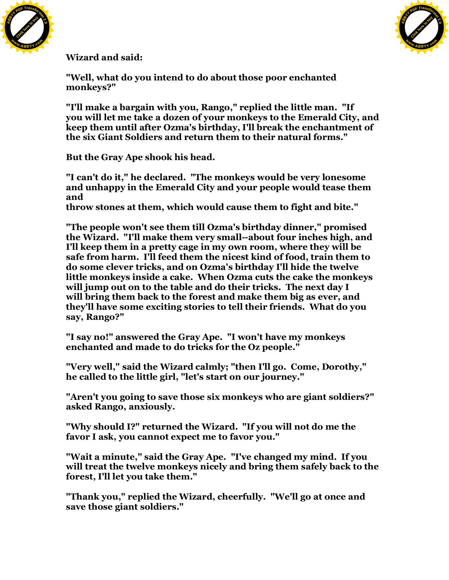



**Wizard and said:**

**"Well, what do you intend to do about those poor enchanted monkeys?"**

**"I'll make a bargain with you, Rango," replied the little man. "If you will let me take a dozen of your monkeys to the Emerald City, and keep them until after Ozma's birthday, I'll break the enchantment of the six Giant Soldiers and return them to their natural forms."**

**But the Gray Ape shook his head.**

**"I can't do it," he declared. "The monkeys would be very lonesome and unhappy in the Emerald City and your people would tease them and**

**throw stones at them, which would cause them to fight and bite."**

**"The people won't see them till Ozma's birthday dinner," promised the Wizard. "I'll make them very small--about four inches high, and I'll keep them in a pretty cage in my own room, where they will be safe from harm. I'll feed them the nicest kind of food, train them to do some clever tricks, and on Ozma's birthday I'll hide the twelve little monkeys inside a cake. When Ozma cuts the cake the monkeys will jump out on to the table and do their tricks. The next day I will bring them back to the forest and make them big as ever, and they'll have some exciting stories to tell their friends. What do you say, Rango?"**

**"I say no!" answered the Gray Ape. "I won't have my monkeys enchanted and made to do tricks for the Oz people."**

**"Very well," said the Wizard calmly; "then I'll go. Come, Dorothy," he called to the little girl, "let's start on our journey."**

**"Aren't you going to save those six monkeys who are giant soldiers?" asked Rango, anxiously.**

**"Why should I?" returned the Wizard. "If you will not do me the favor I ask, you cannot expect me to favor you."**

**"Wait a minute," said the Gray Ape. "I've changed my mind. If you will treat the twelve monkeys nicely and bring them safely back to the forest, I'll let you take them."**

**"Thank you," replied the Wizard, cheerfully. "We'll go at once and save those giant soldiers."**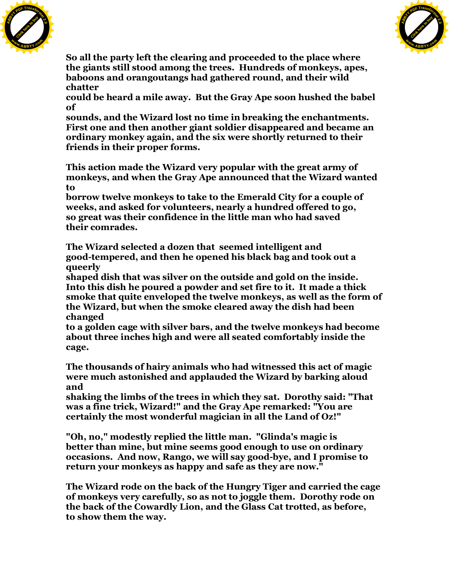



**So all the party left the clearing and proceeded to the place where the giants still stood among the trees. Hundreds of monkeys, apes, baboons and orangoutangs had gathered round, and their wild chatter**

**could be heard a mile away. But the Gray Ape soon hushed the babel of**

**sounds, and the Wizard lost no time in breaking the enchantments. First one and then another giant soldier disappeared and became an ordinary monkey again, and the six were shortly returned to their friends in their proper forms.**

**This action made the Wizard very popular with the great army of monkeys, and when the Gray Ape announced that the Wizard wanted to**

**borrow twelve monkeys to take to the Emerald City for a couple of weeks, and asked for volunteers, nearly a hundred offered to go, so great was their confidence in the little man who had saved their comrades.**

**The Wizard selected a dozen that seemed intelligent and good-tempered, and then he opened his black bag and took out a queerly**

**shaped dish that was silver on the outside and gold on the inside. Into this dish he poured a powder and set fire to it. It made a thick smoke that quite enveloped the twelve monkeys, as well as the form of the Wizard, but when the smoke cleared away the dish had been changed**

**to a golden cage with silver bars, and the twelve monkeys had become about three inches high and were all seated comfortably inside the cage.**

**The thousands of hairy animals who had witnessed this act of magic were much astonished and applauded the Wizard by barking aloud and**

**shaking the limbs of the trees in which they sat. Dorothy said: "That was a fine trick, Wizard!" and the Gray Ape remarked: "You are certainly the most wonderful magician in all the Land of Oz!"**

**"Oh, no," modestly replied the little man. "Glinda's magic is better than mine, but mine seems good enough to use on ordinary occasions. And now, Rango, we will say good-bye, and I promise to return your monkeys as happy and safe as they are now."**

**The Wizard rode on the back of the Hungry Tiger and carried the cage of monkeys very carefully, so as not to joggle them. Dorothy rode on the back of the Cowardly Lion, and the Glass Cat trotted, as before, to show them the way.**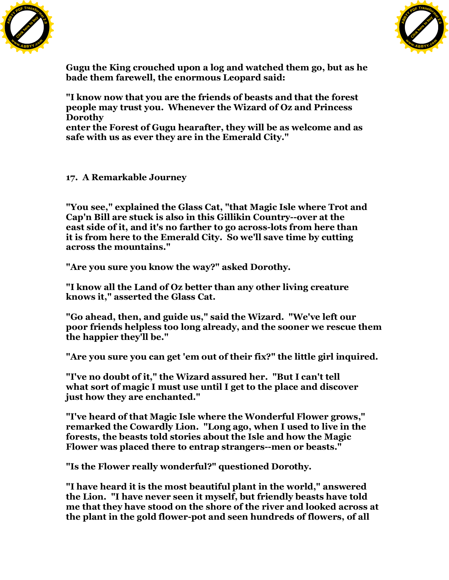



**Gugu the King crouched upon a log and watched them go, but as he bade them farewell, the enormous Leopard said:**

**"I know now that you are the friends of beasts and that the forest people may trust you. Whenever the Wizard of Oz and Princess Dorothy**

**enter the Forest of Gugu hearafter, they will be as welcome and as safe with us as ever they are in the Emerald City."**

## **17. A Remarkable Journey**

**"You see," explained the Glass Cat, "that Magic Isle where Trot and Cap'n Bill are stuck is also in this Gillikin Country--over at the east side of it, and it's no farther to go across-lots from here than it is from here to the Emerald City. So we'll save time by cutting across the mountains."**

**"Are you sure you know the way?" asked Dorothy.**

**"I know all the Land of Oz better than any other living creature knows it," asserted the Glass Cat.**

**"Go ahead, then, and guide us," said the Wizard. "We've left our poor friends helpless too long already, and the sooner we rescue them the happier they'll be."**

**"Are you sure you can get 'em out of their fix?" the little girl inquired.**

**"I've no doubt of it," the Wizard assured her. "But I can't tell what sort of magic I must use until I get to the place and discover just how they are enchanted."**

**"I've heard of that Magic Isle where the Wonderful Flower grows," remarked the Cowardly Lion. "Long ago, when I used to live in the forests, the beasts told stories about the Isle and how the Magic Flower was placed there to entrap strangers--men or beasts."**

**"Is the Flower really wonderful?" questioned Dorothy.**

**"I have heard it is the most beautiful plant in the world," answered the Lion. "I have never seen it myself, but friendly beasts have told me that they have stood on the shore of the river and looked across at the plant in the gold flower-pot and seen hundreds of flowers, of all**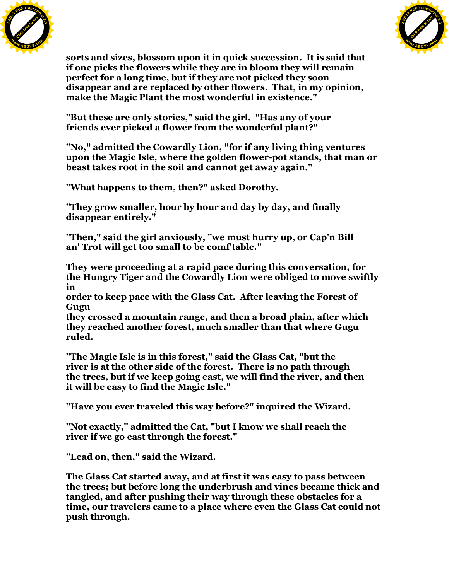



**sorts and sizes, blossom upon it in quick succession. It is said that if one picks the flowers while they are in bloom they will remain perfect for a long time, but if they are not picked they soon disappear and are replaced by other flowers. That, in my opinion, make the Magic Plant the most wonderful in existence."**

**"But these are only stories," said the girl. "Has any of your friends ever picked a flower from the wonderful plant?"**

**"No," admitted the Cowardly Lion, "for if any living thing ventures upon the Magic Isle, where the golden flower-pot stands, that man or beast takes root in the soil and cannot get away again."**

**"What happens to them, then?" asked Dorothy.**

**"They grow smaller, hour by hour and day by day, and finally disappear entirely."**

**"Then," said the girl anxiously, "we must hurry up, or Cap'n Bill an' Trot will get too small to be comf'table."**

**They were proceeding at a rapid pace during this conversation, for the Hungry Tiger and the Cowardly Lion were obliged to move swiftly in**

**order to keep pace with the Glass Cat. After leaving the Forest of Gugu**

**they crossed a mountain range, and then a broad plain, after which they reached another forest, much smaller than that where Gugu ruled.**

**"The Magic Isle is in this forest," said the Glass Cat, "but the river is at the other side of the forest. There is no path through the trees, but if we keep going east, we will find the river, and then it will be easy to find the Magic Isle."**

**"Have you ever traveled this way before?" inquired the Wizard.**

**"Not exactly," admitted the Cat, "but I know we shall reach the river if we go east through the forest."**

**"Lead on, then," said the Wizard.**

**The Glass Cat started away, and at first it was easy to pass between the trees; but before long the underbrush and vines became thick and tangled, and after pushing their way through these obstacles for a time, our travelers came to a place where even the Glass Cat could not push through.**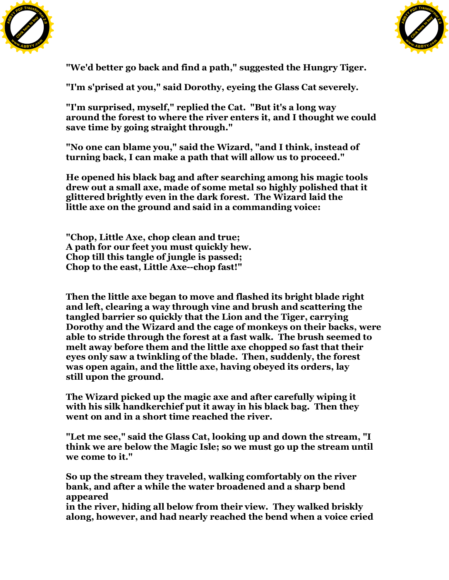



**"We'd better go back and find a path," suggested the Hungry Tiger.**

**"I'm s'prised at you," said Dorothy, eyeing the Glass Cat severely.**

**"I'm surprised, myself," replied the Cat. "But it's a long way around the forest to where the river enters it, and I thought we could save time by going straight through."**

**"No one can blame you," said the Wizard, "and I think, instead of turning back, I can make a path that will allow us to proceed."**

**He opened his black bag and after searching among his magic tools drew out a small axe, made of some metal so highly polished that it glittered brightly even in the dark forest. The Wizard laid the little axe on the ground and said in a commanding voice:**

**"Chop, Little Axe, chop clean and true; A path for our feet you must quickly hew. Chop till this tangle of jungle is passed; Chop to the east, Little Axe--chop fast!"**

**Then the little axe began to move and flashed its bright blade right and left, clearing a way through vine and brush and scattering the tangled barrier so quickly that the Lion and the Tiger, carrying Dorothy and the Wizard and the cage of monkeys on their backs, were able to stride through the forest at a fast walk. The brush seemed to melt away before them and the little axe chopped so fast that their eyes only saw a twinkling of the blade. Then, suddenly, the forest was open again, and the little axe, having obeyed its orders, lay still upon the ground.**

**The Wizard picked up the magic axe and after carefully wiping it with his silk handkerchief put it away in his black bag. Then they went on and in a short time reached the river.**

**"Let me see," said the Glass Cat, looking up and down the stream, "I think we are below the Magic Isle; so we must go up the stream until we come to it."**

**So up the stream they traveled, walking comfortably on the river bank, and after a while the water broadened and a sharp bend appeared**

**in the river, hiding all below from their view. They walked briskly along, however, and had nearly reached the bend when a voice cried**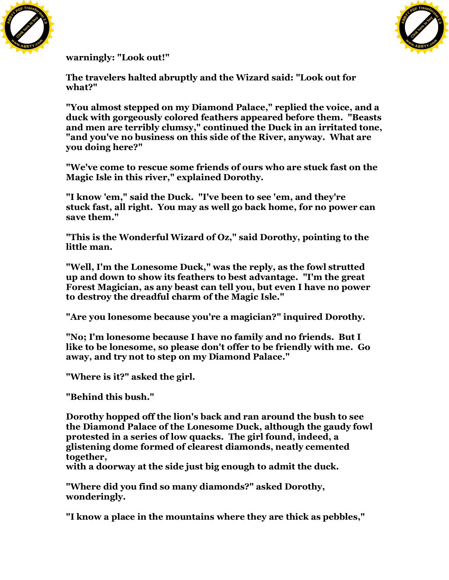



**warningly: "Look out!"**

**The travelers halted abruptly and the Wizard said: "Look out for what?"**

**"You almost stepped on my Diamond Palace," replied the voice, and a duck with gorgeously colored feathers appeared before them. "Beasts and men are terribly clumsy," continued the Duck in an irritated tone, "and you've no business on this side of the River, anyway. What are you doing here?"**

**"We've come to rescue some friends of ours who are stuck fast on the Magic Isle in this river," explained Dorothy.**

**"I know 'em," said the Duck. "I've been to see 'em, and they're stuck fast, all right. You may as well go back home, for no power can save them."**

**"This is the Wonderful Wizard of Oz," said Dorothy, pointing to the little man.**

**"Well, I'm the Lonesome Duck," was the reply, as the fowl strutted up and down to show its feathers to best advantage. "I'm the great Forest Magician, as any beast can tell you, but even I have no power to destroy the dreadful charm of the Magic Isle."**

**"Are you lonesome because you're a magician?" inquired Dorothy.**

**"No; I'm lonesome because I have no family and no friends. But I like to be lonesome, so please don't offer to be friendly with me. Go away, and try not to step on my Diamond Palace."**

**"Where is it?" asked the girl.**

**"Behind this bush."**

**Dorothy hopped off the lion's back and ran around the bush to see the Diamond Palace of the Lonesome Duck, although the gaudy fowl protested in a series of low quacks. The girl found, indeed, a glistening dome formed of clearest diamonds, neatly cemented together,**

**with a doorway at the side just big enough to admit the duck.**

**"Where did you find so many diamonds?" asked Dorothy, wonderingly.**

**"I know a place in the mountains where they are thick as pebbles,"**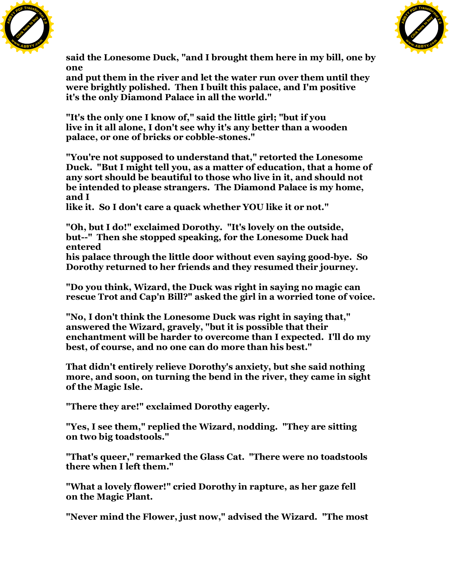



**said the Lonesome Duck, "and I brought them here in my bill, one by one**

**and put them in the river and let the water run over them until they were brightly polished. Then I built this palace, and I'm positive it's the only Diamond Palace in all the world."**

**"It's the only one I know of," said the little girl; "but if you live in it all alone, I don't see why it's any better than a wooden palace, or one of bricks or cobble-stones."**

**"You're not supposed to understand that," retorted the Lonesome Duck. "But I might tell you, as a matter of education, that a home of any sort should be beautiful to those who live in it, and should not be intended to please strangers. The Diamond Palace is my home, and I**

**like it. So I don't care a quack whether YOU like it or not."**

**"Oh, but I do!" exclaimed Dorothy. "It's lovely on the outside, but--" Then she stopped speaking, for the Lonesome Duck had entered**

**his palace through the little door without even saying good-bye. So Dorothy returned to her friends and they resumed their journey.**

**"Do you think, Wizard, the Duck was right in saying no magic can rescue Trot and Cap'n Bill?" asked the girl in a worried tone of voice.**

**"No, I don't think the Lonesome Duck was right in saying that," answered the Wizard, gravely, "but it is possible that their enchantment will be harder to overcome than I expected. I'll do my best, of course, and no one can do more than his best."**

**That didn't entirely relieve Dorothy's anxiety, but she said nothing more, and soon, on turning the bend in the river, they came in sight of the Magic Isle.**

**"There they are!" exclaimed Dorothy eagerly.**

**"Yes, I see them," replied the Wizard, nodding. "They are sitting on two big toadstools."**

**"That's queer," remarked the Glass Cat. "There were no toadstools there when I left them."**

**"What a lovely flower!" cried Dorothy in rapture, as her gaze fell on the Magic Plant.**

**"Never mind the Flower, just now," advised the Wizard. "The most**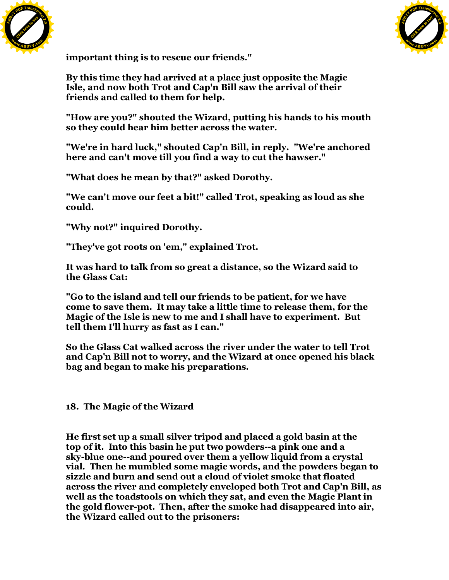



**important thing is to rescue our friends."**

**By this time they had arrived at a place just opposite the Magic Isle, and now both Trot and Cap'n Bill saw the arrival of their friends and called to them for help.**

**"How are you?" shouted the Wizard, putting his hands to his mouth so they could hear him better across the water.**

**"We're in hard luck," shouted Cap'n Bill, in reply. "We're anchored here and can't move till you find a way to cut the hawser."**

**"What does he mean by that?" asked Dorothy.**

**"We can't move our feet a bit!" called Trot, speaking as loud as she could.**

**"Why not?" inquired Dorothy.**

**"They've got roots on 'em," explained Trot.**

**It was hard to talk from so great a distance, so the Wizard said to the Glass Cat:**

**"Go to the island and tell our friends to be patient, for we have come to save them. It may take a little time to release them, for the Magic of the Isle is new to me and I shall have to experiment. But tell them I'll hurry as fast as I can."**

**So the Glass Cat walked across the river under the water to tell Trot and Cap'n Bill not to worry, and the Wizard at once opened his black bag and began to make his preparations.**

**18. The Magic of the Wizard**

**He first set up a small silver tripod and placed a gold basin at the top of it. Into this basin he put two powders--a pink one and a sky-blue one--and poured over them a yellow liquid from a crystal vial. Then he mumbled some magic words, and the powders began to sizzle and burn and send out a cloud of violet smoke that floated across the river and completely enveloped both Trot and Cap'n Bill, as well as the toadstools on which they sat, and even the Magic Plant in the gold flower-pot. Then, after the smoke had disappeared into air, the Wizard called out to the prisoners:**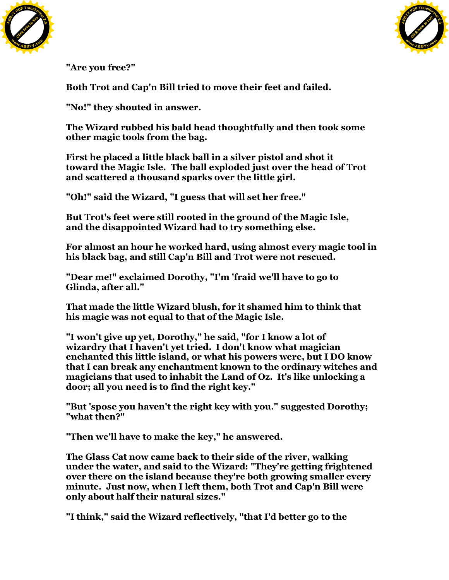



**"Are you free?"**

**Both Trot and Cap'n Bill tried to move their feet and failed.**

**"No!" they shouted in answer.**

**The Wizard rubbed his bald head thoughtfully and then took some other magic tools from the bag.**

**First he placed a little black ball in a silver pistol and shot it toward the Magic Isle. The ball exploded just over the head of Trot and scattered a thousand sparks over the little girl.**

**"Oh!" said the Wizard, "I guess that will set her free."**

**But Trot's feet were still rooted in the ground of the Magic Isle, and the disappointed Wizard had to try something else.**

**For almost an hour he worked hard, using almost every magic tool in his black bag, and still Cap'n Bill and Trot were not rescued.**

**"Dear me!" exclaimed Dorothy, "I'm 'fraid we'll have to go to Glinda, after all."**

**That made the little Wizard blush, for it shamed him to think that his magic was not equal to that of the Magic Isle.**

**"I won't give up yet, Dorothy," he said, "for I know a lot of wizardry that I haven't yet tried. I don't know what magician enchanted this little island, or what his powers were, but I DO know that I can break any enchantment known to the ordinary witches and magicians that used to inhabit the Land of Oz. It's like unlocking a door; all you need is to find the right key."**

**"But 'spose you haven't the right key with you." suggested Dorothy; "what then?"**

**"Then we'll have to make the key," he answered.**

**The Glass Cat now came back to their side of the river, walking under the water, and said to the Wizard: "They're getting frightened over there on the island because they're both growing smaller every minute. Just now, when I left them, both Trot and Cap'n Bill were only about half their natural sizes."**

**"I think," said the Wizard reflectively, "that I'd better go to the**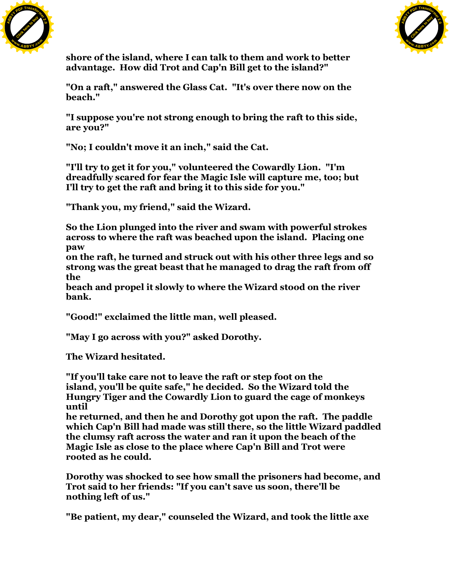



**shore of the island, where I can talk to them and work to better advantage. How did Trot and Cap'n Bill get to the island?"**

**"On a raft," answered the Glass Cat. "It's over there now on the beach."**

**"I suppose you're not strong enough to bring the raft to this side, are you?"**

**"No; I couldn't move it an inch," said the Cat.**

**"I'll try to get it for you," volunteered the Cowardly Lion. "I'm dreadfully scared for fear the Magic Isle will capture me, too; but I'll try to get the raft and bring it to this side for you."**

**"Thank you, my friend," said the Wizard.**

**So the Lion plunged into the river and swam with powerful strokes across to where the raft was beached upon the island. Placing one paw**

**on the raft, he turned and struck out with his other three legs and so strong was the great beast that he managed to drag the raft from off the**

**beach and propel it slowly to where the Wizard stood on the river bank.**

**"Good!" exclaimed the little man, well pleased.**

**"May I go across with you?" asked Dorothy.**

**The Wizard hesitated.**

**"If you'll take care not to leave the raft or step foot on the island, you'll be quite safe," he decided. So the Wizard told the Hungry Tiger and the Cowardly Lion to guard the cage of monkeys until**

**he returned, and then he and Dorothy got upon the raft. The paddle which Cap'n Bill had made was still there, so the little Wizard paddled the clumsy raft across the water and ran it upon the beach of the Magic Isle as close to the place where Cap'n Bill and Trot were rooted as he could.**

**Dorothy was shocked to see how small the prisoners had become, and Trot said to her friends: "If you can't save us soon, there'll be nothing left of us."**

**"Be patient, my dear," counseled the Wizard, and took the little axe**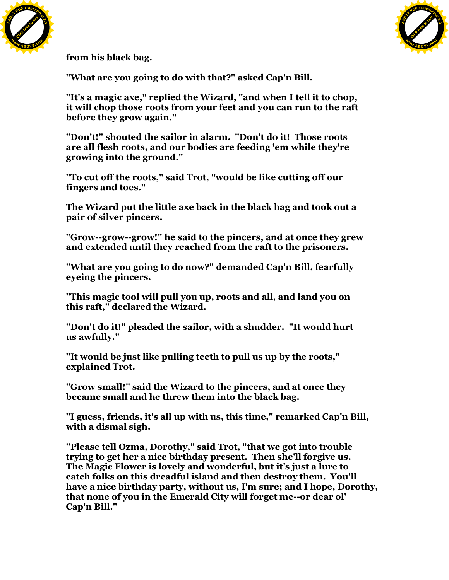



**from his black bag.**

**"What are you going to do with that?" asked Cap'n Bill.**

**"It's a magic axe," replied the Wizard, "and when I tell it to chop, it will chop those roots from your feet and you can run to the raft before they grow again."**

**"Don't!" shouted the sailor in alarm. "Don't do it! Those roots are all flesh roots, and our bodies are feeding 'em while they're growing into the ground."**

**"To cut off the roots," said Trot, "would be like cutting off our fingers and toes."**

**The Wizard put the little axe back in the black bag and took out a pair of silver pincers.**

**"Grow--grow--grow!" he said to the pincers, and at once they grew and extended until they reached from the raft to the prisoners.**

**"What are you going to do now?" demanded Cap'n Bill, fearfully eyeing the pincers.**

**"This magic tool will pull you up, roots and all, and land you on this raft," declared the Wizard.**

**"Don't do it!" pleaded the sailor, with a shudder. "It would hurt us awfully."**

**"It would be just like pulling teeth to pull us up by the roots," explained Trot.**

**"Grow small!" said the Wizard to the pincers, and at once they became small and he threw them into the black bag.**

**"I guess, friends, it's all up with us, this time," remarked Cap'n Bill, with a dismal sigh.**

**"Please tell Ozma, Dorothy," said Trot, "that we got into trouble trying to get her a nice birthday present. Then she'll forgive us. The Magic Flower is lovely and wonderful, but it's just a lure to catch folks on this dreadful island and then destroy them. You'll have a nice birthday party, without us, I'm sure; and I hope, Dorothy, that none of you in the Emerald City will forget me--or dear ol' Cap'n Bill."**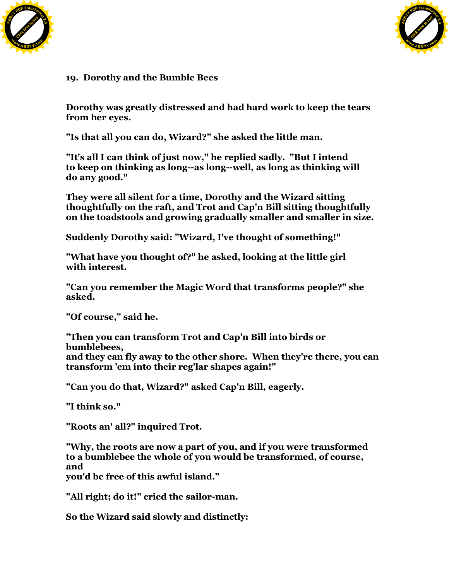



## **19. Dorothy and the Bumble Bees**

**Dorothy was greatly distressed and had hard work to keep the tears from her eyes.**

**"Is that all you can do, Wizard?" she asked the little man.**

**"It's all I can think of just now," he replied sadly. "But I intend to keep on thinking as long--as long--well, as long as thinking will do any good."**

**They were all silent for a time, Dorothy and the Wizard sitting thoughtfully on the raft, and Trot and Cap'n Bill sitting thoughtfully on the toadstools and growing gradually smaller and smaller in size.**

**Suddenly Dorothy said: "Wizard, I've thought of something!"**

**"What have you thought of?" he asked, looking at the little girl with interest.**

**"Can you remember the Magic Word that transforms people?" she asked.**

**"Of course," said he.**

**"Then you can transform Trot and Cap'n Bill into birds or bumblebees, and they can fly away to the other shore. When they're there, you can transform 'em into their reg'lar shapes again!"**

**"Can you do that, Wizard?" asked Cap'n Bill, eagerly.**

**"I think so."**

**"Roots an' all?" inquired Trot.**

**"Why, the roots are now a part of you, and if you were transformed to a bumblebee the whole of you would be transformed, of course, and**

**you'd be free of this awful island."**

**"All right; do it!" cried the sailor-man.**

**So the Wizard said slowly and distinctly:**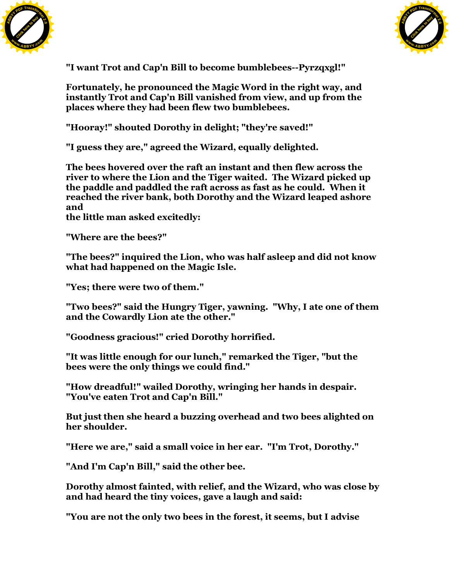



**"I want Trot and Cap'n Bill to become bumblebees--Pyrzqxgl!"**

**Fortunately, he pronounced the Magic Word in the right way, and instantly Trot and Cap'n Bill vanished from view, and up from the places where they had been flew two bumblebees.**

**"Hooray!" shouted Dorothy in delight; "they're saved!"**

**"I guess they are," agreed the Wizard, equally delighted.**

**The bees hovered over the raft an instant and then flew across the river to where the Lion and the Tiger waited. The Wizard picked up the paddle and paddled the raft across as fast as he could. When it reached the river bank, both Dorothy and the Wizard leaped ashore and**

**the little man asked excitedly:**

**"Where are the bees?"**

**"The bees?" inquired the Lion, who was half asleep and did not know what had happened on the Magic Isle.**

**"Yes; there were two of them."**

**"Two bees?" said the Hungry Tiger, yawning. "Why, I ate one of them and the Cowardly Lion ate the other."**

**"Goodness gracious!" cried Dorothy horrified.**

**"It was little enough for our lunch," remarked the Tiger, "but the bees were the only things we could find."**

**"How dreadful!" wailed Dorothy, wringing her hands in despair. "You've eaten Trot and Cap'n Bill."**

**But just then she heard a buzzing overhead and two bees alighted on her shoulder.**

**"Here we are," said a small voice in her ear. "I'm Trot, Dorothy."**

**"And I'm Cap'n Bill," said the other bee.**

**Dorothy almost fainted, with relief, and the Wizard, who was close by and had heard the tiny voices, gave a laugh and said:**

**"You are not the only two bees in the forest, it seems, but I advise**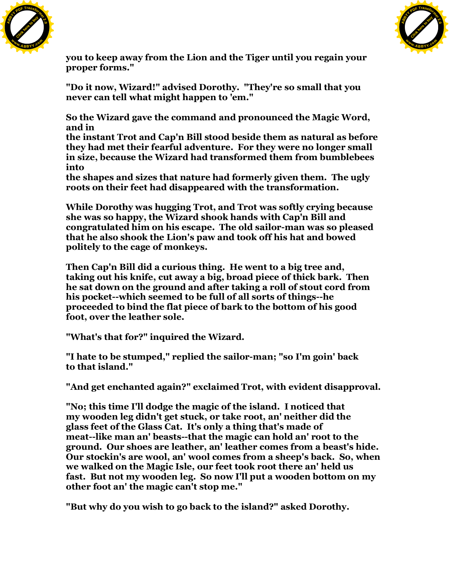



**you to keep away from the Lion and the Tiger until you regain your proper forms."**

**"Do it now, Wizard!" advised Dorothy. "They're so small that you never can tell what might happen to 'em."**

**So the Wizard gave the command and pronounced the Magic Word, and in**

**the instant Trot and Cap'n Bill stood beside them as natural as before they had met their fearful adventure. For they were no longer small in size, because the Wizard had transformed them from bumblebees into**

**the shapes and sizes that nature had formerly given them. The ugly roots on their feet had disappeared with the transformation.**

**While Dorothy was hugging Trot, and Trot was softly crying because she was so happy, the Wizard shook hands with Cap'n Bill and congratulated him on his escape. The old sailor-man was so pleased that he also shook the Lion's paw and took off his hat and bowed politely to the cage of monkeys.**

**Then Cap'n Bill did a curious thing. He went to a big tree and, taking out his knife, cut away a big, broad piece of thick bark. Then he sat down on the ground and after taking a roll of stout cord from his pocket--which seemed to be full of all sorts of things--he proceeded to bind the flat piece of bark to the bottom of his good foot, over the leather sole.**

**"What's that for?" inquired the Wizard.**

**"I hate to be stumped," replied the sailor-man; "so I'm goin' back to that island."**

**"And get enchanted again?" exclaimed Trot, with evident disapproval.**

**"No; this time I'll dodge the magic of the island. I noticed that my wooden leg didn't get stuck, or take root, an' neither did the glass feet of the Glass Cat. It's only a thing that's made of meat--like man an' beasts--that the magic can hold an' root to the ground. Our shoes are leather, an' leather comes from a beast's hide. Our stockin's are wool, an' wool comes from a sheep's back. So, when we walked on the Magic Isle, our feet took root there an' held us fast. But not my wooden leg. So now I'll put a wooden bottom on my other foot an' the magic can't stop me."**

**"But why do you wish to go back to the island?" asked Dorothy.**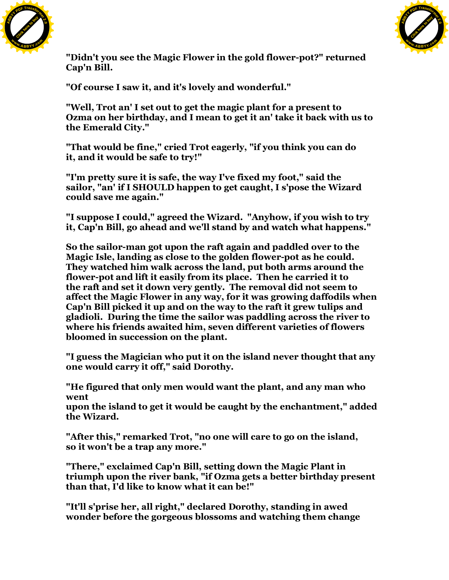



**"Didn't you see the Magic Flower in the gold flower-pot?" returned Cap'n Bill.**

**"Of course I saw it, and it's lovely and wonderful."**

**"Well, Trot an' I set out to get the magic plant for a present to Ozma on her birthday, and I mean to get it an' take it back with us to the Emerald City."**

**"That would be fine," cried Trot eagerly, "if you think you can do it, and it would be safe to try!"**

**"I'm pretty sure it is safe, the way I've fixed my foot," said the sailor, "an' if I SHOULD happen to get caught, I s'pose the Wizard could save me again."**

**"I suppose I could," agreed the Wizard. "Anyhow, if you wish to try it, Cap'n Bill, go ahead and we'll stand by and watch what happens."**

**So the sailor-man got upon the raft again and paddled over to the Magic Isle, landing as close to the golden flower-pot as he could. They watched him walk across the land, put both arms around the flower-pot and lift it easily from its place. Then he carried it to the raft and set it down very gently. The removal did not seem to affect the Magic Flower in any way, for it was growing daffodils when Cap'n Bill picked it up and on the way to the raft it grew tulips and gladioli. During the time the sailor was paddling across the river to where his friends awaited him, seven different varieties of flowers bloomed in succession on the plant.**

**"I guess the Magician who put it on the island never thought that any one would carry it off," said Dorothy.**

**"He figured that only men would want the plant, and any man who went**

**upon the island to get it would be caught by the enchantment," added the Wizard.**

**"After this," remarked Trot, "no one will care to go on the island, so it won't be a trap any more."**

**"There," exclaimed Cap'n Bill, setting down the Magic Plant in triumph upon the river bank, "if Ozma gets a better birthday present than that, I'd like to know what it can be!"**

**"It'll s'prise her, all right," declared Dorothy, standing in awed wonder before the gorgeous blossoms and watching them change**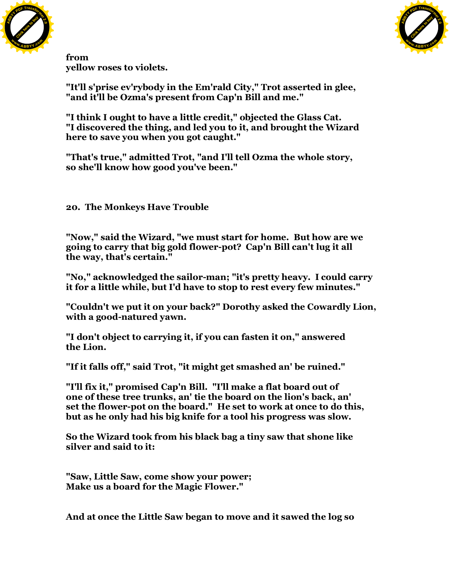



**from yellow roses to violets.**

**"It'll s'prise ev'rybody in the Em'rald City," Trot asserted in glee, "and it'll be Ozma's present from Cap'n Bill and me."**

**"I think I ought to have a little credit," objected the Glass Cat. "I discovered the thing, and led you to it, and brought the Wizard here to save you when you got caught."**

**"That's true," admitted Trot, "and I'll tell Ozma the whole story, so she'll know how good you've been."**

**20. The Monkeys Have Trouble**

**"Now," said the Wizard, "we must start for home. But how are we going to carry that big gold flower-pot? Cap'n Bill can't lug it all the way, that's certain."**

**"No," acknowledged the sailor-man; "it's pretty heavy. I could carry it for a little while, but I'd have to stop to rest every few minutes."**

**"Couldn't we put it on your back?" Dorothy asked the Cowardly Lion, with a good-natured yawn.**

**"I don't object to carrying it, if you can fasten it on," answered the Lion.**

**"If it falls off," said Trot, "it might get smashed an' be ruined."**

**"I'll fix it," promised Cap'n Bill. "I'll make a flat board out of one of these tree trunks, an' tie the board on the lion's back, an' set the flower-pot on the board." He set to work at once to do this, but as he only had his big knife for a tool his progress was slow.**

**So the Wizard took from his black bag a tiny saw that shone like silver and said to it:**

**"Saw, Little Saw, come show your power; Make us a board for the Magic Flower."**

**And at once the Little Saw began to move and it sawed the log so**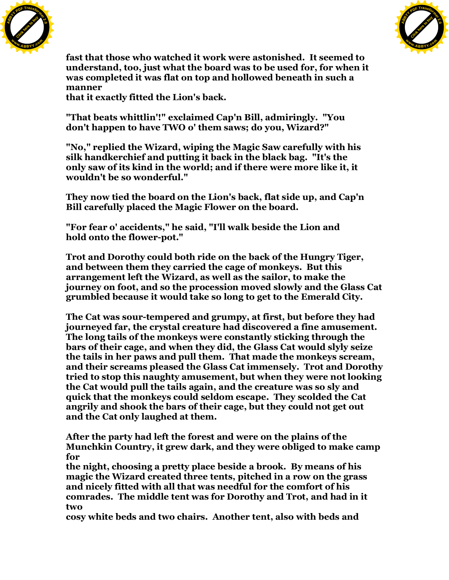



**fast that those who watched it work were astonished. It seemed to understand, too, just what the board was to be used for, for when it was completed it was flat on top and hollowed beneath in such a manner**

**that it exactly fitted the Lion's back.**

**"That beats whittlin'!" exclaimed Cap'n Bill, admiringly. "You don't happen to have TWO o' them saws; do you, Wizard?"**

**"No," replied the Wizard, wiping the Magic Saw carefully with his silk handkerchief and putting it back in the black bag. "It's the only saw of its kind in the world; and if there were more like it, it wouldn't be so wonderful."**

**They now tied the board on the Lion's back, flat side up, and Cap'n Bill carefully placed the Magic Flower on the board.**

**"For fear o' accidents," he said, "I'll walk beside the Lion and hold onto the flower-pot."**

**Trot and Dorothy could both ride on the back of the Hungry Tiger, and between them they carried the cage of monkeys. But this arrangement left the Wizard, as well as the sailor, to make the journey on foot, and so the procession moved slowly and the Glass Cat grumbled because it would take so long to get to the Emerald City.**

**The Cat was sour-tempered and grumpy, at first, but before they had journeyed far, the crystal creature had discovered a fine amusement. The long tails of the monkeys were constantly sticking through the bars of their cage, and when they did, the Glass Cat would slyly seize the tails in her paws and pull them. That made the monkeys scream, and their screams pleased the Glass Cat immensely. Trot and Dorothy tried to stop this naughty amusement, but when they were not looking the Cat would pull the tails again, and the creature was so sly and quick that the monkeys could seldom escape. They scolded the Cat angrily and shook the bars of their cage, but they could not get out and the Cat only laughed at them.**

**After the party had left the forest and were on the plains of the Munchkin Country, it grew dark, and they were obliged to make camp for**

**the night, choosing a pretty place beside a brook. By means of his magic the Wizard created three tents, pitched in a row on the grass and nicely fitted with all that was needful for the comfort of his comrades. The middle tent was for Dorothy and Trot, and had in it two**

**cosy white beds and two chairs. Another tent, also with beds and**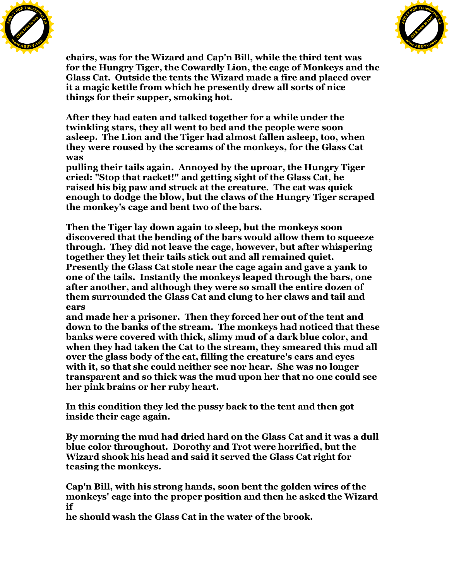



**chairs, was for the Wizard and Cap'n Bill, while the third tent was for the Hungry Tiger, the Cowardly Lion, the cage of Monkeys and the Glass Cat. Outside the tents the Wizard made a fire and placed over it a magic kettle from which he presently drew all sorts of nice things for their supper, smoking hot.**

**After they had eaten and talked together for a while under the twinkling stars, they all went to bed and the people were soon asleep. The Lion and the Tiger had almost fallen asleep, too, when they were roused by the screams of the monkeys, for the Glass Cat was**

**pulling their tails again. Annoyed by the uproar, the Hungry Tiger cried: "Stop that racket!" and getting sight of the Glass Cat, he raised his big paw and struck at the creature. The cat was quick enough to dodge the blow, but the claws of the Hungry Tiger scraped the monkey's cage and bent two of the bars.**

**Then the Tiger lay down again to sleep, but the monkeys soon discovered that the bending of the bars would allow them to squeeze through. They did not leave the cage, however, but after whispering together they let their tails stick out and all remained quiet. Presently the Glass Cat stole near the cage again and gave a yank to one of the tails. Instantly the monkeys leaped through the bars, one after another, and although they were so small the entire dozen of them surrounded the Glass Cat and clung to her claws and tail and ears**

**and made her a prisoner. Then they forced her out of the tent and down to the banks of the stream. The monkeys had noticed that these banks were covered with thick, slimy mud of a dark blue color, and when they had taken the Cat to the stream, they smeared this mud all over the glass body of the cat, filling the creature's ears and eyes with it, so that she could neither see nor hear. She was no longer transparent and so thick was the mud upon her that no one could see her pink brains or her ruby heart.**

**In this condition they led the pussy back to the tent and then got inside their cage again.**

**By morning the mud had dried hard on the Glass Cat and it was a dull blue color throughout. Dorothy and Trot were horrified, but the Wizard shook his head and said it served the Glass Cat right for teasing the monkeys.**

**Cap'n Bill, with his strong hands, soon bent the golden wires of the monkeys' cage into the proper position and then he asked the Wizard if**

**he should wash the Glass Cat in the water of the brook.**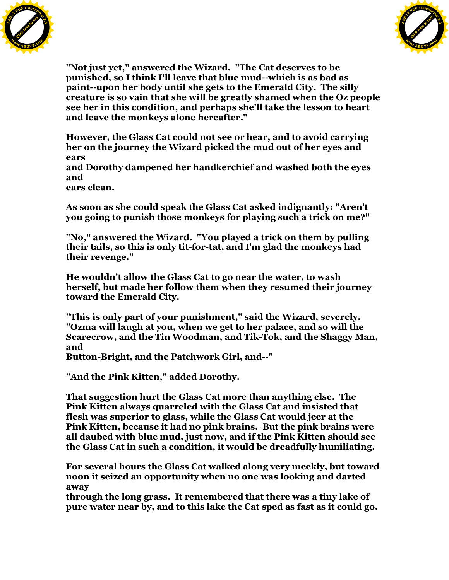



**"Not just yet," answered the Wizard. "The Cat deserves to be punished, so I think I'll leave that blue mud--which is as bad as paint--upon her body until she gets to the Emerald City. The silly creature is so vain that she will be greatly shamed when the Oz people see her in this condition, and perhaps she'll take the lesson to heart and leave the monkeys alone hereafter."**

**However, the Glass Cat could not see or hear, and to avoid carrying her on the journey the Wizard picked the mud out of her eyes and ears**

**and Dorothy dampened her handkerchief and washed both the eyes and**

**ears clean.**

**As soon as she could speak the Glass Cat asked indignantly: "Aren't you going to punish those monkeys for playing such a trick on me?"**

**"No," answered the Wizard. "You played a trick on them by pulling their tails, so this is only tit-for-tat, and I'm glad the monkeys had their revenge."**

**He wouldn't allow the Glass Cat to go near the water, to wash herself, but made her follow them when they resumed their journey toward the Emerald City.**

**"This is only part of your punishment," said the Wizard, severely. "Ozma will laugh at you, when we get to her palace, and so will the Scarecrow, and the Tin Woodman, and Tik-Tok, and the Shaggy Man, and**

**Button-Bright, and the Patchwork Girl, and--"**

**"And the Pink Kitten," added Dorothy.**

**That suggestion hurt the Glass Cat more than anything else. The Pink Kitten always quarreled with the Glass Cat and insisted that flesh was superior to glass, while the Glass Cat would jeer at the Pink Kitten, because it had no pink brains. But the pink brains were all daubed with blue mud, just now, and if the Pink Kitten should see the Glass Cat in such a condition, it would be dreadfully humiliating.**

**For several hours the Glass Cat walked along very meekly, but toward noon it seized an opportunity when no one was looking and darted away**

**through the long grass. It remembered that there was a tiny lake of pure water near by, and to this lake the Cat sped as fast as it could go.**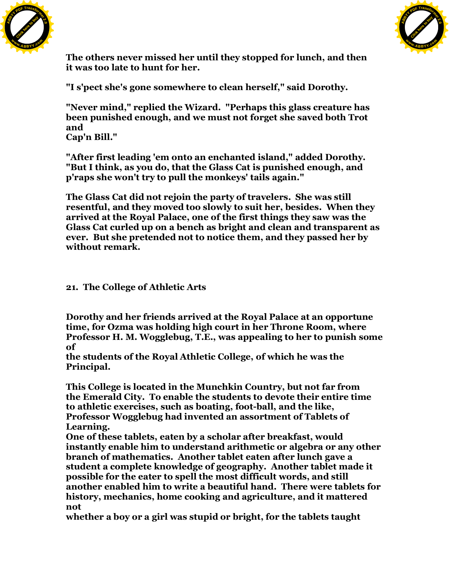



**The others never missed her until they stopped for lunch, and then it was too late to hunt for her.**

**"I s'pect she's gone somewhere to clean herself," said Dorothy.**

**"Never mind," replied the Wizard. "Perhaps this glass creature has been punished enough, and we must not forget she saved both Trot and Cap'n Bill."**

**"After first leading 'em onto an enchanted island," added Dorothy. "But I think, as you do, that the Glass Cat is punished enough, and p'raps she won't try to pull the monkeys' tails again."**

**The Glass Cat did not rejoin the party of travelers. She was still resentful, and they moved too slowly to suit her, besides. When they arrived at the Royal Palace, one of the first things they saw was the Glass Cat curled up on a bench as bright and clean and transparent as ever. But she pretended not to notice them, and they passed her by without remark.**

**21. The College of Athletic Arts**

**Dorothy and her friends arrived at the Royal Palace at an opportune time, for Ozma was holding high court in her Throne Room, where Professor H. M. Wogglebug, T.E., was appealing to her to punish some of**

**the students of the Royal Athletic College, of which he was the Principal.**

**This College is located in the Munchkin Country, but not far from the Emerald City. To enable the students to devote their entire time to athletic exercises, such as boating, foot-ball, and the like, Professor Wogglebug had invented an assortment of Tablets of Learning.**

**One of these tablets, eaten by a scholar after breakfast, would instantly enable him to understand arithmetic or algebra or any other branch of mathematics. Another tablet eaten after lunch gave a student a complete knowledge of geography. Another tablet made it possible for the eater to spell the most difficult words, and still another enabled him to write a beautiful hand. There were tablets for history, mechanics, home cooking and agriculture, and it mattered not**

**whether a boy or a girl was stupid or bright, for the tablets taught**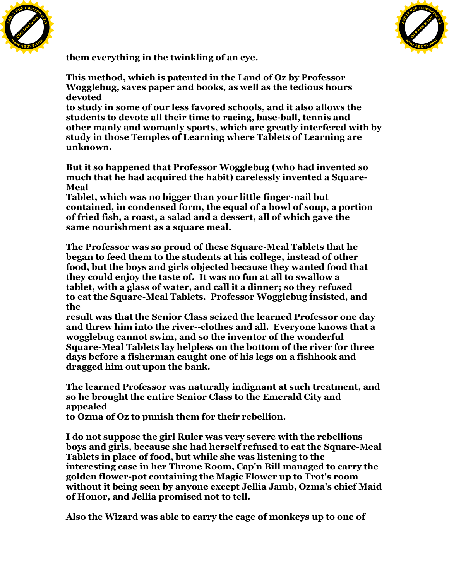



**them everything in the twinkling of an eye.**

**This method, which is patented in the Land of Oz by Professor Wogglebug, saves paper and books, as well as the tedious hours devoted**

**to study in some of our less favored schools, and it also allows the students to devote all their time to racing, base-ball, tennis and other manly and womanly sports, which are greatly interfered with by study in those Temples of Learning where Tablets of Learning are unknown.**

**But it so happened that Professor Wogglebug (who had invented so much that he had acquired the habit) carelessly invented a Square-Meal**

**Tablet, which was no bigger than your little finger-nail but contained, in condensed form, the equal of a bowl of soup, a portion of fried fish, a roast, a salad and a dessert, all of which gave the same nourishment as a square meal.**

**The Professor was so proud of these Square-Meal Tablets that he began to feed them to the students at his college, instead of other food, but the boys and girls objected because they wanted food that they could enjoy the taste of. It was no fun at all to swallow a tablet, with a glass of water, and call it a dinner; so they refused to eat the Square-Meal Tablets. Professor Wogglebug insisted, and the**

**result was that the Senior Class seized the learned Professor one day and threw him into the river--clothes and all. Everyone knows that a wogglebug cannot swim, and so the inventor of the wonderful Square-Meal Tablets lay helpless on the bottom of the river for three days before a fisherman caught one of his legs on a fishhook and dragged him out upon the bank.**

**The learned Professor was naturally indignant at such treatment, and so he brought the entire Senior Class to the Emerald City and appealed**

**to Ozma of Oz to punish them for their rebellion.**

**I do not suppose the girl Ruler was very severe with the rebellious boys and girls, because she had herself refused to eat the Square-Meal Tablets in place of food, but while she was listening to the interesting case in her Throne Room, Cap'n Bill managed to carry the golden flower-pot containing the Magic Flower up to Trot's room without it being seen by anyone except Jellia Jamb, Ozma's chief Maid of Honor, and Jellia promised not to tell.**

**Also the Wizard was able to carry the cage of monkeys up to one of**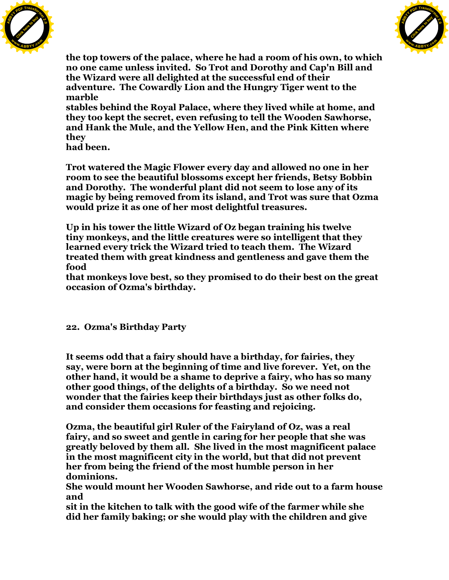



**the top towers of the palace, where he had a room of his own, to which no one came unless invited. So Trot and Dorothy and Cap'n Bill and the Wizard were all delighted at the successful end of their adventure. The Cowardly Lion and the Hungry Tiger went to the marble**

**stables behind the Royal Palace, where they lived while at home, and they too kept the secret, even refusing to tell the Wooden Sawhorse, and Hank the Mule, and the Yellow Hen, and the Pink Kitten where they**

**had been.**

**Trot watered the Magic Flower every day and allowed no one in her room to see the beautiful blossoms except her friends, Betsy Bobbin and Dorothy. The wonderful plant did not seem to lose any of its magic by being removed from its island, and Trot was sure that Ozma would prize it as one of her most delightful treasures.**

**Up in his tower the little Wizard of Oz began training his twelve tiny monkeys, and the little creatures were so intelligent that they learned every trick the Wizard tried to teach them. The Wizard treated them with great kindness and gentleness and gave them the food**

**that monkeys love best, so they promised to do their best on the great occasion of Ozma's birthday.**

## **22. Ozma's Birthday Party**

**It seems odd that a fairy should have a birthday, for fairies, they say, were born at the beginning of time and live forever. Yet, on the other hand, it would be a shame to deprive a fairy, who has so many other good things, of the delights of a birthday. So we need not wonder that the fairies keep their birthdays just as other folks do, and consider them occasions for feasting and rejoicing.**

**Ozma, the beautiful girl Ruler of the Fairyland of Oz, was a real fairy, and so sweet and gentle in caring for her people that she was greatly beloved by them all. She lived in the most magnificent palace in the most magnificent city in the world, but that did not prevent her from being the friend of the most humble person in her dominions.**

**She would mount her Wooden Sawhorse, and ride out to a farm house and**

**sit in the kitchen to talk with the good wife of the farmer while she did her family baking; or she would play with the children and give**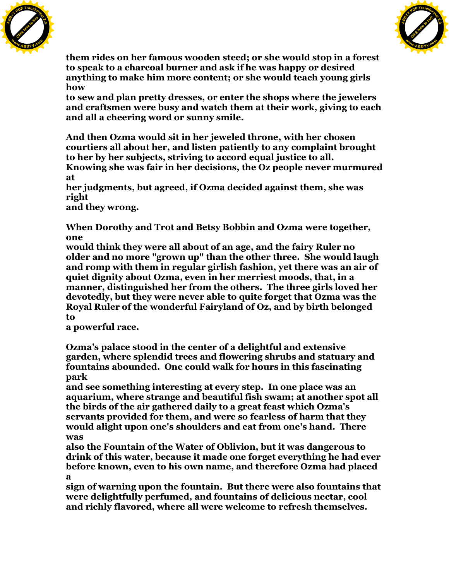



**them rides on her famous wooden steed; or she would stop in a forest to speak to a charcoal burner and ask if he was happy or desired anything to make him more content; or she would teach young girls how**

**to sew and plan pretty dresses, or enter the shops where the jewelers and craftsmen were busy and watch them at their work, giving to each and all a cheering word or sunny smile.**

**And then Ozma would sit in her jeweled throne, with her chosen courtiers all about her, and listen patiently to any complaint brought to her by her subjects, striving to accord equal justice to all.**

**Knowing she was fair in her decisions, the Oz people never murmured at**

**her judgments, but agreed, if Ozma decided against them, she was right**

**and they wrong.**

**When Dorothy and Trot and Betsy Bobbin and Ozma were together, one**

**would think they were all about of an age, and the fairy Ruler no older and no more "grown up" than the other three. She would laugh and romp with them in regular girlish fashion, yet there was an air of quiet dignity about Ozma, even in her merriest moods, that, in a manner, distinguished her from the others. The three girls loved her devotedly, but they were never able to quite forget that Ozma was the Royal Ruler of the wonderful Fairyland of Oz, and by birth belonged to**

**a powerful race.**

**Ozma's palace stood in the center of a delightful and extensive garden, where splendid trees and flowering shrubs and statuary and fountains abounded. One could walk for hours in this fascinating park**

**and see something interesting at every step. In one place was an aquarium, where strange and beautiful fish swam; at another spot all the birds of the air gathered daily to a great feast which Ozma's servants provided for them, and were so fearless of harm that they would alight upon one's shoulders and eat from one's hand. There was**

**also the Fountain of the Water of Oblivion, but it was dangerous to drink of this water, because it made one forget everything he had ever before known, even to his own name, and therefore Ozma had placed a**

**sign of warning upon the fountain. But there were also fountains that were delightfully perfumed, and fountains of delicious nectar, cool and richly flavored, where all were welcome to refresh themselves.**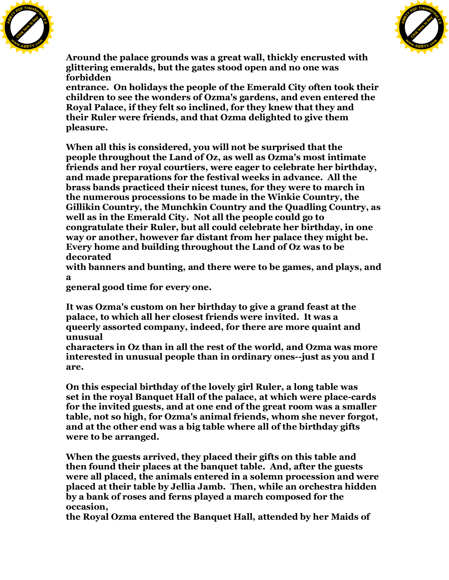



**Around the palace grounds was a great wall, thickly encrusted with glittering emeralds, but the gates stood open and no one was forbidden**

**entrance. On holidays the people of the Emerald City often took their children to see the wonders of Ozma's gardens, and even entered the Royal Palace, if they felt so inclined, for they knew that they and their Ruler were friends, and that Ozma delighted to give them pleasure.**

**When all this is considered, you will not be surprised that the people throughout the Land of Oz, as well as Ozma's most intimate friends and her royal courtiers, were eager to celebrate her birthday, and made preparations for the festival weeks in advance. All the brass bands practiced their nicest tunes, for they were to march in the numerous processions to be made in the Winkie Country, the Gillikin Country, the Munchkin Country and the Quadling Country, as well as in the Emerald City. Not all the people could go to congratulate their Ruler, but all could celebrate her birthday, in one way or another, however far distant from her palace they might be. Every home and building throughout the Land of Oz was to be decorated**

**with banners and bunting, and there were to be games, and plays, and a**

**general good time for every one.**

**It was Ozma's custom on her birthday to give a grand feast at the palace, to which all her closest friends were invited. It was a queerly assorted company, indeed, for there are more quaint and unusual**

**characters in Oz than in all the rest of the world, and Ozma was more interested in unusual people than in ordinary ones--just as you and I are.**

**On this especial birthday of the lovely girl Ruler, a long table was set in the royal Banquet Hall of the palace, at which were place-cards for the invited guests, and at one end of the great room was a smaller table, not so high, for Ozma's animal friends, whom she never forgot, and at the other end was a big table where all of the birthday gifts were to be arranged.**

**When the guests arrived, they placed their gifts on this table and then found their places at the banquet table. And, after the guests were all placed, the animals entered in a solemn procession and were placed at their table by Jellia Jamb. Then, while an orchestra hidden by a bank of roses and ferns played a march composed for the occasion,**

**the Royal Ozma entered the Banquet Hall, attended by her Maids of**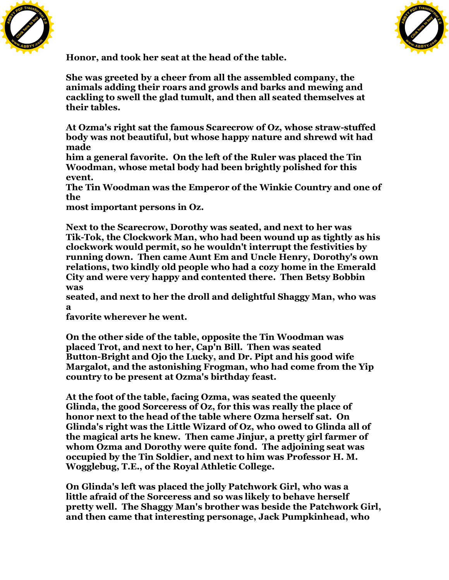



**Honor, and took her seat at the head of the table.**

**She was greeted by a cheer from all the assembled company, the animals adding their roars and growls and barks and mewing and cackling to swell the glad tumult, and then all seated themselves at their tables.**

**At Ozma's right sat the famous Scarecrow of Oz, whose straw-stuffed body was not beautiful, but whose happy nature and shrewd wit had made**

**him a general favorite. On the left of the Ruler was placed the Tin Woodman, whose metal body had been brightly polished for this event.**

**The Tin Woodman was the Emperor of the Winkie Country and one of the**

**most important persons in Oz.**

**Next to the Scarecrow, Dorothy was seated, and next to her was Tik-Tok, the Clockwork Man, who had been wound up as tightly as his clockwork would permit, so he wouldn't interrupt the festivities by running down. Then came Aunt Em and Uncle Henry, Dorothy's own relations, two kindly old people who had a cozy home in the Emerald City and were very happy and contented there. Then Betsy Bobbin was**

**seated, and next to her the droll and delightful Shaggy Man, who was a**

**favorite wherever he went.**

**On the other side of the table, opposite the Tin Woodman was placed Trot, and next to her, Cap'n Bill. Then was seated Button-Bright and Ojo the Lucky, and Dr. Pipt and his good wife Margalot, and the astonishing Frogman, who had come from the Yip country to be present at Ozma's birthday feast.**

**At the foot of the table, facing Ozma, was seated the queenly Glinda, the good Sorceress of Oz, for this was really the place of honor next to the head of the table where Ozma herself sat. On Glinda's right was the Little Wizard of Oz, who owed to Glinda all of the magical arts he knew. Then came Jinjur, a pretty girl farmer of whom Ozma and Dorothy were quite fond. The adjoining seat was occupied by the Tin Soldier, and next to him was Professor H. M. Wogglebug, T.E., of the Royal Athletic College.**

**On Glinda's left was placed the jolly Patchwork Girl, who was a little afraid of the Sorceress and so was likely to behave herself pretty well. The Shaggy Man's brother was beside the Patchwork Girl, and then came that interesting personage, Jack Pumpkinhead, who**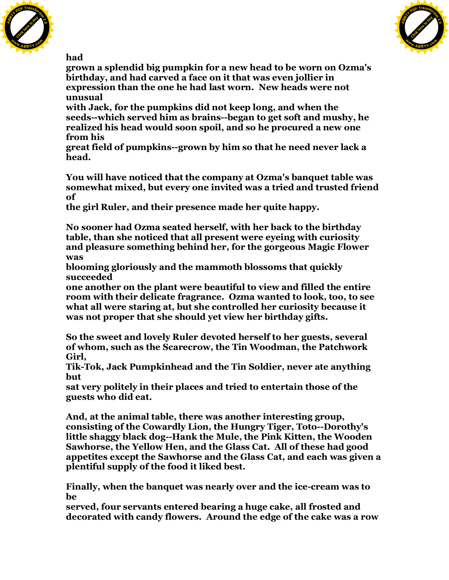



**had**

**grown a splendid big pumpkin for a new head to be worn on Ozma's birthday, and had carved a face on it that was even jollier in expression than the one he had last worn. New heads were not unusual**

**with Jack, for the pumpkins did not keep long, and when the seeds--which served him as brains--began to get soft and mushy, he realized his head would soon spoil, and so he procured a new one from his**

**great field of pumpkins--grown by him so that he need never lack a head.**

**You will have noticed that the company at Ozma's banquet table was somewhat mixed, but every one invited was a tried and trusted friend of**

**the girl Ruler, and their presence made her quite happy.**

**No sooner had Ozma seated herself, with her back to the birthday table, than she noticed that all present were eyeing with curiosity and pleasure something behind her, for the gorgeous Magic Flower was**

**blooming gloriously and the mammoth blossoms that quickly succeeded**

**one another on the plant were beautiful to view and filled the entire room with their delicate fragrance. Ozma wanted to look, too, to see what all were staring at, but she controlled her curiosity because it was not proper that she should yet view her birthday gifts.**

**So the sweet and lovely Ruler devoted herself to her guests, several of whom, such as the Scarecrow, the Tin Woodman, the Patchwork Girl,**

**Tik-Tok, Jack Pumpkinhead and the Tin Soldier, never ate anything but**

**sat very politely in their places and tried to entertain those of the guests who did eat.**

**And, at the animal table, there was another interesting group, consisting of the Cowardly Lion, the Hungry Tiger, Toto--Dorothy's little shaggy black dog--Hank the Mule, the Pink Kitten, the Wooden Sawhorse, the Yellow Hen, and the Glass Cat. All of these had good appetites except the Sawhorse and the Glass Cat, and each was given a plentiful supply of the food it liked best.**

**Finally, when the banquet was nearly over and the ice-cream was to be**

**served, four servants entered bearing a huge cake, all frosted and decorated with candy flowers. Around the edge of the cake was a row**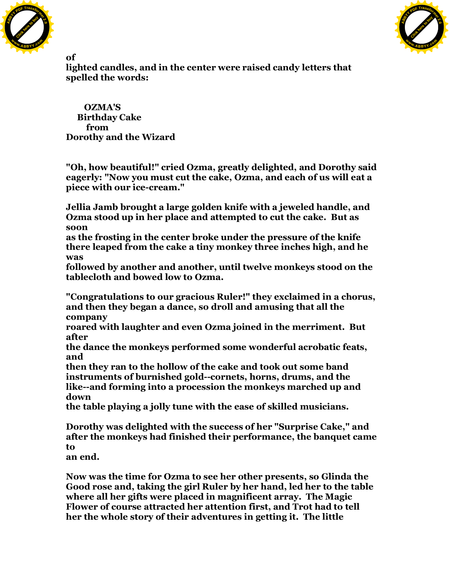



**of**

**lighted candles, and in the center were raised candy letters that spelled the words:**

 **OZMA'S Birthday Cake from Dorothy and the Wizard**

**"Oh, how beautiful!" cried Ozma, greatly delighted, and Dorothy said eagerly: "Now you must cut the cake, Ozma, and each of us will eat a piece with our ice-cream."**

**Jellia Jamb brought a large golden knife with a jeweled handle, and Ozma stood up in her place and attempted to cut the cake. But as soon**

**as the frosting in the center broke under the pressure of the knife there leaped from the cake a tiny monkey three inches high, and he was**

**followed by another and another, until twelve monkeys stood on the tablecloth and bowed low to Ozma.**

**"Congratulations to our gracious Ruler!" they exclaimed in a chorus, and then they began a dance, so droll and amusing that all the company**

**roared with laughter and even Ozma joined in the merriment. But after**

**the dance the monkeys performed some wonderful acrobatic feats, and**

**then they ran to the hollow of the cake and took out some band instruments of burnished gold--cornets, horns, drums, and the like--and forming into a procession the monkeys marched up and down**

**the table playing a jolly tune with the ease of skilled musicians.**

**Dorothy was delighted with the success of her "Surprise Cake," and after the monkeys had finished their performance, the banquet came to**

**an end.**

**Now was the time for Ozma to see her other presents, so Glinda the Good rose and, taking the girl Ruler by her hand, led her to the table where all her gifts were placed in magnificent array. The Magic Flower of course attracted her attention first, and Trot had to tell her the whole story of their adventures in getting it. The little**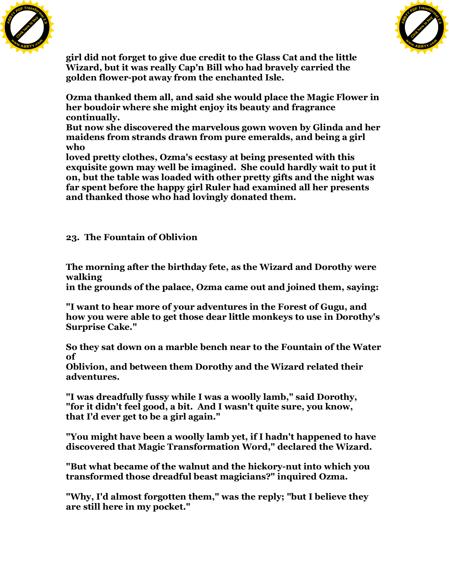



**girl did not forget to give due credit to the Glass Cat and the little Wizard, but it was really Cap'n Bill who had bravely carried the golden flower-pot away from the enchanted Isle.**

**Ozma thanked them all, and said she would place the Magic Flower in her boudoir where she might enjoy its beauty and fragrance continually.**

**But now she discovered the marvelous gown woven by Glinda and her maidens from strands drawn from pure emeralds, and being a girl who**

**loved pretty clothes, Ozma's ecstasy at being presented with this exquisite gown may well be imagined. She could hardly wait to put it on, but the table was loaded with other pretty gifts and the night was far spent before the happy girl Ruler had examined all her presents and thanked those who had lovingly donated them.**

**23. The Fountain of Oblivion**

**The morning after the birthday fete, as the Wizard and Dorothy were walking**

**in the grounds of the palace, Ozma came out and joined them, saying:**

**"I want to hear more of your adventures in the Forest of Gugu, and how you were able to get those dear little monkeys to use in Dorothy's Surprise Cake."**

**So they sat down on a marble bench near to the Fountain of the Water of**

**Oblivion, and between them Dorothy and the Wizard related their adventures.**

**"I was dreadfully fussy while I was a woolly lamb," said Dorothy, "for it didn't feel good, a bit. And I wasn't quite sure, you know, that I'd ever get to be a girl again."**

**"You might have been a woolly lamb yet, if I hadn't happened to have discovered that Magic Transformation Word," declared the Wizard.**

**"But what became of the walnut and the hickory-nut into which you transformed those dreadful beast magicians?" inquired Ozma.**

**"Why, I'd almost forgotten them," was the reply; "but I believe they are still here in my pocket."**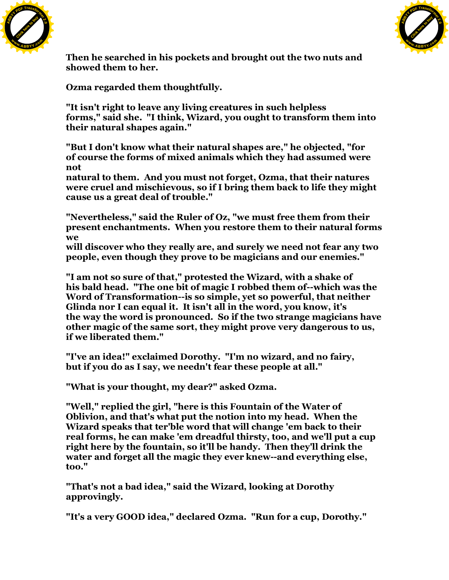



**Then he searched in his pockets and brought out the two nuts and showed them to her.**

**Ozma regarded them thoughtfully.**

**"It isn't right to leave any living creatures in such helpless forms," said she. "I think, Wizard, you ought to transform them into their natural shapes again."**

**"But I don't know what their natural shapes are," he objected, "for of course the forms of mixed animals which they had assumed were not**

**natural to them. And you must not forget, Ozma, that their natures were cruel and mischievous, so if I bring them back to life they might cause us a great deal of trouble."**

**"Nevertheless," said the Ruler of Oz, "we must free them from their present enchantments. When you restore them to their natural forms we**

**will discover who they really are, and surely we need not fear any two people, even though they prove to be magicians and our enemies."**

**"I am not so sure of that," protested the Wizard, with a shake of his bald head. "The one bit of magic I robbed them of--which was the Word of Transformation--is so simple, yet so powerful, that neither Glinda nor I can equal it. It isn't all in the word, you know, it's the way the word is pronounced. So if the two strange magicians have other magic of the same sort, they might prove very dangerous to us, if we liberated them."**

**"I've an idea!" exclaimed Dorothy. "I'm no wizard, and no fairy, but if you do as I say, we needn't fear these people at all."**

**"What is your thought, my dear?" asked Ozma.**

**"Well," replied the girl, "here is this Fountain of the Water of Oblivion, and that's what put the notion into my head. When the Wizard speaks that ter'ble word that will change 'em back to their real forms, he can make 'em dreadful thirsty, too, and we'll put a cup right here by the fountain, so it'll be handy. Then they'll drink the water and forget all the magic they ever knew--and everything else, too."**

**"That's not a bad idea," said the Wizard, looking at Dorothy approvingly.**

**"It's a very GOOD idea," declared Ozma. "Run for a cup, Dorothy."**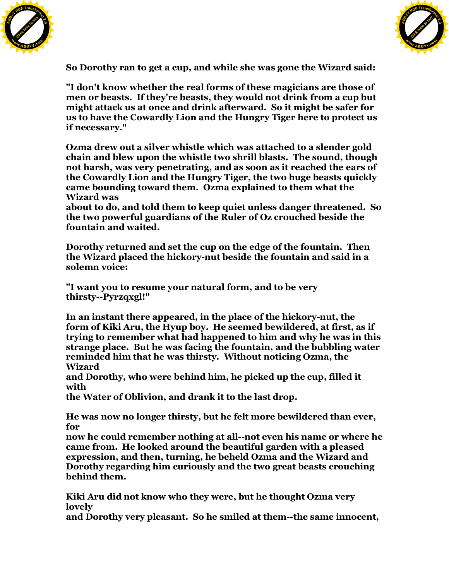



**So Dorothy ran to get a cup, and while she was gone the Wizard said:**

**"I don't know whether the real forms of these magicians are those of men or beasts. If they're beasts, they would not drink from a cup but might attack us at once and drink afterward. So it might be safer for us to have the Cowardly Lion and the Hungry Tiger here to protect us if necessary."**

**Ozma drew out a silver whistle which was attached to a slender gold chain and blew upon the whistle two shrill blasts. The sound, though not harsh, was very penetrating, and as soon as it reached the ears of the Cowardly Lion and the Hungry Tiger, the two huge beasts quickly came bounding toward them. Ozma explained to them what the Wizard was**

**about to do, and told them to keep quiet unless danger threatened. So the two powerful guardians of the Ruler of Oz crouched beside the fountain and waited.**

**Dorothy returned and set the cup on the edge of the fountain. Then the Wizard placed the hickory-nut beside the fountain and said in a solemn voice:**

**"I want you to resume your natural form, and to be very thirsty--Pyrzqxgl!"**

**In an instant there appeared, in the place of the hickory-nut, the form of Kiki Aru, the Hyup boy. He seemed bewildered, at first, as if trying to remember what had happened to him and why he was in this strange place. But he was facing the fountain, and the bubbling water reminded him that he was thirsty. Without noticing Ozma, the Wizard**

**and Dorothy, who were behind him, he picked up the cup, filled it with**

**the Water of Oblivion, and drank it to the last drop.**

**He was now no longer thirsty, but he felt more bewildered than ever, for**

**now he could remember nothing at all--not even his name or where he came from. He looked around the beautiful garden with a pleased expression, and then, turning, he beheld Ozma and the Wizard and Dorothy regarding him curiously and the two great beasts crouching behind them.**

**Kiki Aru did not know who they were, but he thought Ozma very lovely**

**and Dorothy very pleasant. So he smiled at them--the same innocent,**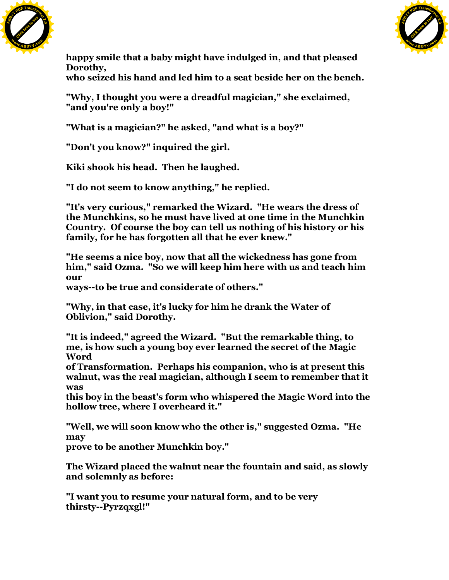



**happy smile that a baby might have indulged in, and that pleased Dorothy,**

**who seized his hand and led him to a seat beside her on the bench.**

**"Why, I thought you were a dreadful magician," she exclaimed, "and you're only a boy!"**

**"What is a magician?" he asked, "and what is a boy?"**

**"Don't you know?" inquired the girl.**

**Kiki shook his head. Then he laughed.**

**"I do not seem to know anything," he replied.**

**"It's very curious," remarked the Wizard. "He wears the dress of the Munchkins, so he must have lived at one time in the Munchkin Country. Of course the boy can tell us nothing of his history or his family, for he has forgotten all that he ever knew."**

**"He seems a nice boy, now that all the wickedness has gone from him," said Ozma. "So we will keep him here with us and teach him our**

**ways--to be true and considerate of others."**

**"Why, in that case, it's lucky for him he drank the Water of Oblivion," said Dorothy.**

**"It is indeed," agreed the Wizard. "But the remarkable thing, to me, is how such a young boy ever learned the secret of the Magic Word**

**of Transformation. Perhaps his companion, who is at present this walnut, was the real magician, although I seem to remember that it was**

**this boy in the beast's form who whispered the Magic Word into the hollow tree, where I overheard it."**

**"Well, we will soon know who the other is," suggested Ozma. "He may**

**prove to be another Munchkin boy."**

**The Wizard placed the walnut near the fountain and said, as slowly and solemnly as before:**

**"I want you to resume your natural form, and to be very thirsty--Pyrzqxgl!"**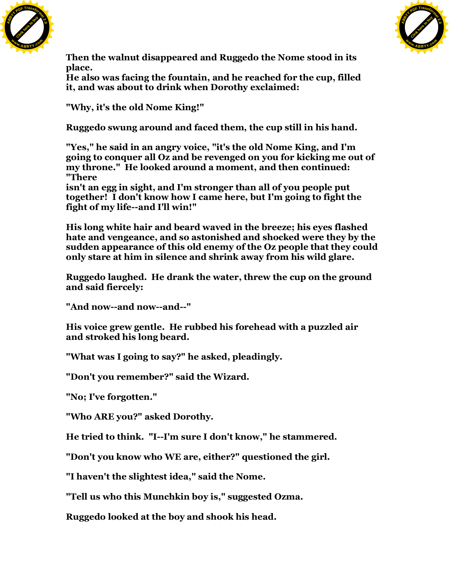



**Then the walnut disappeared and Ruggedo the Nome stood in its place.**

**He also was facing the fountain, and he reached for the cup, filled it, and was about to drink when Dorothy exclaimed:**

**"Why, it's the old Nome King!"**

**Ruggedo swung around and faced them, the cup still in his hand.**

**"Yes," he said in an angry voice, "it's the old Nome King, and I'm going to conquer all Oz and be revenged on you for kicking me out of my throne." He looked around a moment, and then continued: "There**

**isn't an egg in sight, and I'm stronger than all of you people put together! I don't know how I came here, but I'm going to fight the fight of my life--and I'll win!"**

**His long white hair and beard waved in the breeze; his eyes flashed hate and vengeance, and so astonished and shocked were they by the sudden appearance of this old enemy of the Oz people that they could only stare at him in silence and shrink away from his wild glare.**

**Ruggedo laughed. He drank the water, threw the cup on the ground and said fiercely:**

**"And now--and now--and--"**

**His voice grew gentle. He rubbed his forehead with a puzzled air and stroked his long beard.**

**"What was I going to say?" he asked, pleadingly.**

**"Don't you remember?" said the Wizard.**

**"No; I've forgotten."**

**"Who ARE you?" asked Dorothy.**

**He tried to think. "I--I'm sure I don't know," he stammered.**

**"Don't you know who WE are, either?" questioned the girl.**

**"I haven't the slightest idea," said the Nome.**

**"Tell us who this Munchkin boy is," suggested Ozma.**

**Ruggedo looked at the boy and shook his head.**